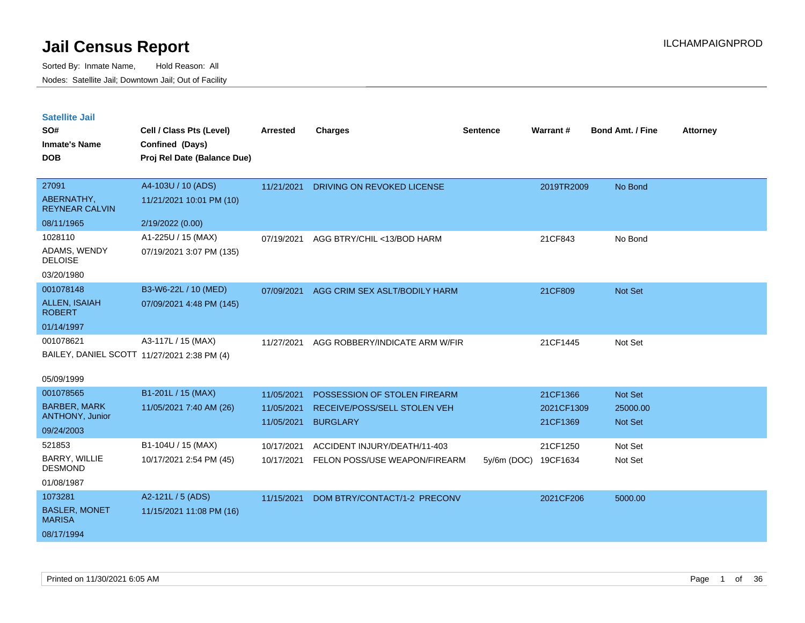| <b>Satellite Jail</b> |  |
|-----------------------|--|
|                       |  |

| SO#<br><b>Inmate's Name</b><br><b>DOB</b> | Cell / Class Pts (Level)<br>Confined (Days)<br>Proj Rel Date (Balance Due) | <b>Arrested</b> | <b>Charges</b>                 | <b>Sentence</b> | <b>Warrant#</b> | <b>Bond Amt. / Fine</b> | <b>Attorney</b> |
|-------------------------------------------|----------------------------------------------------------------------------|-----------------|--------------------------------|-----------------|-----------------|-------------------------|-----------------|
| 27091                                     | A4-103U / 10 (ADS)                                                         | 11/21/2021      | DRIVING ON REVOKED LICENSE     |                 | 2019TR2009      | No Bond                 |                 |
| ABERNATHY,<br><b>REYNEAR CALVIN</b>       | 11/21/2021 10:01 PM (10)                                                   |                 |                                |                 |                 |                         |                 |
| 08/11/1965                                | 2/19/2022 (0.00)                                                           |                 |                                |                 |                 |                         |                 |
| 1028110                                   | A1-225U / 15 (MAX)                                                         | 07/19/2021      | AGG BTRY/CHIL <13/BOD HARM     |                 | 21CF843         | No Bond                 |                 |
| ADAMS, WENDY<br><b>DELOISE</b>            | 07/19/2021 3:07 PM (135)                                                   |                 |                                |                 |                 |                         |                 |
| 03/20/1980                                |                                                                            |                 |                                |                 |                 |                         |                 |
| 001078148                                 | B3-W6-22L / 10 (MED)                                                       | 07/09/2021      | AGG CRIM SEX ASLT/BODILY HARM  |                 | 21CF809         | Not Set                 |                 |
| <b>ALLEN, ISAIAH</b><br><b>ROBERT</b>     | 07/09/2021 4:48 PM (145)                                                   |                 |                                |                 |                 |                         |                 |
| 01/14/1997                                |                                                                            |                 |                                |                 |                 |                         |                 |
| 001078621                                 | A3-117L / 15 (MAX)                                                         | 11/27/2021      | AGG ROBBERY/INDICATE ARM W/FIR |                 | 21CF1445        | Not Set                 |                 |
|                                           | BAILEY, DANIEL SCOTT 11/27/2021 2:38 PM (4)                                |                 |                                |                 |                 |                         |                 |
| 05/09/1999                                |                                                                            |                 |                                |                 |                 |                         |                 |
| 001078565                                 | B1-201L / 15 (MAX)                                                         | 11/05/2021      | POSSESSION OF STOLEN FIREARM   |                 | 21CF1366        | Not Set                 |                 |
| <b>BARBER, MARK</b>                       | 11/05/2021 7:40 AM (26)                                                    | 11/05/2021      | RECEIVE/POSS/SELL STOLEN VEH   |                 | 2021CF1309      | 25000.00                |                 |
| ANTHONY, Junior                           |                                                                            | 11/05/2021      | <b>BURGLARY</b>                |                 | 21CF1369        | Not Set                 |                 |
| 09/24/2003                                |                                                                            |                 |                                |                 |                 |                         |                 |
| 521853                                    | B1-104U / 15 (MAX)                                                         | 10/17/2021      | ACCIDENT INJURY/DEATH/11-403   |                 | 21CF1250        | Not Set                 |                 |
| BARRY, WILLIE<br><b>DESMOND</b>           | 10/17/2021 2:54 PM (45)                                                    | 10/17/2021      | FELON POSS/USE WEAPON/FIREARM  | $5y/6m$ (DOC)   | 19CF1634        | Not Set                 |                 |
| 01/08/1987                                |                                                                            |                 |                                |                 |                 |                         |                 |
| 1073281                                   | A2-121L / 5 (ADS)                                                          | 11/15/2021      | DOM BTRY/CONTACT/1-2 PRECONV   |                 | 2021CF206       | 5000.00                 |                 |
| <b>BASLER, MONET</b><br><b>MARISA</b>     | 11/15/2021 11:08 PM (16)                                                   |                 |                                |                 |                 |                         |                 |
| 08/17/1994                                |                                                                            |                 |                                |                 |                 |                         |                 |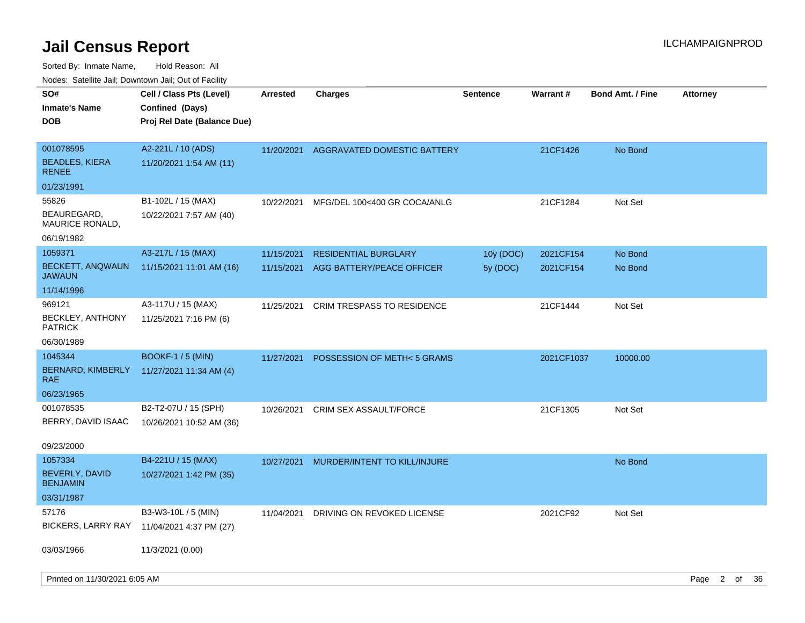| SO#<br><b>Inmate's Name</b><br><b>DOB</b>          | Cell / Class Pts (Level)<br>Confined (Days)<br>Proj Rel Date (Balance Due) | <b>Arrested</b> | Charges                           | <b>Sentence</b> | <b>Warrant#</b> | <b>Bond Amt. / Fine</b> | <b>Attorney</b> |  |
|----------------------------------------------------|----------------------------------------------------------------------------|-----------------|-----------------------------------|-----------------|-----------------|-------------------------|-----------------|--|
| 001078595<br><b>BEADLES, KIERA</b><br><b>RENEE</b> | A2-221L / 10 (ADS)<br>11/20/2021 1:54 AM (11)                              | 11/20/2021      | AGGRAVATED DOMESTIC BATTERY       |                 | 21CF1426        | No Bond                 |                 |  |
| 01/23/1991                                         |                                                                            |                 |                                   |                 |                 |                         |                 |  |
| 55826                                              | B1-102L / 15 (MAX)                                                         | 10/22/2021      | MFG/DEL 100<400 GR COCA/ANLG      |                 | 21CF1284        | Not Set                 |                 |  |
| BEAUREGARD,<br>MAURICE RONALD,                     | 10/22/2021 7:57 AM (40)                                                    |                 |                                   |                 |                 |                         |                 |  |
| 06/19/1982                                         |                                                                            |                 |                                   |                 |                 |                         |                 |  |
| 1059371                                            | A3-217L / 15 (MAX)                                                         | 11/15/2021      | <b>RESIDENTIAL BURGLARY</b>       | 10y (DOC)       | 2021CF154       | No Bond                 |                 |  |
| <b>BECKETT, ANQWAUN</b><br>JAWAUN                  | 11/15/2021 11:01 AM (16)                                                   | 11/15/2021      | AGG BATTERY/PEACE OFFICER         | 5y (DOC)        | 2021CF154       | No Bond                 |                 |  |
| 11/14/1996                                         |                                                                            |                 |                                   |                 |                 |                         |                 |  |
| 969121                                             | A3-117U / 15 (MAX)                                                         | 11/25/2021      | <b>CRIM TRESPASS TO RESIDENCE</b> |                 | 21CF1444        | Not Set                 |                 |  |
| <b>BECKLEY, ANTHONY</b><br><b>PATRICK</b>          | 11/25/2021 7:16 PM (6)                                                     |                 |                                   |                 |                 |                         |                 |  |
| 06/30/1989                                         |                                                                            |                 |                                   |                 |                 |                         |                 |  |
| 1045344                                            | <b>BOOKF-1 / 5 (MIN)</b>                                                   | 11/27/2021      | POSSESSION OF METH<5 GRAMS        |                 | 2021CF1037      | 10000.00                |                 |  |
| BERNARD, KIMBERLY<br>RAE.                          | 11/27/2021 11:34 AM (4)                                                    |                 |                                   |                 |                 |                         |                 |  |
| 06/23/1965                                         |                                                                            |                 |                                   |                 |                 |                         |                 |  |
| 001078535                                          | B2-T2-07U / 15 (SPH)                                                       | 10/26/2021      | <b>CRIM SEX ASSAULT/FORCE</b>     |                 | 21CF1305        | Not Set                 |                 |  |
| BERRY, DAVID ISAAC                                 | 10/26/2021 10:52 AM (36)                                                   |                 |                                   |                 |                 |                         |                 |  |
| 09/23/2000                                         |                                                                            |                 |                                   |                 |                 |                         |                 |  |
| 1057334                                            | B4-221U / 15 (MAX)                                                         | 10/27/2021      | MURDER/INTENT TO KILL/INJURE      |                 |                 | No Bond                 |                 |  |
| BEVERLY, DAVID<br><b>BENJAMIN</b>                  | 10/27/2021 1:42 PM (35)                                                    |                 |                                   |                 |                 |                         |                 |  |
| 03/31/1987                                         |                                                                            |                 |                                   |                 |                 |                         |                 |  |
| 57176                                              | B3-W3-10L / 5 (MIN)                                                        | 11/04/2021      | DRIVING ON REVOKED LICENSE        |                 | 2021CF92        | Not Set                 |                 |  |
| <b>BICKERS, LARRY RAY</b>                          | 11/04/2021 4:37 PM (27)                                                    |                 |                                   |                 |                 |                         |                 |  |
| 03/03/1966                                         | 11/3/2021 (0.00)                                                           |                 |                                   |                 |                 |                         |                 |  |
| Printed on 11/30/2021 6:05 AM                      |                                                                            |                 |                                   |                 |                 |                         | Page 2 of 36    |  |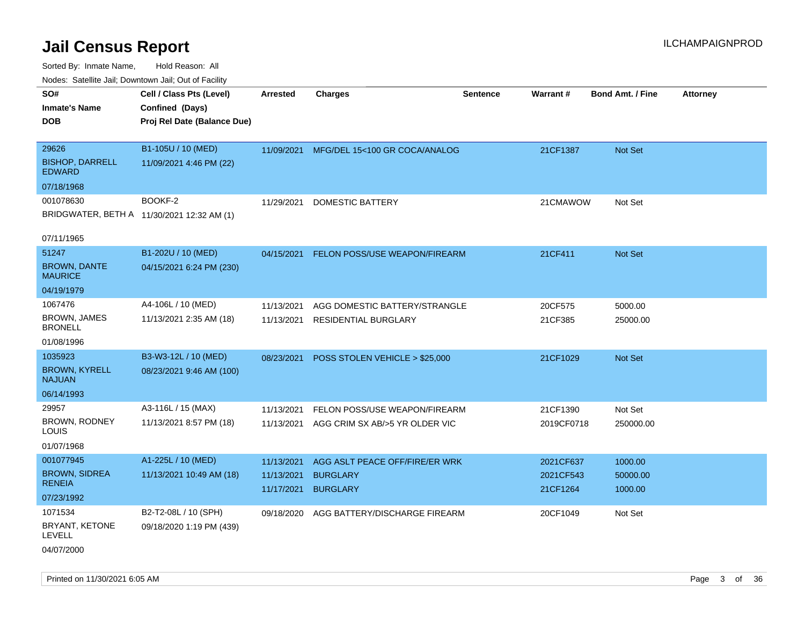Sorted By: Inmate Name, Hold Reason: All Nodes: Satellite Jail; Downtown Jail; Out of Facility

| Nodes. Satellite Jali, Downtown Jali, Out of Facility |                                            |                 |                                           |                 |            |                         |                 |
|-------------------------------------------------------|--------------------------------------------|-----------------|-------------------------------------------|-----------------|------------|-------------------------|-----------------|
| SO#                                                   | Cell / Class Pts (Level)                   | <b>Arrested</b> | <b>Charges</b>                            | <b>Sentence</b> | Warrant#   | <b>Bond Amt. / Fine</b> | <b>Attorney</b> |
| <b>Inmate's Name</b>                                  | Confined (Days)                            |                 |                                           |                 |            |                         |                 |
| <b>DOB</b>                                            | Proj Rel Date (Balance Due)                |                 |                                           |                 |            |                         |                 |
|                                                       |                                            |                 |                                           |                 |            |                         |                 |
| 29626                                                 | B1-105U / 10 (MED)                         | 11/09/2021      | MFG/DEL 15<100 GR COCA/ANALOG             |                 | 21CF1387   | Not Set                 |                 |
| <b>BISHOP, DARRELL</b><br><b>EDWARD</b>               | 11/09/2021 4:46 PM (22)                    |                 |                                           |                 |            |                         |                 |
| 07/18/1968                                            |                                            |                 |                                           |                 |            |                         |                 |
| 001078630                                             | BOOKF-2                                    | 11/29/2021      | <b>DOMESTIC BATTERY</b>                   |                 | 21CMAWOW   | Not Set                 |                 |
|                                                       | BRIDGWATER, BETH A 11/30/2021 12:32 AM (1) |                 |                                           |                 |            |                         |                 |
|                                                       |                                            |                 |                                           |                 |            |                         |                 |
| 07/11/1965                                            |                                            |                 |                                           |                 |            |                         |                 |
| 51247                                                 | B1-202U / 10 (MED)                         | 04/15/2021      | FELON POSS/USE WEAPON/FIREARM             |                 | 21CF411    | <b>Not Set</b>          |                 |
| <b>BROWN, DANTE</b><br><b>MAURICE</b>                 | 04/15/2021 6:24 PM (230)                   |                 |                                           |                 |            |                         |                 |
| 04/19/1979                                            |                                            |                 |                                           |                 |            |                         |                 |
| 1067476                                               | A4-106L / 10 (MED)                         | 11/13/2021      | AGG DOMESTIC BATTERY/STRANGLE             |                 | 20CF575    | 5000.00                 |                 |
| <b>BROWN, JAMES</b><br><b>BRONELL</b>                 | 11/13/2021 2:35 AM (18)                    | 11/13/2021      | <b>RESIDENTIAL BURGLARY</b>               |                 | 21CF385    | 25000.00                |                 |
| 01/08/1996                                            |                                            |                 |                                           |                 |            |                         |                 |
| 1035923                                               | B3-W3-12L / 10 (MED)                       | 08/23/2021      | POSS STOLEN VEHICLE > \$25,000            |                 | 21CF1029   | Not Set                 |                 |
| <b>BROWN, KYRELL</b><br><b>NAJUAN</b>                 | 08/23/2021 9:46 AM (100)                   |                 |                                           |                 |            |                         |                 |
| 06/14/1993                                            |                                            |                 |                                           |                 |            |                         |                 |
| 29957                                                 | A3-116L / 15 (MAX)                         | 11/13/2021      | FELON POSS/USE WEAPON/FIREARM             |                 | 21CF1390   | Not Set                 |                 |
| <b>BROWN, RODNEY</b><br>LOUIS                         | 11/13/2021 8:57 PM (18)                    |                 | 11/13/2021 AGG CRIM SX AB/>5 YR OLDER VIC |                 | 2019CF0718 | 250000.00               |                 |
| 01/07/1968                                            |                                            |                 |                                           |                 |            |                         |                 |
| 001077945                                             | A1-225L / 10 (MED)                         | 11/13/2021      | AGG ASLT PEACE OFF/FIRE/ER WRK            |                 | 2021CF637  | 1000.00                 |                 |
| <b>BROWN, SIDREA</b>                                  | 11/13/2021 10:49 AM (18)                   | 11/13/2021      | <b>BURGLARY</b>                           |                 | 2021CF543  | 50000.00                |                 |
| <b>RENEIA</b>                                         |                                            | 11/17/2021      | <b>BURGLARY</b>                           |                 | 21CF1264   | 1000.00                 |                 |
| 07/23/1992                                            |                                            |                 |                                           |                 |            |                         |                 |
| 1071534                                               | B2-T2-08L / 10 (SPH)                       | 09/18/2020      | AGG BATTERY/DISCHARGE FIREARM             |                 | 20CF1049   | Not Set                 |                 |
| BRYANT, KETONE<br>LEVELL                              | 09/18/2020 1:19 PM (439)                   |                 |                                           |                 |            |                         |                 |
| 04/07/2000                                            |                                            |                 |                                           |                 |            |                         |                 |

Printed on 11/30/2021 6:05 AM Page 3 of 36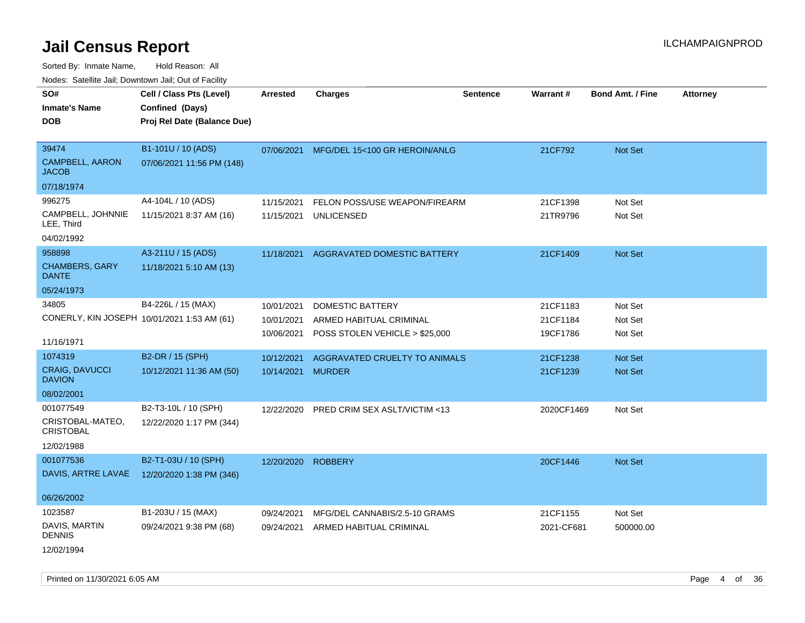Sorted By: Inmate Name, Hold Reason: All Nodes: Satellite Jail; Downtown Jail; Out of Facility

| roaco. Odichile Jan, Downtown Jan, Out of Facility |                                             |                   |                                          |                 |            |                         |                 |
|----------------------------------------------------|---------------------------------------------|-------------------|------------------------------------------|-----------------|------------|-------------------------|-----------------|
| SO#<br><b>Inmate's Name</b>                        | Cell / Class Pts (Level)<br>Confined (Days) | <b>Arrested</b>   | <b>Charges</b>                           | <b>Sentence</b> | Warrant#   | <b>Bond Amt. / Fine</b> | <b>Attorney</b> |
| <b>DOB</b>                                         | Proj Rel Date (Balance Due)                 |                   |                                          |                 |            |                         |                 |
| 39474                                              | B1-101U / 10 (ADS)                          |                   | 07/06/2021 MFG/DEL 15<100 GR HEROIN/ANLG |                 | 21CF792    | Not Set                 |                 |
| CAMPBELL, AARON<br><b>JACOB</b>                    | 07/06/2021 11:56 PM (148)                   |                   |                                          |                 |            |                         |                 |
| 07/18/1974                                         |                                             |                   |                                          |                 |            |                         |                 |
| 996275                                             | A4-104L / 10 (ADS)                          | 11/15/2021        | FELON POSS/USE WEAPON/FIREARM            |                 | 21CF1398   | Not Set                 |                 |
| CAMPBELL, JOHNNIE<br>LEE, Third                    | 11/15/2021 8:37 AM (16)                     | 11/15/2021        | <b>UNLICENSED</b>                        |                 | 21TR9796   | Not Set                 |                 |
| 04/02/1992                                         |                                             |                   |                                          |                 |            |                         |                 |
| 958898                                             | A3-211U / 15 (ADS)                          | 11/18/2021        | AGGRAVATED DOMESTIC BATTERY              |                 | 21CF1409   | <b>Not Set</b>          |                 |
| <b>CHAMBERS, GARY</b><br><b>DANTE</b>              | 11/18/2021 5:10 AM (13)                     |                   |                                          |                 |            |                         |                 |
| 05/24/1973                                         |                                             |                   |                                          |                 |            |                         |                 |
| 34805                                              | B4-226L / 15 (MAX)                          | 10/01/2021        | DOMESTIC BATTERY                         |                 | 21CF1183   | Not Set                 |                 |
| CONERLY, KIN JOSEPH 10/01/2021 1:53 AM (61)        |                                             | 10/01/2021        | ARMED HABITUAL CRIMINAL                  |                 | 21CF1184   | Not Set                 |                 |
|                                                    |                                             | 10/06/2021        | POSS STOLEN VEHICLE > \$25,000           |                 | 19CF1786   | Not Set                 |                 |
| 11/16/1971                                         |                                             |                   |                                          |                 |            |                         |                 |
| 1074319                                            | B2-DR / 15 (SPH)                            | 10/12/2021        | AGGRAVATED CRUELTY TO ANIMALS            |                 | 21CF1238   | <b>Not Set</b>          |                 |
| <b>CRAIG, DAVUCCI</b><br><b>DAVION</b>             | 10/12/2021 11:36 AM (50)                    | 10/14/2021 MURDER |                                          |                 | 21CF1239   | Not Set                 |                 |
| 08/02/2001                                         |                                             |                   |                                          |                 |            |                         |                 |
| 001077549                                          | B2-T3-10L / 10 (SPH)                        | 12/22/2020        | PRED CRIM SEX ASLT/VICTIM <13            |                 | 2020CF1469 | Not Set                 |                 |
| CRISTOBAL-MATEO,<br><b>CRISTOBAL</b>               | 12/22/2020 1:17 PM (344)                    |                   |                                          |                 |            |                         |                 |
| 12/02/1988                                         |                                             |                   |                                          |                 |            |                         |                 |
| 001077536                                          | B2-T1-03U / 10 (SPH)                        | 12/20/2020        | <b>ROBBERY</b>                           |                 | 20CF1446   | <b>Not Set</b>          |                 |
| DAVIS, ARTRE LAVAE                                 | 12/20/2020 1:38 PM (346)                    |                   |                                          |                 |            |                         |                 |
| 06/26/2002                                         |                                             |                   |                                          |                 |            |                         |                 |
| 1023587                                            | B1-203U / 15 (MAX)                          | 09/24/2021        | MFG/DEL CANNABIS/2.5-10 GRAMS            |                 | 21CF1155   | Not Set                 |                 |
| DAVIS, MARTIN<br><b>DENNIS</b>                     | 09/24/2021 9:38 PM (68)                     | 09/24/2021        | ARMED HABITUAL CRIMINAL                  |                 | 2021-CF681 | 500000.00               |                 |
| 12/02/1994                                         |                                             |                   |                                          |                 |            |                         |                 |

Printed on 11/30/2021 6:05 AM **Page 4 of 36**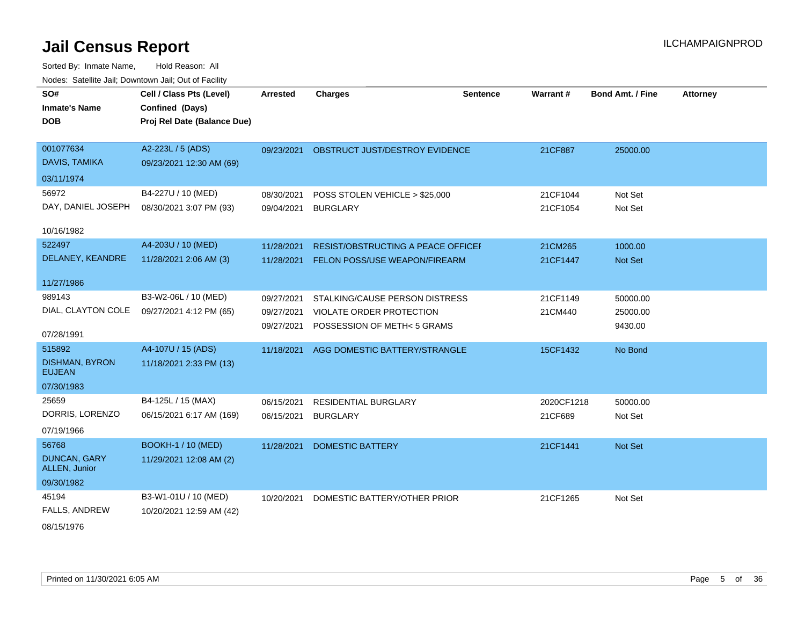Sorted By: Inmate Name, Hold Reason: All Nodes: Satellite Jail; Downtown Jail; Out of Facility

| SO#<br><b>Inmate's Name</b><br><b>DOB</b>                      | Cell / Class Pts (Level)<br>Confined (Days)<br>Proj Rel Date (Balance Due) | <b>Arrested</b>                        | <b>Charges</b>                                                                            | <b>Sentence</b> | <b>Warrant#</b>       | <b>Bond Amt. / Fine</b>         | <b>Attorney</b> |
|----------------------------------------------------------------|----------------------------------------------------------------------------|----------------------------------------|-------------------------------------------------------------------------------------------|-----------------|-----------------------|---------------------------------|-----------------|
| 001077634<br>DAVIS, TAMIKA                                     | A2-223L / 5 (ADS)<br>09/23/2021 12:30 AM (69)                              | 09/23/2021                             | OBSTRUCT JUST/DESTROY EVIDENCE                                                            |                 | 21CF887               | 25000.00                        |                 |
| 03/11/1974<br>56972                                            | B4-227U / 10 (MED)                                                         |                                        |                                                                                           |                 |                       |                                 |                 |
| DAY, DANIEL JOSEPH                                             | 08/30/2021 3:07 PM (93)                                                    | 08/30/2021<br>09/04/2021 BURGLARY      | POSS STOLEN VEHICLE > \$25,000                                                            |                 | 21CF1044<br>21CF1054  | Not Set<br>Not Set              |                 |
| 10/16/1982                                                     |                                                                            |                                        |                                                                                           |                 |                       |                                 |                 |
| 522497<br>DELANEY, KEANDRE                                     | A4-203U / 10 (MED)<br>11/28/2021 2:06 AM (3)                               | 11/28/2021                             | RESIST/OBSTRUCTING A PEACE OFFICEI<br>11/28/2021 FELON POSS/USE WEAPON/FIREARM            |                 | 21CM265<br>21CF1447   | 1000.00<br>Not Set              |                 |
| 11/27/1986                                                     |                                                                            |                                        |                                                                                           |                 |                       |                                 |                 |
| 989143<br>DIAL, CLAYTON COLE<br>07/28/1991                     | B3-W2-06L / 10 (MED)<br>09/27/2021 4:12 PM (65)                            | 09/27/2021<br>09/27/2021<br>09/27/2021 | STALKING/CAUSE PERSON DISTRESS<br>VIOLATE ORDER PROTECTION<br>POSSESSION OF METH< 5 GRAMS |                 | 21CF1149<br>21CM440   | 50000.00<br>25000.00<br>9430.00 |                 |
| 515892<br><b>DISHMAN, BYRON</b><br><b>EUJEAN</b><br>07/30/1983 | A4-107U / 15 (ADS)<br>11/18/2021 2:33 PM (13)                              |                                        | 11/18/2021 AGG DOMESTIC BATTERY/STRANGLE                                                  |                 | 15CF1432              | No Bond                         |                 |
| 25659<br>DORRIS, LORENZO<br>07/19/1966                         | B4-125L / 15 (MAX)<br>06/15/2021 6:17 AM (169)                             | 06/15/2021<br>06/15/2021               | <b>RESIDENTIAL BURGLARY</b><br><b>BURGLARY</b>                                            |                 | 2020CF1218<br>21CF689 | 50000.00<br>Not Set             |                 |
| 56768<br>DUNCAN, GARY<br>ALLEN, Junior<br>09/30/1982           | <b>BOOKH-1 / 10 (MED)</b><br>11/29/2021 12:08 AM (2)                       | 11/28/2021                             | <b>DOMESTIC BATTERY</b>                                                                   |                 | 21CF1441              | Not Set                         |                 |
| 45194<br>FALLS, ANDREW                                         | B3-W1-01U / 10 (MED)<br>10/20/2021 12:59 AM (42)                           | 10/20/2021                             | DOMESTIC BATTERY/OTHER PRIOR                                                              |                 | 21CF1265              | Not Set                         |                 |

08/15/1976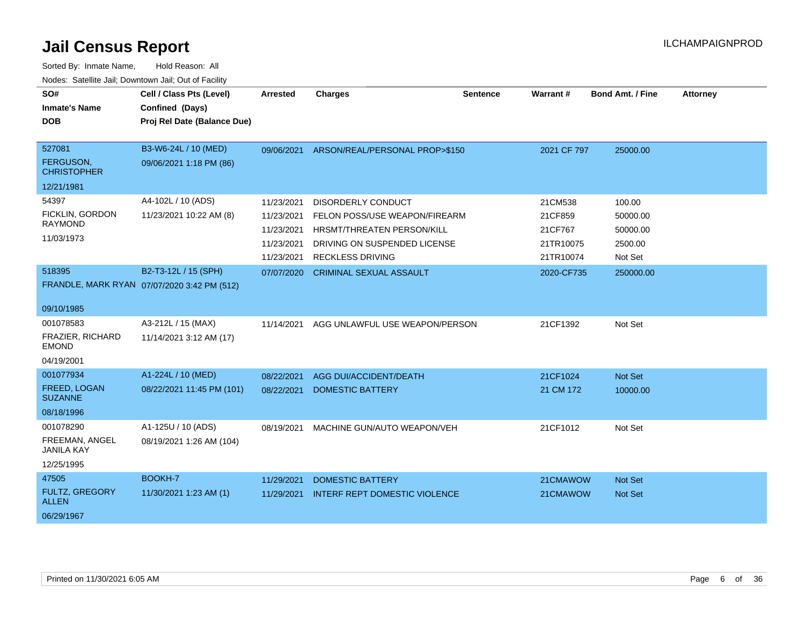| SO#                                   | Cell / Class Pts (Level)                       | <b>Arrested</b> | <b>Charges</b>                       | <b>Sentence</b> | Warrant #   | Bond Amt. / Fine | <b>Attorney</b> |
|---------------------------------------|------------------------------------------------|-----------------|--------------------------------------|-----------------|-------------|------------------|-----------------|
| <b>Inmate's Name</b><br><b>DOB</b>    | Confined (Days)<br>Proj Rel Date (Balance Due) |                 |                                      |                 |             |                  |                 |
|                                       |                                                |                 |                                      |                 |             |                  |                 |
| 527081                                | B3-W6-24L / 10 (MED)                           | 09/06/2021      | ARSON/REAL/PERSONAL PROP>\$150       |                 | 2021 CF 797 | 25000.00         |                 |
| FERGUSON,<br><b>CHRISTOPHER</b>       | 09/06/2021 1:18 PM (86)                        |                 |                                      |                 |             |                  |                 |
| 12/21/1981                            |                                                |                 |                                      |                 |             |                  |                 |
| 54397                                 | A4-102L / 10 (ADS)                             | 11/23/2021      | DISORDERLY CONDUCT                   |                 | 21CM538     | 100.00           |                 |
| FICKLIN, GORDON                       | 11/23/2021 10:22 AM (8)                        | 11/23/2021      | FELON POSS/USE WEAPON/FIREARM        |                 | 21CF859     | 50000.00         |                 |
| <b>RAYMOND</b>                        |                                                | 11/23/2021      | HRSMT/THREATEN PERSON/KILL           |                 | 21CF767     | 50000.00         |                 |
| 11/03/1973                            |                                                | 11/23/2021      | DRIVING ON SUSPENDED LICENSE         |                 | 21TR10075   | 2500.00          |                 |
|                                       |                                                | 11/23/2021      | <b>RECKLESS DRIVING</b>              |                 | 21TR10074   | Not Set          |                 |
| 518395                                | B2-T3-12L / 15 (SPH)                           | 07/07/2020      | <b>CRIMINAL SEXUAL ASSAULT</b>       |                 | 2020-CF735  | 250000.00        |                 |
|                                       | FRANDLE, MARK RYAN 07/07/2020 3:42 PM (512)    |                 |                                      |                 |             |                  |                 |
| 09/10/1985                            |                                                |                 |                                      |                 |             |                  |                 |
| 001078583                             | A3-212L / 15 (MAX)                             | 11/14/2021      | AGG UNLAWFUL USE WEAPON/PERSON       |                 | 21CF1392    | Not Set          |                 |
| FRAZIER, RICHARD<br><b>EMOND</b>      | 11/14/2021 3:12 AM (17)                        |                 |                                      |                 |             |                  |                 |
| 04/19/2001                            |                                                |                 |                                      |                 |             |                  |                 |
| 001077934                             | A1-224L / 10 (MED)                             | 08/22/2021      | <b>AGG DUI/ACCIDENT/DEATH</b>        |                 | 21CF1024    | <b>Not Set</b>   |                 |
| FREED, LOGAN<br><b>SUZANNE</b>        | 08/22/2021 11:45 PM (101)                      | 08/22/2021      | <b>DOMESTIC BATTERY</b>              |                 | 21 CM 172   | 10000.00         |                 |
| 08/18/1996                            |                                                |                 |                                      |                 |             |                  |                 |
| 001078290                             | A1-125U / 10 (ADS)                             | 08/19/2021      | MACHINE GUN/AUTO WEAPON/VEH          |                 | 21CF1012    | Not Set          |                 |
| FREEMAN, ANGEL<br><b>JANILA KAY</b>   | 08/19/2021 1:26 AM (104)                       |                 |                                      |                 |             |                  |                 |
| 12/25/1995                            |                                                |                 |                                      |                 |             |                  |                 |
| 47505                                 | BOOKH-7                                        | 11/29/2021      | <b>DOMESTIC BATTERY</b>              |                 | 21CMAWOW    | <b>Not Set</b>   |                 |
| <b>FULTZ, GREGORY</b><br><b>ALLEN</b> | 11/30/2021 1:23 AM (1)                         | 11/29/2021      | <b>INTERF REPT DOMESTIC VIOLENCE</b> |                 | 21CMAWOW    | <b>Not Set</b>   |                 |
| 06/29/1967                            |                                                |                 |                                      |                 |             |                  |                 |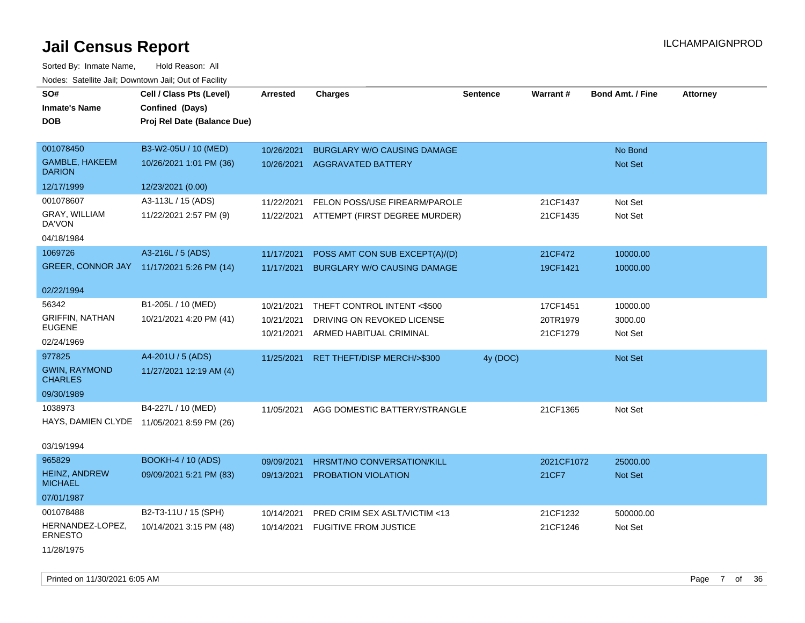| SO#                                    | Cell / Class Pts (Level)                   | <b>Arrested</b> | <b>Charges</b>                     | <b>Sentence</b> | Warrant#   | <b>Bond Amt. / Fine</b> | <b>Attorney</b> |
|----------------------------------------|--------------------------------------------|-----------------|------------------------------------|-----------------|------------|-------------------------|-----------------|
| <b>Inmate's Name</b>                   | Confined (Days)                            |                 |                                    |                 |            |                         |                 |
| <b>DOB</b>                             | Proj Rel Date (Balance Due)                |                 |                                    |                 |            |                         |                 |
|                                        |                                            |                 |                                    |                 |            |                         |                 |
| 001078450                              | B3-W2-05U / 10 (MED)                       | 10/26/2021      | <b>BURGLARY W/O CAUSING DAMAGE</b> |                 |            | No Bond                 |                 |
| <b>GAMBLE, HAKEEM</b><br><b>DARION</b> | 10/26/2021 1:01 PM (36)                    |                 | 10/26/2021 AGGRAVATED BATTERY      |                 |            | Not Set                 |                 |
| 12/17/1999                             | 12/23/2021 (0.00)                          |                 |                                    |                 |            |                         |                 |
| 001078607                              | A3-113L / 15 (ADS)                         | 11/22/2021      | FELON POSS/USE FIREARM/PAROLE      |                 | 21CF1437   | Not Set                 |                 |
| GRAY, WILLIAM<br>DA'VON                | 11/22/2021 2:57 PM (9)                     | 11/22/2021      | ATTEMPT (FIRST DEGREE MURDER)      |                 | 21CF1435   | Not Set                 |                 |
| 04/18/1984                             |                                            |                 |                                    |                 |            |                         |                 |
| 1069726                                | A3-216L / 5 (ADS)                          | 11/17/2021      | POSS AMT CON SUB EXCEPT(A)/(D)     |                 | 21CF472    | 10000.00                |                 |
|                                        | GREER, CONNOR JAY 11/17/2021 5:26 PM (14)  | 11/17/2021      | <b>BURGLARY W/O CAUSING DAMAGE</b> |                 | 19CF1421   | 10000.00                |                 |
|                                        |                                            |                 |                                    |                 |            |                         |                 |
| 02/22/1994                             |                                            |                 |                                    |                 |            |                         |                 |
| 56342                                  | B1-205L / 10 (MED)                         | 10/21/2021      | THEFT CONTROL INTENT <\$500        |                 | 17CF1451   | 10000.00                |                 |
| <b>GRIFFIN, NATHAN</b>                 | 10/21/2021 4:20 PM (41)                    | 10/21/2021      | DRIVING ON REVOKED LICENSE         |                 | 20TR1979   | 3000.00                 |                 |
| <b>EUGENE</b>                          |                                            | 10/21/2021      | ARMED HABITUAL CRIMINAL            |                 | 21CF1279   | Not Set                 |                 |
| 02/24/1969                             |                                            |                 |                                    |                 |            |                         |                 |
| 977825                                 | A4-201U / 5 (ADS)                          | 11/25/2021      | RET THEFT/DISP MERCH/>\$300        | 4y (DOC)        |            | Not Set                 |                 |
| <b>GWIN, RAYMOND</b><br><b>CHARLES</b> | 11/27/2021 12:19 AM (4)                    |                 |                                    |                 |            |                         |                 |
| 09/30/1989                             |                                            |                 |                                    |                 |            |                         |                 |
| 1038973                                | B4-227L / 10 (MED)                         | 11/05/2021      | AGG DOMESTIC BATTERY/STRANGLE      |                 | 21CF1365   | Not Set                 |                 |
|                                        | HAYS, DAMIEN CLYDE 11/05/2021 8:59 PM (26) |                 |                                    |                 |            |                         |                 |
| 03/19/1994                             |                                            |                 |                                    |                 |            |                         |                 |
| 965829                                 | <b>BOOKH-4 / 10 (ADS)</b>                  | 09/09/2021      | HRSMT/NO CONVERSATION/KILL         |                 | 2021CF1072 | 25000.00                |                 |
| <b>HEINZ, ANDREW</b><br><b>MICHAEL</b> | 09/09/2021 5:21 PM (83)                    | 09/13/2021      | PROBATION VIOLATION                |                 | 21CF7      | Not Set                 |                 |
| 07/01/1987                             |                                            |                 |                                    |                 |            |                         |                 |
| 001078488                              | B2-T3-11U / 15 (SPH)                       | 10/14/2021      | PRED CRIM SEX ASLT/VICTIM <13      |                 | 21CF1232   | 500000.00               |                 |
| HERNANDEZ-LOPEZ,<br><b>ERNESTO</b>     | 10/14/2021 3:15 PM (48)                    | 10/14/2021      | <b>FUGITIVE FROM JUSTICE</b>       |                 | 21CF1246   | Not Set                 |                 |
| 11/28/1975                             |                                            |                 |                                    |                 |            |                         |                 |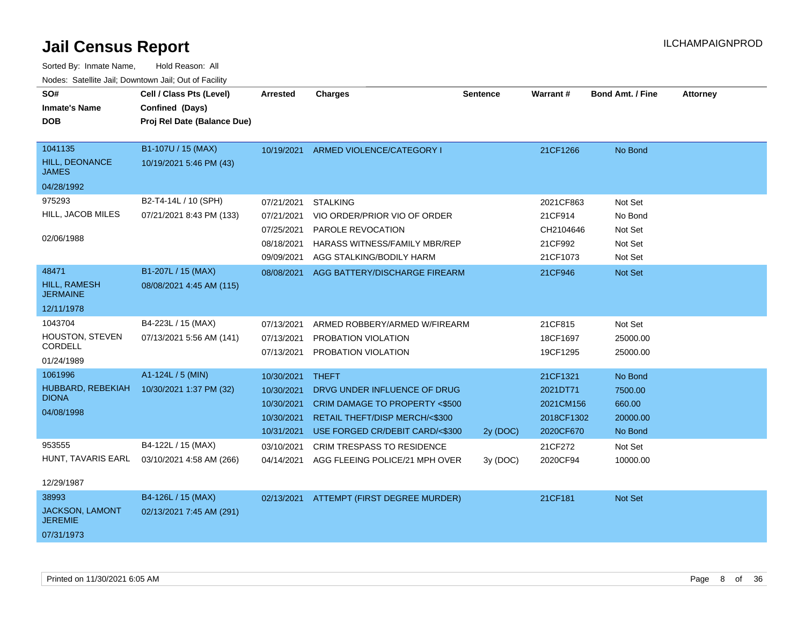| SO#<br><b>Inmate's Name</b><br><b>DOB</b>                       | Cell / Class Pts (Level)<br>Confined (Days)<br>Proj Rel Date (Balance Due) | <b>Arrested</b>                                                    | <b>Charges</b>                                                                                                                                                | <b>Sentence</b> | <b>Warrant#</b>                                              | <b>Bond Amt. / Fine</b>                             | <b>Attorney</b> |
|-----------------------------------------------------------------|----------------------------------------------------------------------------|--------------------------------------------------------------------|---------------------------------------------------------------------------------------------------------------------------------------------------------------|-----------------|--------------------------------------------------------------|-----------------------------------------------------|-----------------|
| 1041135<br>HILL, DEONANCE<br><b>JAMES</b><br>04/28/1992         | B1-107U / 15 (MAX)<br>10/19/2021 5:46 PM (43)                              |                                                                    | 10/19/2021 ARMED VIOLENCE/CATEGORY I                                                                                                                          |                 | 21CF1266                                                     | No Bond                                             |                 |
| 975293<br>HILL, JACOB MILES<br>02/06/1988                       | B2-T4-14L / 10 (SPH)<br>07/21/2021 8:43 PM (133)                           | 07/21/2021<br>07/21/2021<br>07/25/2021<br>08/18/2021<br>09/09/2021 | <b>STALKING</b><br>VIO ORDER/PRIOR VIO OF ORDER<br>PAROLE REVOCATION<br>HARASS WITNESS/FAMILY MBR/REP<br>AGG STALKING/BODILY HARM                             |                 | 2021CF863<br>21CF914<br>CH2104646<br>21CF992<br>21CF1073     | Not Set<br>No Bond<br>Not Set<br>Not Set<br>Not Set |                 |
| 48471<br><b>HILL, RAMESH</b><br><b>JERMAINE</b><br>12/11/1978   | B1-207L / 15 (MAX)<br>08/08/2021 4:45 AM (115)                             | 08/08/2021                                                         | AGG BATTERY/DISCHARGE FIREARM                                                                                                                                 |                 | 21CF946                                                      | Not Set                                             |                 |
| 1043704<br>HOUSTON, STEVEN<br>CORDELL<br>01/24/1989             | B4-223L / 15 (MAX)<br>07/13/2021 5:56 AM (141)                             | 07/13/2021<br>07/13/2021<br>07/13/2021                             | ARMED ROBBERY/ARMED W/FIREARM<br>PROBATION VIOLATION<br>PROBATION VIOLATION                                                                                   |                 | 21CF815<br>18CF1697<br>19CF1295                              | Not Set<br>25000.00<br>25000.00                     |                 |
| 1061996<br>HUBBARD, REBEKIAH<br><b>DIONA</b><br>04/08/1998      | A1-124L / 5 (MIN)<br>10/30/2021 1:37 PM (32)                               | 10/30/2021<br>10/30/2021<br>10/30/2021<br>10/30/2021<br>10/31/2021 | <b>THEFT</b><br>DRVG UNDER INFLUENCE OF DRUG<br><b>CRIM DAMAGE TO PROPERTY &lt;\$500</b><br>RETAIL THEFT/DISP MERCH/<\$300<br>USE FORGED CR/DEBIT CARD/<\$300 | 2y (DOC)        | 21CF1321<br>2021DT71<br>2021CM156<br>2018CF1302<br>2020CF670 | No Bond<br>7500.00<br>660.00<br>20000.00<br>No Bond |                 |
| 953555<br>HUNT, TAVARIS EARL<br>12/29/1987                      | B4-122L / 15 (MAX)<br>03/10/2021 4:58 AM (266)                             | 03/10/2021<br>04/14/2021                                           | <b>CRIM TRESPASS TO RESIDENCE</b><br>AGG FLEEING POLICE/21 MPH OVER                                                                                           | 3y(DOC)         | 21CF272<br>2020CF94                                          | Not Set<br>10000.00                                 |                 |
| 38993<br><b>JACKSON, LAMONT</b><br><b>JEREMIE</b><br>07/31/1973 | B4-126L / 15 (MAX)<br>02/13/2021 7:45 AM (291)                             |                                                                    | 02/13/2021 ATTEMPT (FIRST DEGREE MURDER)                                                                                                                      |                 | 21CF181                                                      | Not Set                                             |                 |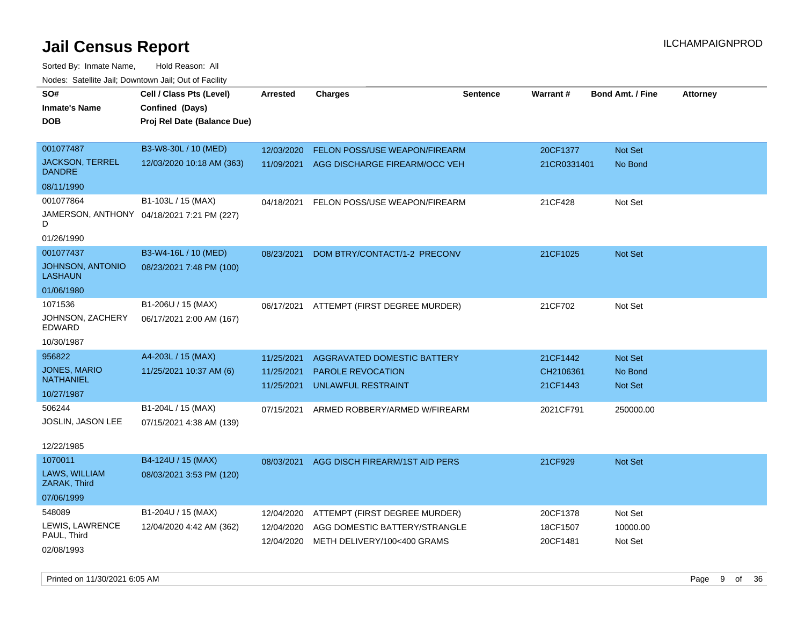Sorted By: Inmate Name, Hold Reason: All Nodes: Satellite Jail; Downtown Jail; Out of Facility

| SO#                                     | Cell / Class Pts (Level)                   | <b>Arrested</b> | <b>Charges</b>                       | <b>Sentence</b> | Warrant#    | <b>Bond Amt. / Fine</b> | <b>Attorney</b> |
|-----------------------------------------|--------------------------------------------|-----------------|--------------------------------------|-----------------|-------------|-------------------------|-----------------|
| <b>Inmate's Name</b>                    | Confined (Days)                            |                 |                                      |                 |             |                         |                 |
| <b>DOB</b>                              | Proj Rel Date (Balance Due)                |                 |                                      |                 |             |                         |                 |
|                                         |                                            |                 |                                      |                 |             |                         |                 |
| 001077487                               | B3-W8-30L / 10 (MED)                       | 12/03/2020      | <b>FELON POSS/USE WEAPON/FIREARM</b> |                 | 20CF1377    | <b>Not Set</b>          |                 |
| <b>JACKSON, TERREL</b><br><b>DANDRE</b> | 12/03/2020 10:18 AM (363)                  | 11/09/2021      | AGG DISCHARGE FIREARM/OCC VEH        |                 | 21CR0331401 | No Bond                 |                 |
| 08/11/1990                              |                                            |                 |                                      |                 |             |                         |                 |
| 001077864                               | B1-103L / 15 (MAX)                         | 04/18/2021      | FELON POSS/USE WEAPON/FIREARM        |                 | 21CF428     | Not Set                 |                 |
| D                                       | JAMERSON, ANTHONY 04/18/2021 7:21 PM (227) |                 |                                      |                 |             |                         |                 |
| 01/26/1990                              |                                            |                 |                                      |                 |             |                         |                 |
| 001077437                               | B3-W4-16L / 10 (MED)                       | 08/23/2021      | DOM BTRY/CONTACT/1-2 PRECONV         |                 | 21CF1025    | Not Set                 |                 |
| JOHNSON, ANTONIO<br><b>LASHAUN</b>      | 08/23/2021 7:48 PM (100)                   |                 |                                      |                 |             |                         |                 |
| 01/06/1980                              |                                            |                 |                                      |                 |             |                         |                 |
| 1071536                                 | B1-206U / 15 (MAX)                         | 06/17/2021      | ATTEMPT (FIRST DEGREE MURDER)        |                 | 21CF702     | Not Set                 |                 |
| JOHNSON, ZACHERY<br>EDWARD              | 06/17/2021 2:00 AM (167)                   |                 |                                      |                 |             |                         |                 |
| 10/30/1987                              |                                            |                 |                                      |                 |             |                         |                 |
| 956822                                  | A4-203L / 15 (MAX)                         | 11/25/2021      | AGGRAVATED DOMESTIC BATTERY          |                 | 21CF1442    | <b>Not Set</b>          |                 |
| <b>JONES, MARIO</b>                     | 11/25/2021 10:37 AM (6)                    | 11/25/2021      | PAROLE REVOCATION                    |                 | CH2106361   | No Bond                 |                 |
| <b>NATHANIEL</b>                        |                                            | 11/25/2021      | UNLAWFUL RESTRAINT                   |                 | 21CF1443    | <b>Not Set</b>          |                 |
| 10/27/1987                              |                                            |                 |                                      |                 |             |                         |                 |
| 506244                                  | B1-204L / 15 (MAX)                         | 07/15/2021      | ARMED ROBBERY/ARMED W/FIREARM        |                 | 2021CF791   | 250000.00               |                 |
| JOSLIN, JASON LEE                       | 07/15/2021 4:38 AM (139)                   |                 |                                      |                 |             |                         |                 |
|                                         |                                            |                 |                                      |                 |             |                         |                 |
| 12/22/1985                              |                                            |                 |                                      |                 |             |                         |                 |
| 1070011                                 | B4-124U / 15 (MAX)                         | 08/03/2021      | AGG DISCH FIREARM/1ST AID PERS       |                 | 21CF929     | Not Set                 |                 |
| LAWS, WILLIAM<br>ZARAK, Third           | 08/03/2021 3:53 PM (120)                   |                 |                                      |                 |             |                         |                 |
| 07/06/1999                              |                                            |                 |                                      |                 |             |                         |                 |
| 548089                                  | B1-204U / 15 (MAX)                         | 12/04/2020      | ATTEMPT (FIRST DEGREE MURDER)        |                 | 20CF1378    | Not Set                 |                 |
| LEWIS, LAWRENCE                         | 12/04/2020 4:42 AM (362)                   | 12/04/2020      | AGG DOMESTIC BATTERY/STRANGLE        |                 | 18CF1507    | 10000.00                |                 |
| PAUL, Third                             |                                            | 12/04/2020      | METH DELIVERY/100<400 GRAMS          |                 | 20CF1481    | Not Set                 |                 |
| 02/08/1993                              |                                            |                 |                                      |                 |             |                         |                 |

Printed on 11/30/2021 6:05 AM Page 9 of 36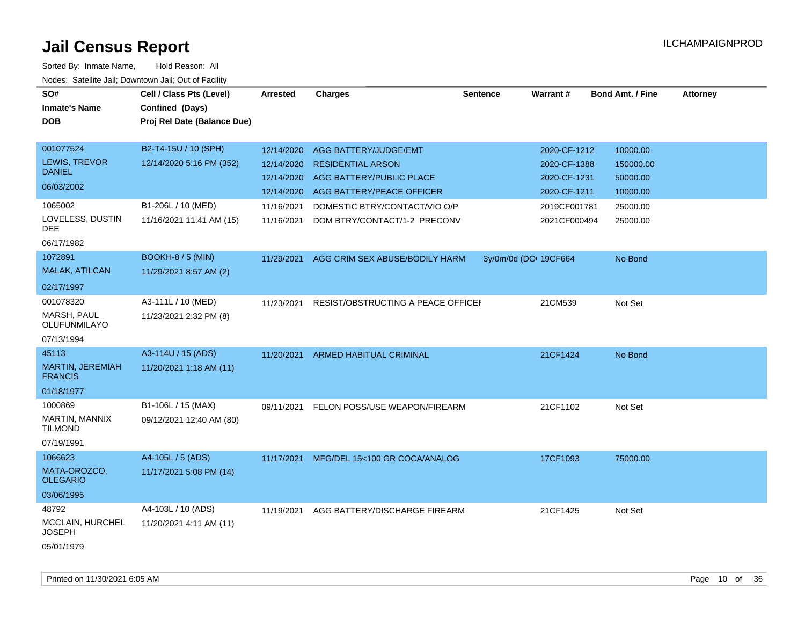| SO#<br><b>Inmate's Name</b><br><b>DOB</b>   | Cell / Class Pts (Level)<br>Confined (Days)<br>Proj Rel Date (Balance Due) | <b>Arrested</b> | <b>Charges</b>                     | <b>Sentence</b>       | Warrant#     | <b>Bond Amt. / Fine</b> | <b>Attorney</b> |
|---------------------------------------------|----------------------------------------------------------------------------|-----------------|------------------------------------|-----------------------|--------------|-------------------------|-----------------|
| 001077524                                   | B2-T4-15U / 10 (SPH)                                                       | 12/14/2020      | AGG BATTERY/JUDGE/EMT              |                       | 2020-CF-1212 | 10000.00                |                 |
| <b>LEWIS, TREVOR</b><br><b>DANIEL</b>       | 12/14/2020 5:16 PM (352)                                                   | 12/14/2020      | <b>RESIDENTIAL ARSON</b>           |                       | 2020-CF-1388 | 150000.00               |                 |
| 06/03/2002                                  |                                                                            | 12/14/2020      | AGG BATTERY/PUBLIC PLACE           |                       | 2020-CF-1231 | 50000.00                |                 |
|                                             |                                                                            | 12/14/2020      | AGG BATTERY/PEACE OFFICER          |                       | 2020-CF-1211 | 10000.00                |                 |
| 1065002                                     | B1-206L / 10 (MED)                                                         | 11/16/2021      | DOMESTIC BTRY/CONTACT/VIO O/P      |                       | 2019CF001781 | 25000.00                |                 |
| LOVELESS, DUSTIN<br>DEE                     | 11/16/2021 11:41 AM (15)                                                   | 11/16/2021      | DOM BTRY/CONTACT/1-2 PRECONV       |                       | 2021CF000494 | 25000.00                |                 |
| 06/17/1982                                  |                                                                            |                 |                                    |                       |              |                         |                 |
| 1072891                                     | <b>BOOKH-8 / 5 (MIN)</b>                                                   | 11/29/2021      | AGG CRIM SEX ABUSE/BODILY HARM     | 3y/0m/0d (DOI 19CF664 |              | No Bond                 |                 |
| MALAK, ATILCAN                              | 11/29/2021 8:57 AM (2)                                                     |                 |                                    |                       |              |                         |                 |
| 02/17/1997                                  |                                                                            |                 |                                    |                       |              |                         |                 |
| 001078320<br>MARSH, PAUL<br>OLUFUNMILAYO    | A3-111L / 10 (MED)<br>11/23/2021 2:32 PM (8)                               | 11/23/2021      | RESIST/OBSTRUCTING A PEACE OFFICEF |                       | 21CM539      | Not Set                 |                 |
| 07/13/1994                                  |                                                                            |                 |                                    |                       |              |                         |                 |
| 45113                                       | A3-114U / 15 (ADS)                                                         |                 | 11/20/2021 ARMED HABITUAL CRIMINAL |                       | 21CF1424     | No Bond                 |                 |
| MARTIN, JEREMIAH<br><b>FRANCIS</b>          | 11/20/2021 1:18 AM (11)                                                    |                 |                                    |                       |              |                         |                 |
| 01/18/1977                                  |                                                                            |                 |                                    |                       |              |                         |                 |
| 1000869<br>MARTIN, MANNIX<br><b>TILMOND</b> | B1-106L / 15 (MAX)<br>09/12/2021 12:40 AM (80)                             | 09/11/2021      | FELON POSS/USE WEAPON/FIREARM      |                       | 21CF1102     | Not Set                 |                 |
| 07/19/1991                                  |                                                                            |                 |                                    |                       |              |                         |                 |
| 1066623                                     | A4-105L / 5 (ADS)                                                          | 11/17/2021      | MFG/DEL 15<100 GR COCA/ANALOG      |                       | 17CF1093     | 75000.00                |                 |
| MATA-OROZCO,<br><b>OLEGARIO</b>             | 11/17/2021 5:08 PM (14)                                                    |                 |                                    |                       |              |                         |                 |
| 03/06/1995                                  |                                                                            |                 |                                    |                       |              |                         |                 |
| 48792                                       | A4-103L / 10 (ADS)                                                         | 11/19/2021      | AGG BATTERY/DISCHARGE FIREARM      |                       | 21CF1425     | Not Set                 |                 |
| MCCLAIN, HURCHEL<br><b>JOSEPH</b>           | 11/20/2021 4:11 AM (11)                                                    |                 |                                    |                       |              |                         |                 |
| 05/01/1979                                  |                                                                            |                 |                                    |                       |              |                         |                 |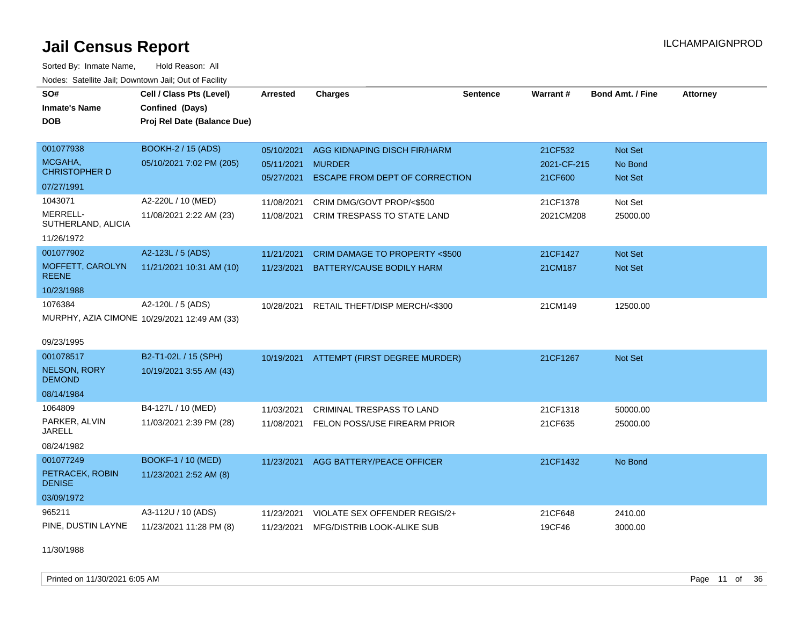Sorted By: Inmate Name, Hold Reason: All Nodes: Satellite Jail; Downtown Jail; Out of Facility

| SO#                                  | Cell / Class Pts (Level)                     | <b>Arrested</b> | <b>Charges</b>                        | <b>Sentence</b> | <b>Warrant#</b> | <b>Bond Amt. / Fine</b> | <b>Attorney</b> |
|--------------------------------------|----------------------------------------------|-----------------|---------------------------------------|-----------------|-----------------|-------------------------|-----------------|
| <b>Inmate's Name</b>                 | Confined (Days)                              |                 |                                       |                 |                 |                         |                 |
| <b>DOB</b>                           | Proj Rel Date (Balance Due)                  |                 |                                       |                 |                 |                         |                 |
| 001077938                            | <b>BOOKH-2 / 15 (ADS)</b>                    | 05/10/2021      | AGG KIDNAPING DISCH FIR/HARM          |                 | 21CF532         | Not Set                 |                 |
| MCGAHA.                              | 05/10/2021 7:02 PM (205)                     | 05/11/2021      | <b>MURDER</b>                         |                 | 2021-CF-215     | No Bond                 |                 |
| <b>CHRISTOPHER D</b>                 |                                              | 05/27/2021      | <b>ESCAPE FROM DEPT OF CORRECTION</b> |                 | 21CF600         | Not Set                 |                 |
| 07/27/1991                           |                                              |                 |                                       |                 |                 |                         |                 |
| 1043071                              | A2-220L / 10 (MED)                           | 11/08/2021      | CRIM DMG/GOVT PROP/<\$500             |                 | 21CF1378        | Not Set                 |                 |
| MERRELL-<br>SUTHERLAND, ALICIA       | 11/08/2021 2:22 AM (23)                      | 11/08/2021      | <b>CRIM TRESPASS TO STATE LAND</b>    |                 | 2021CM208       | 25000.00                |                 |
| 11/26/1972                           |                                              |                 |                                       |                 |                 |                         |                 |
| 001077902                            | A2-123L / 5 (ADS)                            | 11/21/2021      | CRIM DAMAGE TO PROPERTY <\$500        |                 | 21CF1427        | Not Set                 |                 |
| MOFFETT, CAROLYN<br><b>REENE</b>     | 11/21/2021 10:31 AM (10)                     | 11/23/2021      | BATTERY/CAUSE BODILY HARM             |                 | 21CM187         | Not Set                 |                 |
| 10/23/1988                           |                                              |                 |                                       |                 |                 |                         |                 |
| 1076384                              | A2-120L / 5 (ADS)                            | 10/28/2021      | RETAIL THEFT/DISP MERCH/<\$300        |                 | 21CM149         | 12500.00                |                 |
|                                      | MURPHY, AZIA CIMONE 10/29/2021 12:49 AM (33) |                 |                                       |                 |                 |                         |                 |
| 09/23/1995                           |                                              |                 |                                       |                 |                 |                         |                 |
| 001078517                            | B2-T1-02L / 15 (SPH)                         | 10/19/2021      | ATTEMPT (FIRST DEGREE MURDER)         |                 | 21CF1267        | <b>Not Set</b>          |                 |
| <b>NELSON, RORY</b><br><b>DEMOND</b> | 10/19/2021 3:55 AM (43)                      |                 |                                       |                 |                 |                         |                 |
| 08/14/1984                           |                                              |                 |                                       |                 |                 |                         |                 |
| 1064809                              | B4-127L / 10 (MED)                           | 11/03/2021      | CRIMINAL TRESPASS TO LAND             |                 | 21CF1318        | 50000.00                |                 |
| PARKER, ALVIN<br><b>JARELL</b>       | 11/03/2021 2:39 PM (28)                      | 11/08/2021      | <b>FELON POSS/USE FIREARM PRIOR</b>   |                 | 21CF635         | 25000.00                |                 |
| 08/24/1982                           |                                              |                 |                                       |                 |                 |                         |                 |
| 001077249                            | BOOKF-1 / 10 (MED)                           | 11/23/2021      | AGG BATTERY/PEACE OFFICER             |                 | 21CF1432        | No Bond                 |                 |
| PETRACEK, ROBIN<br><b>DENISE</b>     | 11/23/2021 2:52 AM (8)                       |                 |                                       |                 |                 |                         |                 |
| 03/09/1972                           |                                              |                 |                                       |                 |                 |                         |                 |
| 965211                               | A3-112U / 10 (ADS)                           | 11/23/2021      | VIOLATE SEX OFFENDER REGIS/2+         |                 | 21CF648         | 2410.00                 |                 |
| PINE, DUSTIN LAYNE                   | 11/23/2021 11:28 PM (8)                      |                 | 11/23/2021 MFG/DISTRIB LOOK-ALIKE SUB |                 | 19CF46          | 3000.00                 |                 |

11/30/1988

Printed on 11/30/2021 6:05 AM Page 11 of 36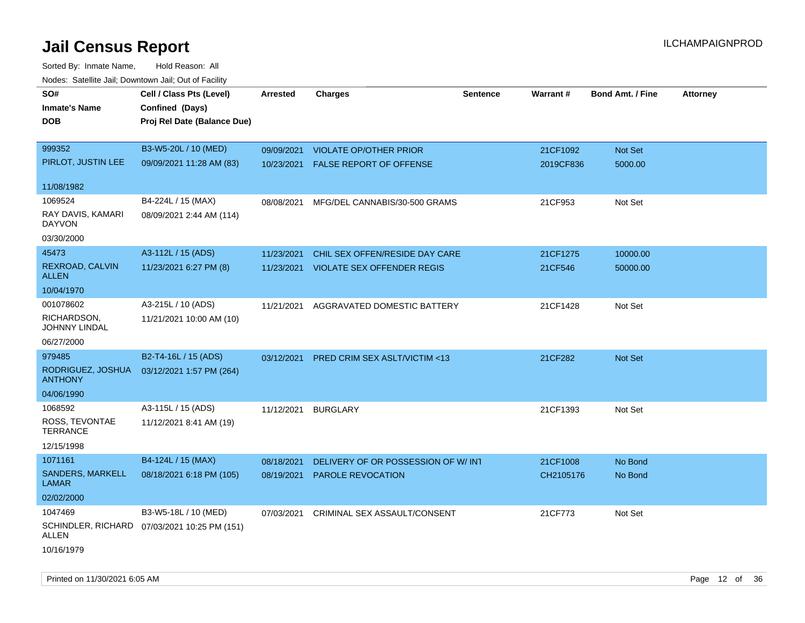| roaco. Catolino dall, Downtown dall, Out of Fability |                                              |            |                                    |                 |           |                         |                 |
|------------------------------------------------------|----------------------------------------------|------------|------------------------------------|-----------------|-----------|-------------------------|-----------------|
| SO#                                                  | Cell / Class Pts (Level)                     | Arrested   | <b>Charges</b>                     | <b>Sentence</b> | Warrant#  | <b>Bond Amt. / Fine</b> | <b>Attorney</b> |
| <b>Inmate's Name</b>                                 | Confined (Days)                              |            |                                    |                 |           |                         |                 |
| DOB.                                                 | Proj Rel Date (Balance Due)                  |            |                                    |                 |           |                         |                 |
|                                                      |                                              |            |                                    |                 |           |                         |                 |
| 999352                                               | B3-W5-20L / 10 (MED)                         | 09/09/2021 | <b>VIOLATE OP/OTHER PRIOR</b>      |                 | 21CF1092  | Not Set                 |                 |
| PIRLOT, JUSTIN LEE                                   | 09/09/2021 11:28 AM (83)                     |            | 10/23/2021 FALSE REPORT OF OFFENSE |                 | 2019CF836 | 5000.00                 |                 |
|                                                      |                                              |            |                                    |                 |           |                         |                 |
| 11/08/1982                                           |                                              |            |                                    |                 |           |                         |                 |
| 1069524                                              | B4-224L / 15 (MAX)                           | 08/08/2021 | MFG/DEL CANNABIS/30-500 GRAMS      |                 | 21CF953   | Not Set                 |                 |
| RAY DAVIS, KAMARI<br><b>DAYVON</b>                   | 08/09/2021 2:44 AM (114)                     |            |                                    |                 |           |                         |                 |
| 03/30/2000                                           |                                              |            |                                    |                 |           |                         |                 |
| 45473                                                | A3-112L / 15 (ADS)                           | 11/23/2021 | CHIL SEX OFFEN/RESIDE DAY CARE     |                 | 21CF1275  | 10000.00                |                 |
| REXROAD, CALVIN                                      | 11/23/2021 6:27 PM (8)                       | 11/23/2021 | <b>VIOLATE SEX OFFENDER REGIS</b>  |                 | 21CF546   | 50000.00                |                 |
| <b>ALLEN</b>                                         |                                              |            |                                    |                 |           |                         |                 |
| 10/04/1970                                           |                                              |            |                                    |                 |           |                         |                 |
| 001078602                                            | A3-215L / 10 (ADS)                           | 11/21/2021 | AGGRAVATED DOMESTIC BATTERY        |                 | 21CF1428  | Not Set                 |                 |
| RICHARDSON,<br>JOHNNY LINDAL                         | 11/21/2021 10:00 AM (10)                     |            |                                    |                 |           |                         |                 |
| 06/27/2000                                           |                                              |            |                                    |                 |           |                         |                 |
| 979485                                               | B2-T4-16L / 15 (ADS)                         | 03/12/2021 | PRED CRIM SEX ASLT/VICTIM <13      |                 | 21CF282   | Not Set                 |                 |
| RODRIGUEZ, JOSHUA<br><b>ANTHONY</b>                  | 03/12/2021 1:57 PM (264)                     |            |                                    |                 |           |                         |                 |
| 04/06/1990                                           |                                              |            |                                    |                 |           |                         |                 |
| 1068592                                              | A3-115L / 15 (ADS)                           | 11/12/2021 | <b>BURGLARY</b>                    |                 | 21CF1393  | Not Set                 |                 |
| ROSS, TEVONTAE<br>TERRANCE                           | 11/12/2021 8:41 AM (19)                      |            |                                    |                 |           |                         |                 |
| 12/15/1998                                           |                                              |            |                                    |                 |           |                         |                 |
| 1071161                                              | B4-124L / 15 (MAX)                           | 08/18/2021 | DELIVERY OF OR POSSESSION OF W/INT |                 | 21CF1008  | No Bond                 |                 |
| SANDERS, MARKELL<br><b>LAMAR</b>                     | 08/18/2021 6:18 PM (105)                     | 08/19/2021 | <b>PAROLE REVOCATION</b>           |                 | CH2105176 | No Bond                 |                 |
| 02/02/2000                                           |                                              |            |                                    |                 |           |                         |                 |
| 1047469                                              | B3-W5-18L / 10 (MED)                         | 07/03/2021 | CRIMINAL SEX ASSAULT/CONSENT       |                 | 21CF773   | Not Set                 |                 |
| ALLEN                                                | SCHINDLER, RICHARD 07/03/2021 10:25 PM (151) |            |                                    |                 |           |                         |                 |
| 10/16/1979                                           |                                              |            |                                    |                 |           |                         |                 |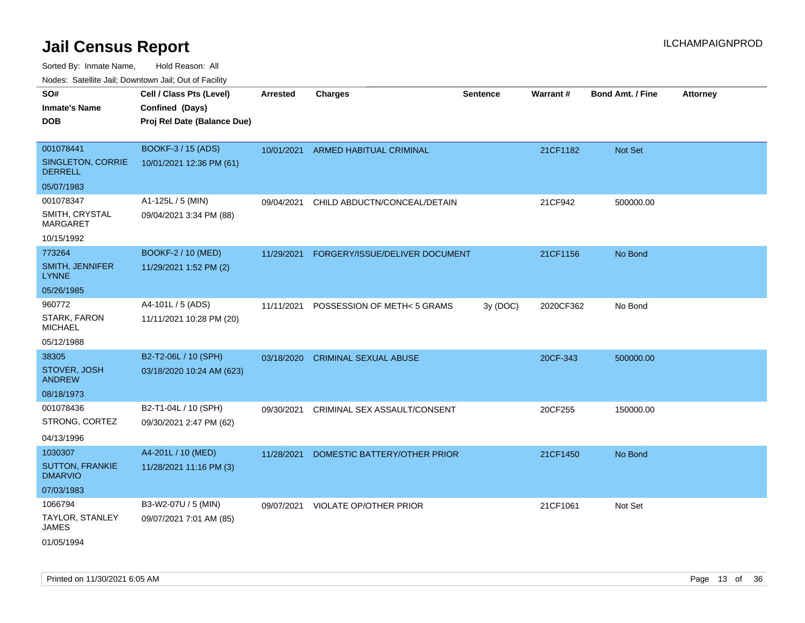| ivuutos. Saltiilit Jali, Duwilluwii Jali, Oul of Facility |                             |                 |                                |                 |           |                  |                 |
|-----------------------------------------------------------|-----------------------------|-----------------|--------------------------------|-----------------|-----------|------------------|-----------------|
| SO#                                                       | Cell / Class Pts (Level)    | <b>Arrested</b> | <b>Charges</b>                 | <b>Sentence</b> | Warrant#  | Bond Amt. / Fine | <b>Attorney</b> |
| <b>Inmate's Name</b>                                      | Confined (Days)             |                 |                                |                 |           |                  |                 |
| <b>DOB</b>                                                | Proj Rel Date (Balance Due) |                 |                                |                 |           |                  |                 |
|                                                           |                             |                 |                                |                 |           |                  |                 |
| 001078441                                                 | <b>BOOKF-3 / 15 (ADS)</b>   | 10/01/2021      | ARMED HABITUAL CRIMINAL        |                 | 21CF1182  | Not Set          |                 |
| <b>SINGLETON, CORRIE</b><br><b>DERRELL</b>                | 10/01/2021 12:36 PM (61)    |                 |                                |                 |           |                  |                 |
| 05/07/1983                                                |                             |                 |                                |                 |           |                  |                 |
| 001078347                                                 | A1-125L / 5 (MIN)           | 09/04/2021      | CHILD ABDUCTN/CONCEAL/DETAIN   |                 | 21CF942   | 500000.00        |                 |
| SMITH, CRYSTAL<br><b>MARGARET</b>                         | 09/04/2021 3:34 PM (88)     |                 |                                |                 |           |                  |                 |
| 10/15/1992                                                |                             |                 |                                |                 |           |                  |                 |
| 773264                                                    | BOOKF-2 / 10 (MED)          | 11/29/2021      | FORGERY/ISSUE/DELIVER DOCUMENT |                 | 21CF1156  | No Bond          |                 |
| <b>SMITH, JENNIFER</b><br><b>LYNNE</b>                    | 11/29/2021 1:52 PM (2)      |                 |                                |                 |           |                  |                 |
| 05/26/1985                                                |                             |                 |                                |                 |           |                  |                 |
| 960772                                                    | A4-101L / 5 (ADS)           | 11/11/2021      | POSSESSION OF METH< 5 GRAMS    | 3y (DOC)        | 2020CF362 | No Bond          |                 |
| STARK, FARON<br><b>MICHAEL</b>                            | 11/11/2021 10:28 PM (20)    |                 |                                |                 |           |                  |                 |
| 05/12/1988                                                |                             |                 |                                |                 |           |                  |                 |
| 38305                                                     | B2-T2-06L / 10 (SPH)        | 03/18/2020      | <b>CRIMINAL SEXUAL ABUSE</b>   |                 | 20CF-343  | 500000.00        |                 |
| STOVER, JOSH<br><b>ANDREW</b>                             | 03/18/2020 10:24 AM (623)   |                 |                                |                 |           |                  |                 |
| 08/18/1973                                                |                             |                 |                                |                 |           |                  |                 |
| 001078436                                                 | B2-T1-04L / 10 (SPH)        | 09/30/2021      | CRIMINAL SEX ASSAULT/CONSENT   |                 | 20CF255   | 150000.00        |                 |
| STRONG, CORTEZ                                            | 09/30/2021 2:47 PM (62)     |                 |                                |                 |           |                  |                 |
| 04/13/1996                                                |                             |                 |                                |                 |           |                  |                 |
| 1030307                                                   | A4-201L / 10 (MED)          | 11/28/2021      | DOMESTIC BATTERY/OTHER PRIOR   |                 | 21CF1450  | No Bond          |                 |
| <b>SUTTON, FRANKIE</b><br><b>DMARVIO</b>                  | 11/28/2021 11:16 PM (3)     |                 |                                |                 |           |                  |                 |
| 07/03/1983                                                |                             |                 |                                |                 |           |                  |                 |
| 1066794                                                   | B3-W2-07U / 5 (MIN)         | 09/07/2021      | <b>VIOLATE OP/OTHER PRIOR</b>  |                 | 21CF1061  | Not Set          |                 |
| <b>TAYLOR, STANLEY</b><br>JAMES                           | 09/07/2021 7:01 AM (85)     |                 |                                |                 |           |                  |                 |
| 01/05/1994                                                |                             |                 |                                |                 |           |                  |                 |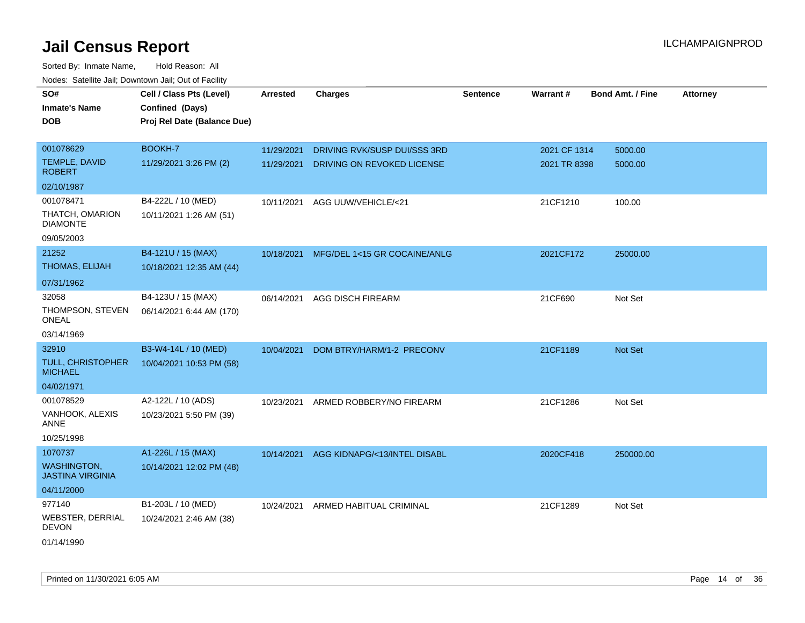| <b>Nouro:</b> Catoline Jan, Downtown Jan, Out of Fability |                             |                 |                              |                 |              |                         |                 |
|-----------------------------------------------------------|-----------------------------|-----------------|------------------------------|-----------------|--------------|-------------------------|-----------------|
| SO#                                                       | Cell / Class Pts (Level)    | <b>Arrested</b> | <b>Charges</b>               | <b>Sentence</b> | Warrant#     | <b>Bond Amt. / Fine</b> | <b>Attorney</b> |
| <b>Inmate's Name</b>                                      | Confined (Days)             |                 |                              |                 |              |                         |                 |
| <b>DOB</b>                                                | Proj Rel Date (Balance Due) |                 |                              |                 |              |                         |                 |
|                                                           |                             |                 |                              |                 |              |                         |                 |
| 001078629                                                 | BOOKH-7                     | 11/29/2021      | DRIVING RVK/SUSP DUI/SSS 3RD |                 | 2021 CF 1314 | 5000.00                 |                 |
| TEMPLE, DAVID<br><b>ROBERT</b>                            | 11/29/2021 3:26 PM (2)      | 11/29/2021      | DRIVING ON REVOKED LICENSE   |                 | 2021 TR 8398 | 5000.00                 |                 |
| 02/10/1987                                                |                             |                 |                              |                 |              |                         |                 |
| 001078471                                                 | B4-222L / 10 (MED)          | 10/11/2021      | AGG UUW/VEHICLE/<21          |                 | 21CF1210     | 100.00                  |                 |
| THATCH, OMARION<br><b>DIAMONTE</b>                        | 10/11/2021 1:26 AM (51)     |                 |                              |                 |              |                         |                 |
| 09/05/2003                                                |                             |                 |                              |                 |              |                         |                 |
| 21252                                                     | B4-121U / 15 (MAX)          | 10/18/2021      | MFG/DEL 1<15 GR COCAINE/ANLG |                 | 2021CF172    | 25000.00                |                 |
| <b>THOMAS, ELIJAH</b>                                     | 10/18/2021 12:35 AM (44)    |                 |                              |                 |              |                         |                 |
| 07/31/1962                                                |                             |                 |                              |                 |              |                         |                 |
| 32058                                                     | B4-123U / 15 (MAX)          | 06/14/2021      | <b>AGG DISCH FIREARM</b>     |                 | 21CF690      | Not Set                 |                 |
| THOMPSON, STEVEN<br>ONEAL                                 | 06/14/2021 6:44 AM (170)    |                 |                              |                 |              |                         |                 |
| 03/14/1969                                                |                             |                 |                              |                 |              |                         |                 |
| 32910                                                     | B3-W4-14L / 10 (MED)        | 10/04/2021      | DOM BTRY/HARM/1-2 PRECONV    |                 | 21CF1189     | <b>Not Set</b>          |                 |
| <b>TULL, CHRISTOPHER</b><br><b>MICHAEL</b>                | 10/04/2021 10:53 PM (58)    |                 |                              |                 |              |                         |                 |
| 04/02/1971                                                |                             |                 |                              |                 |              |                         |                 |
| 001078529                                                 | A2-122L / 10 (ADS)          | 10/23/2021      | ARMED ROBBERY/NO FIREARM     |                 | 21CF1286     | Not Set                 |                 |
| VANHOOK, ALEXIS<br>ANNE                                   | 10/23/2021 5:50 PM (39)     |                 |                              |                 |              |                         |                 |
| 10/25/1998                                                |                             |                 |                              |                 |              |                         |                 |
| 1070737                                                   | A1-226L / 15 (MAX)          | 10/14/2021      | AGG KIDNAPG/<13/INTEL DISABL |                 | 2020CF418    | 250000.00               |                 |
| <b>WASHINGTON,</b><br><b>JASTINA VIRGINIA</b>             | 10/14/2021 12:02 PM (48)    |                 |                              |                 |              |                         |                 |
| 04/11/2000                                                |                             |                 |                              |                 |              |                         |                 |
| 977140                                                    | B1-203L / 10 (MED)          | 10/24/2021      | ARMED HABITUAL CRIMINAL      |                 | 21CF1289     | Not Set                 |                 |
| <b>WEBSTER, DERRIAL</b><br><b>DEVON</b>                   | 10/24/2021 2:46 AM (38)     |                 |                              |                 |              |                         |                 |
| 01/14/1990                                                |                             |                 |                              |                 |              |                         |                 |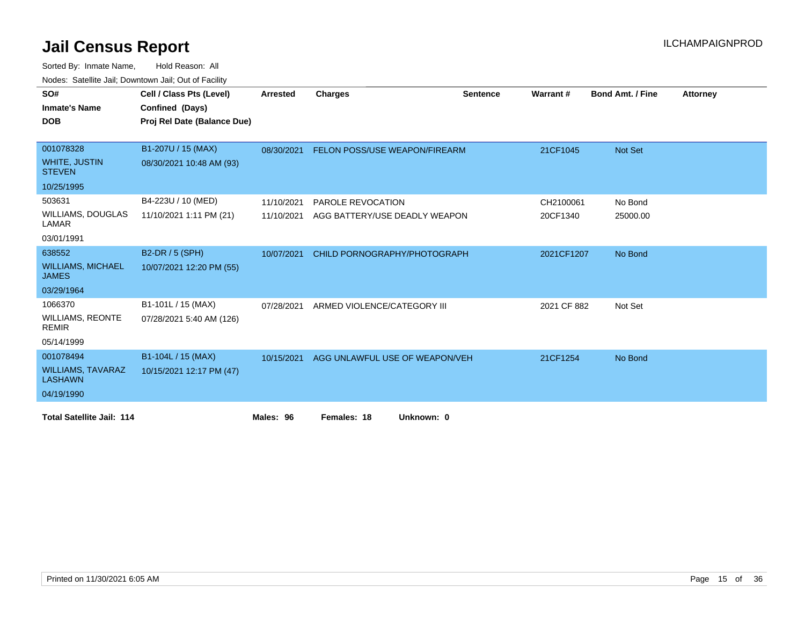| SO#                                        | Cell / Class Pts (Level)    | <b>Arrested</b> | <b>Charges</b>                       | <b>Sentence</b> | Warrant#    | <b>Bond Amt. / Fine</b> | <b>Attorney</b> |
|--------------------------------------------|-----------------------------|-----------------|--------------------------------------|-----------------|-------------|-------------------------|-----------------|
| <b>Inmate's Name</b>                       | Confined (Days)             |                 |                                      |                 |             |                         |                 |
|                                            |                             |                 |                                      |                 |             |                         |                 |
| <b>DOB</b>                                 | Proj Rel Date (Balance Due) |                 |                                      |                 |             |                         |                 |
|                                            |                             |                 |                                      |                 |             |                         |                 |
| 001078328                                  | B1-207U / 15 (MAX)          | 08/30/2021      | <b>FELON POSS/USE WEAPON/FIREARM</b> |                 | 21CF1045    | Not Set                 |                 |
| <b>WHITE, JUSTIN</b><br><b>STEVEN</b>      | 08/30/2021 10:48 AM (93)    |                 |                                      |                 |             |                         |                 |
| 10/25/1995                                 |                             |                 |                                      |                 |             |                         |                 |
| 503631                                     | B4-223U / 10 (MED)          | 11/10/2021      | <b>PAROLE REVOCATION</b>             |                 | CH2100061   | No Bond                 |                 |
| <b>WILLIAMS, DOUGLAS</b><br>LAMAR          | 11/10/2021 1:11 PM (21)     | 11/10/2021      | AGG BATTERY/USE DEADLY WEAPON        |                 | 20CF1340    | 25000.00                |                 |
| 03/01/1991                                 |                             |                 |                                      |                 |             |                         |                 |
| 638552                                     | B2-DR / 5 (SPH)             | 10/07/2021      | CHILD PORNOGRAPHY/PHOTOGRAPH         |                 | 2021CF1207  | No Bond                 |                 |
| <b>WILLIAMS, MICHAEL</b><br><b>JAMES</b>   | 10/07/2021 12:20 PM (55)    |                 |                                      |                 |             |                         |                 |
| 03/29/1964                                 |                             |                 |                                      |                 |             |                         |                 |
| 1066370                                    | B1-101L / 15 (MAX)          | 07/28/2021      | ARMED VIOLENCE/CATEGORY III          |                 | 2021 CF 882 | Not Set                 |                 |
| <b>WILLIAMS, REONTE</b><br><b>REMIR</b>    | 07/28/2021 5:40 AM (126)    |                 |                                      |                 |             |                         |                 |
| 05/14/1999                                 |                             |                 |                                      |                 |             |                         |                 |
| 001078494                                  | B1-104L / 15 (MAX)          | 10/15/2021      | AGG UNLAWFUL USE OF WEAPON/VEH       |                 | 21CF1254    | No Bond                 |                 |
| <b>WILLIAMS, TAVARAZ</b><br><b>LASHAWN</b> | 10/15/2021 12:17 PM (47)    |                 |                                      |                 |             |                         |                 |
| 04/19/1990                                 |                             |                 |                                      |                 |             |                         |                 |
| <b>Total Satellite Jail: 114</b>           |                             | Males: 96       | Females: 18<br>Unknown: 0            |                 |             |                         |                 |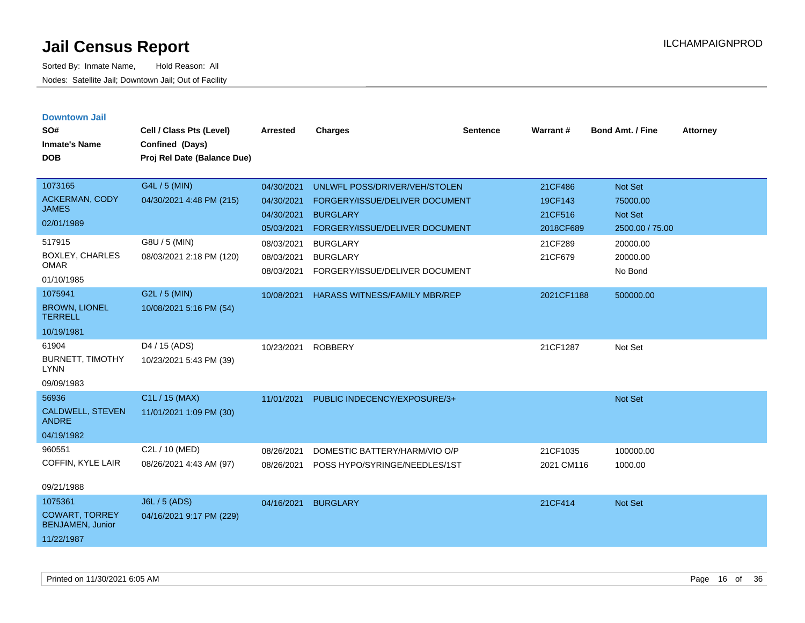| <b>Downtown Jail</b><br>SO#                      | Cell / Class Pts (Level)    | <b>Arrested</b> | <b>Charges</b>                                    | <b>Sentence</b> | Warrant#             | <b>Bond Amt. / Fine</b>    | <b>Attorney</b> |
|--------------------------------------------------|-----------------------------|-----------------|---------------------------------------------------|-----------------|----------------------|----------------------------|-----------------|
| <b>Inmate's Name</b>                             | Confined (Days)             |                 |                                                   |                 |                      |                            |                 |
| <b>DOB</b>                                       | Proj Rel Date (Balance Due) |                 |                                                   |                 |                      |                            |                 |
|                                                  |                             |                 |                                                   |                 |                      |                            |                 |
| 1073165                                          | G4L / 5 (MIN)               | 04/30/2021      | UNLWFL POSS/DRIVER/VEH/STOLEN                     |                 | 21CF486              | Not Set                    |                 |
| <b>ACKERMAN, CODY</b><br><b>JAMES</b>            | 04/30/2021 4:48 PM (215)    | 04/30/2021      | FORGERY/ISSUE/DELIVER DOCUMENT                    |                 | 19CF143              | 75000.00                   |                 |
| 02/01/1989                                       |                             | 04/30/2021      | <b>BURGLARY</b><br>FORGERY/ISSUE/DELIVER DOCUMENT |                 | 21CF516<br>2018CF689 | Not Set<br>2500.00 / 75.00 |                 |
| 517915                                           | G8U / 5 (MIN)               | 05/03/2021      |                                                   |                 |                      |                            |                 |
| BOXLEY, CHARLES                                  |                             | 08/03/2021      | <b>BURGLARY</b>                                   |                 | 21CF289              | 20000.00                   |                 |
| <b>OMAR</b>                                      | 08/03/2021 2:18 PM (120)    | 08/03/2021      | <b>BURGLARY</b>                                   |                 | 21CF679              | 20000.00<br>No Bond        |                 |
| 01/10/1985                                       |                             | 08/03/2021      | FORGERY/ISSUE/DELIVER DOCUMENT                    |                 |                      |                            |                 |
| 1075941                                          | G2L / 5 (MIN)               | 10/08/2021      | HARASS WITNESS/FAMILY MBR/REP                     |                 | 2021CF1188           | 500000.00                  |                 |
| <b>BROWN, LIONEL</b><br><b>TERRELL</b>           | 10/08/2021 5:16 PM (54)     |                 |                                                   |                 |                      |                            |                 |
| 10/19/1981                                       |                             |                 |                                                   |                 |                      |                            |                 |
| 61904                                            | D <sub>4</sub> / 15 (ADS)   | 10/23/2021      | <b>ROBBERY</b>                                    |                 | 21CF1287             | Not Set                    |                 |
| <b>BURNETT, TIMOTHY</b><br><b>LYNN</b>           | 10/23/2021 5:43 PM (39)     |                 |                                                   |                 |                      |                            |                 |
| 09/09/1983                                       |                             |                 |                                                   |                 |                      |                            |                 |
| 56936                                            | C1L / 15 (MAX)              | 11/01/2021      | PUBLIC INDECENCY/EXPOSURE/3+                      |                 |                      | <b>Not Set</b>             |                 |
| <b>CALDWELL, STEVEN</b><br><b>ANDRE</b>          | 11/01/2021 1:09 PM (30)     |                 |                                                   |                 |                      |                            |                 |
| 04/19/1982                                       |                             |                 |                                                   |                 |                      |                            |                 |
| 960551                                           | C2L / 10 (MED)              | 08/26/2021      | DOMESTIC BATTERY/HARM/VIO O/P                     |                 | 21CF1035             | 100000.00                  |                 |
| COFFIN, KYLE LAIR                                | 08/26/2021 4:43 AM (97)     | 08/26/2021      | POSS HYPO/SYRINGE/NEEDLES/1ST                     |                 | 2021 CM116           | 1000.00                    |                 |
| 09/21/1988                                       |                             |                 |                                                   |                 |                      |                            |                 |
| 1075361                                          | J6L / 5 (ADS)               | 04/16/2021      | <b>BURGLARY</b>                                   |                 | 21CF414              | <b>Not Set</b>             |                 |
| <b>COWART, TORREY</b><br><b>BENJAMEN, Junior</b> | 04/16/2021 9:17 PM (229)    |                 |                                                   |                 |                      |                            |                 |
| 11/22/1987                                       |                             |                 |                                                   |                 |                      |                            |                 |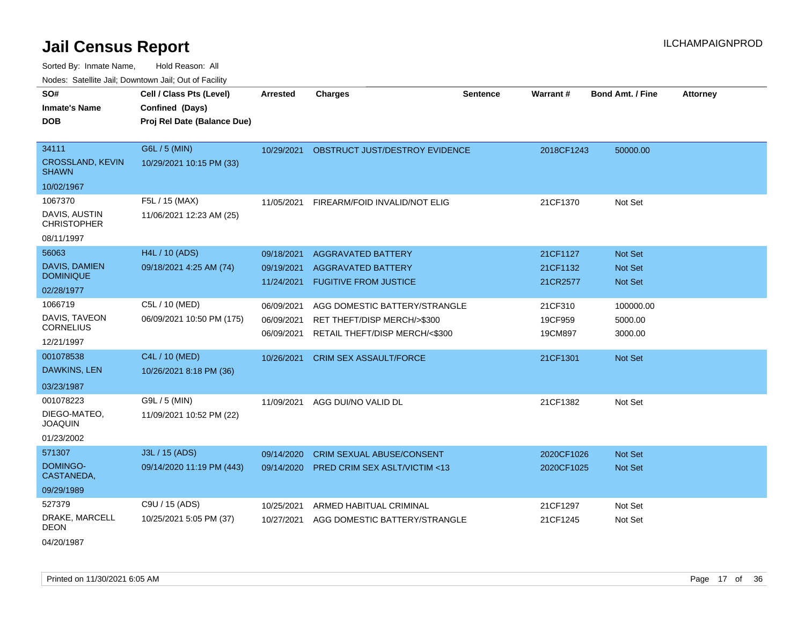Sorted By: Inmate Name, Hold Reason: All Nodes: Satellite Jail; Downtown Jail; Out of Facility

| <u>Rodos.</u> Odiolino dali, Downtown dali, Odi of Fabilit |                                                                            |                 |                                         |          |            |                         |                 |
|------------------------------------------------------------|----------------------------------------------------------------------------|-----------------|-----------------------------------------|----------|------------|-------------------------|-----------------|
| SO#<br><b>Inmate's Name</b><br><b>DOB</b>                  | Cell / Class Pts (Level)<br>Confined (Days)<br>Proj Rel Date (Balance Due) | <b>Arrested</b> | <b>Charges</b>                          | Sentence | Warrant#   | <b>Bond Amt. / Fine</b> | <b>Attorney</b> |
|                                                            |                                                                            |                 |                                         |          |            |                         |                 |
| 34111                                                      | G6L / 5 (MIN)                                                              | 10/29/2021      | OBSTRUCT JUST/DESTROY EVIDENCE          |          | 2018CF1243 | 50000.00                |                 |
| <b>CROSSLAND, KEVIN</b><br><b>SHAWN</b>                    | 10/29/2021 10:15 PM (33)                                                   |                 |                                         |          |            |                         |                 |
| 10/02/1967                                                 |                                                                            |                 |                                         |          |            |                         |                 |
| 1067370                                                    | F5L / 15 (MAX)                                                             | 11/05/2021      | FIREARM/FOID INVALID/NOT ELIG           |          | 21CF1370   | Not Set                 |                 |
| DAVIS, AUSTIN<br><b>CHRISTOPHER</b>                        | 11/06/2021 12:23 AM (25)                                                   |                 |                                         |          |            |                         |                 |
| 08/11/1997                                                 |                                                                            |                 |                                         |          |            |                         |                 |
| 56063                                                      | H4L / 10 (ADS)                                                             | 09/18/2021      | <b>AGGRAVATED BATTERY</b>               |          | 21CF1127   | Not Set                 |                 |
| <b>DAVIS, DAMIEN</b>                                       | 09/18/2021 4:25 AM (74)                                                    | 09/19/2021      | <b>AGGRAVATED BATTERY</b>               |          | 21CF1132   | <b>Not Set</b>          |                 |
| <b>DOMINIQUE</b>                                           |                                                                            | 11/24/2021      | <b>FUGITIVE FROM JUSTICE</b>            |          | 21CR2577   | <b>Not Set</b>          |                 |
| 02/28/1977                                                 |                                                                            |                 |                                         |          |            |                         |                 |
| 1066719                                                    | C5L / 10 (MED)                                                             | 06/09/2021      | AGG DOMESTIC BATTERY/STRANGLE           |          | 21CF310    | 100000.00               |                 |
| DAVIS, TAVEON                                              | 06/09/2021 10:50 PM (175)                                                  | 06/09/2021      | RET THEFT/DISP MERCH/>\$300             |          | 19CF959    | 5000.00                 |                 |
| <b>CORNELIUS</b>                                           |                                                                            | 06/09/2021      | RETAIL THEFT/DISP MERCH/<\$300          |          | 19CM897    | 3000.00                 |                 |
| 12/21/1997                                                 |                                                                            |                 |                                         |          |            |                         |                 |
| 001078538                                                  | C4L / 10 (MED)                                                             | 10/26/2021      | <b>CRIM SEX ASSAULT/FORCE</b>           |          | 21CF1301   | Not Set                 |                 |
| <b>DAWKINS, LEN</b>                                        | 10/26/2021 8:18 PM (36)                                                    |                 |                                         |          |            |                         |                 |
| 03/23/1987                                                 |                                                                            |                 |                                         |          |            |                         |                 |
| 001078223                                                  | G9L / 5 (MIN)                                                              | 11/09/2021      | AGG DUI/NO VALID DL                     |          | 21CF1382   | Not Set                 |                 |
| DIEGO-MATEO,<br><b>JOAQUIN</b>                             | 11/09/2021 10:52 PM (22)                                                   |                 |                                         |          |            |                         |                 |
| 01/23/2002                                                 |                                                                            |                 |                                         |          |            |                         |                 |
| 571307                                                     | J3L / 15 (ADS)                                                             | 09/14/2020      | <b>CRIM SEXUAL ABUSE/CONSENT</b>        |          | 2020CF1026 | <b>Not Set</b>          |                 |
| DOMINGO-<br>CASTANEDA,                                     | 09/14/2020 11:19 PM (443)                                                  | 09/14/2020      | <b>PRED CRIM SEX ASLT/VICTIM &lt;13</b> |          | 2020CF1025 | Not Set                 |                 |
| 09/29/1989                                                 |                                                                            |                 |                                         |          |            |                         |                 |
| 527379                                                     | C9U / 15 (ADS)                                                             | 10/25/2021      | ARMED HABITUAL CRIMINAL                 |          | 21CF1297   | Not Set                 |                 |
| DRAKE, MARCELL<br>DEON                                     | 10/25/2021 5:05 PM (37)                                                    | 10/27/2021      | AGG DOMESTIC BATTERY/STRANGLE           |          | 21CF1245   | Not Set                 |                 |
| 04/20/1987                                                 |                                                                            |                 |                                         |          |            |                         |                 |

Printed on 11/30/2021 6:05 AM Page 17 of 36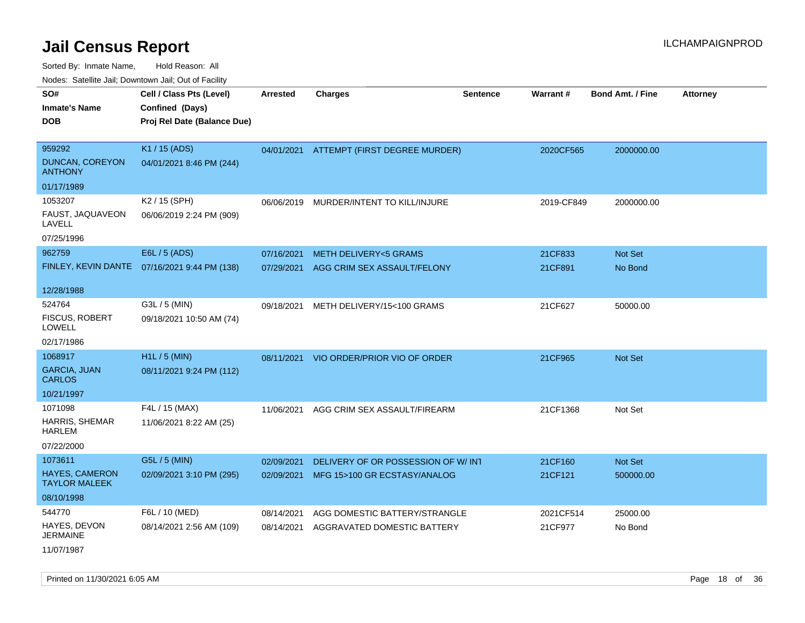Sorted By: Inmate Name, Hold Reason: All

Nodes: Satellite Jail; Downtown Jail; Out of Facility

| SO#<br><b>Inmate's Name</b><br><b>DOB</b>                | Cell / Class Pts (Level)<br>Confined (Days)<br>Proj Rel Date (Balance Due) | <b>Arrested</b>          | Charges                                                      | <b>Sentence</b> | Warrant#             | <b>Bond Amt. / Fine</b> | <b>Attorney</b> |
|----------------------------------------------------------|----------------------------------------------------------------------------|--------------------------|--------------------------------------------------------------|-----------------|----------------------|-------------------------|-----------------|
| 959292<br>DUNCAN, COREYON<br><b>ANTHONY</b>              | K1 / 15 (ADS)<br>04/01/2021 8:46 PM (244)                                  |                          | 04/01/2021 ATTEMPT (FIRST DEGREE MURDER)                     |                 | 2020CF565            | 2000000.00              |                 |
| 01/17/1989                                               |                                                                            |                          |                                                              |                 |                      |                         |                 |
| 1053207<br>FAUST, JAQUAVEON<br>LAVELL<br>07/25/1996      | K2 / 15 (SPH)<br>06/06/2019 2:24 PM (909)                                  | 06/06/2019               | MURDER/INTENT TO KILL/INJURE                                 |                 | 2019-CF849           | 2000000.00              |                 |
| 962759                                                   | E6L / 5 (ADS)                                                              | 07/16/2021               | <b>METH DELIVERY&lt;5 GRAMS</b>                              |                 | 21CF833              | Not Set                 |                 |
| FINLEY, KEVIN DANTE                                      | 07/16/2021 9:44 PM (138)                                                   | 07/29/2021               | AGG CRIM SEX ASSAULT/FELONY                                  |                 | 21CF891              | No Bond                 |                 |
| 12/28/1988                                               |                                                                            |                          |                                                              |                 |                      |                         |                 |
| 524764<br>FISCUS, ROBERT<br>LOWELL                       | G3L / 5 (MIN)<br>09/18/2021 10:50 AM (74)                                  | 09/18/2021               | METH DELIVERY/15<100 GRAMS                                   |                 | 21CF627              | 50000.00                |                 |
| 02/17/1986<br>1068917                                    | H1L / 5 (MIN)                                                              |                          |                                                              |                 |                      |                         |                 |
| <b>GARCIA, JUAN</b><br><b>CARLOS</b>                     | 08/11/2021 9:24 PM (112)                                                   | 08/11/2021               | VIO ORDER/PRIOR VIO OF ORDER                                 |                 | 21CF965              | Not Set                 |                 |
| 10/21/1997                                               |                                                                            |                          |                                                              |                 |                      |                         |                 |
| 1071098<br>HARRIS, SHEMAR<br><b>HARLEM</b><br>07/22/2000 | F4L / 15 (MAX)<br>11/06/2021 8:22 AM (25)                                  | 11/06/2021               | AGG CRIM SEX ASSAULT/FIREARM                                 |                 | 21CF1368             | Not Set                 |                 |
| 1073611                                                  | G5L / 5 (MIN)                                                              | 02/09/2021               | DELIVERY OF OR POSSESSION OF W/ INT                          |                 | 21CF160              | Not Set                 |                 |
| <b>HAYES, CAMERON</b><br><b>TAYLOR MALEEK</b>            | 02/09/2021 3:10 PM (295)                                                   | 02/09/2021               | MFG 15>100 GR ECSTASY/ANALOG                                 |                 | 21CF121              | 500000.00               |                 |
| 08/10/1998                                               |                                                                            |                          |                                                              |                 |                      |                         |                 |
| 544770<br>HAYES, DEVON<br><b>JERMAINE</b>                | F6L / 10 (MED)<br>08/14/2021 2:56 AM (109)                                 | 08/14/2021<br>08/14/2021 | AGG DOMESTIC BATTERY/STRANGLE<br>AGGRAVATED DOMESTIC BATTERY |                 | 2021CF514<br>21CF977 | 25000.00<br>No Bond     |                 |

11/07/1987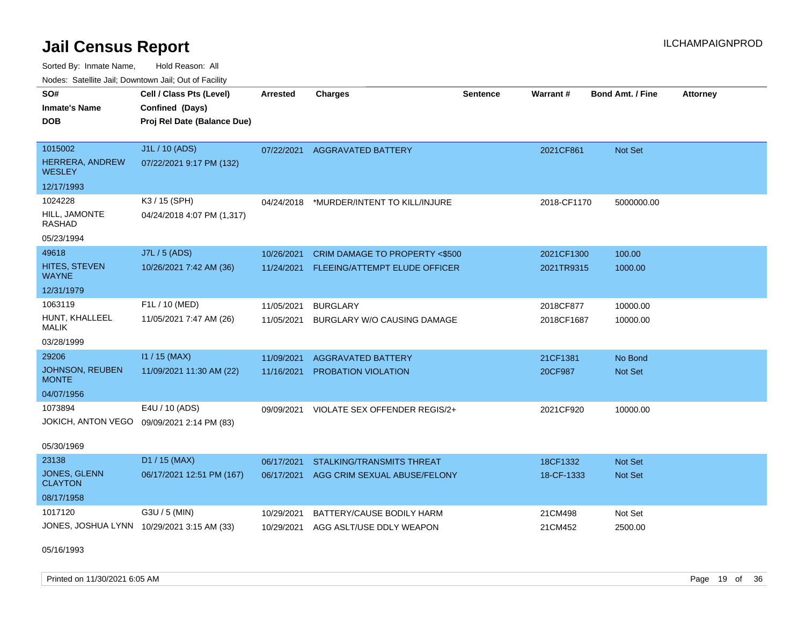Sorted By: Inmate Name, Hold Reason: All Nodes: Satellite Jail; Downtown Jail; Out of Facility

| Noues. Salenne Jan, Downtown Jan, Out of Facility |                                            |            |                                |                 |                 |                         |                 |
|---------------------------------------------------|--------------------------------------------|------------|--------------------------------|-----------------|-----------------|-------------------------|-----------------|
| SO#                                               | Cell / Class Pts (Level)                   | Arrested   | <b>Charges</b>                 | <b>Sentence</b> | <b>Warrant#</b> | <b>Bond Amt. / Fine</b> | <b>Attorney</b> |
| <b>Inmate's Name</b>                              | Confined (Days)                            |            |                                |                 |                 |                         |                 |
| <b>DOB</b>                                        | Proj Rel Date (Balance Due)                |            |                                |                 |                 |                         |                 |
|                                                   |                                            |            |                                |                 |                 |                         |                 |
| 1015002                                           | J1L / 10 (ADS)                             | 07/22/2021 | AGGRAVATED BATTERY             |                 | 2021CF861       | Not Set                 |                 |
| <b>HERRERA, ANDREW</b><br><b>WESLEY</b>           | 07/22/2021 9:17 PM (132)                   |            |                                |                 |                 |                         |                 |
| 12/17/1993                                        |                                            |            |                                |                 |                 |                         |                 |
| 1024228                                           | K3 / 15 (SPH)                              | 04/24/2018 | *MURDER/INTENT TO KILL/INJURE  |                 | 2018-CF1170     | 5000000.00              |                 |
| HILL, JAMONTE<br>RASHAD                           | 04/24/2018 4:07 PM (1,317)                 |            |                                |                 |                 |                         |                 |
| 05/23/1994                                        |                                            |            |                                |                 |                 |                         |                 |
| 49618                                             | J7L / 5 (ADS)                              | 10/26/2021 | CRIM DAMAGE TO PROPERTY <\$500 |                 | 2021CF1300      | 100.00                  |                 |
| <b>HITES, STEVEN</b><br>WAYNE                     | 10/26/2021 7:42 AM (36)                    | 11/24/2021 | FLEEING/ATTEMPT ELUDE OFFICER  |                 | 2021TR9315      | 1000.00                 |                 |
| 12/31/1979                                        |                                            |            |                                |                 |                 |                         |                 |
| 1063119                                           | F1L / 10 (MED)                             | 11/05/2021 | <b>BURGLARY</b>                |                 | 2018CF877       | 10000.00                |                 |
| HUNT, KHALLEEL<br>MALIK                           | 11/05/2021 7:47 AM (26)                    | 11/05/2021 | BURGLARY W/O CAUSING DAMAGE    |                 | 2018CF1687      | 10000.00                |                 |
| 03/28/1999                                        |                                            |            |                                |                 |                 |                         |                 |
| 29206                                             | $11 / 15$ (MAX)                            | 11/09/2021 | <b>AGGRAVATED BATTERY</b>      |                 | 21CF1381        | No Bond                 |                 |
| JOHNSON, REUBEN<br><b>MONTE</b>                   | 11/09/2021 11:30 AM (22)                   | 11/16/2021 | <b>PROBATION VIOLATION</b>     |                 | 20CF987         | <b>Not Set</b>          |                 |
| 04/07/1956                                        |                                            |            |                                |                 |                 |                         |                 |
| 1073894                                           | E4U / 10 (ADS)                             | 09/09/2021 | VIOLATE SEX OFFENDER REGIS/2+  |                 | 2021CF920       | 10000.00                |                 |
|                                                   | JOKICH, ANTON VEGO 09/09/2021 2:14 PM (83) |            |                                |                 |                 |                         |                 |
| 05/30/1969                                        |                                            |            |                                |                 |                 |                         |                 |
| 23138                                             | D1 / 15 (MAX)                              | 06/17/2021 | STALKING/TRANSMITS THREAT      |                 | 18CF1332        | <b>Not Set</b>          |                 |
| <b>JONES, GLENN</b><br><b>CLAYTON</b>             | 06/17/2021 12:51 PM (167)                  | 06/17/2021 | AGG CRIM SEXUAL ABUSE/FELONY   |                 | 18-CF-1333      | <b>Not Set</b>          |                 |
| 08/17/1958                                        |                                            |            |                                |                 |                 |                         |                 |
| 1017120                                           | G3U / 5 (MIN)                              | 10/29/2021 | BATTERY/CAUSE BODILY HARM      |                 | 21CM498         | Not Set                 |                 |
|                                                   | JONES, JOSHUA LYNN 10/29/2021 3:15 AM (33) | 10/29/2021 | AGG ASLT/USE DDLY WEAPON       |                 | 21CM452         | 2500.00                 |                 |
|                                                   |                                            |            |                                |                 |                 |                         |                 |

05/16/1993

Printed on 11/30/2021 6:05 AM **Page 19 of 36** Page 19 of 36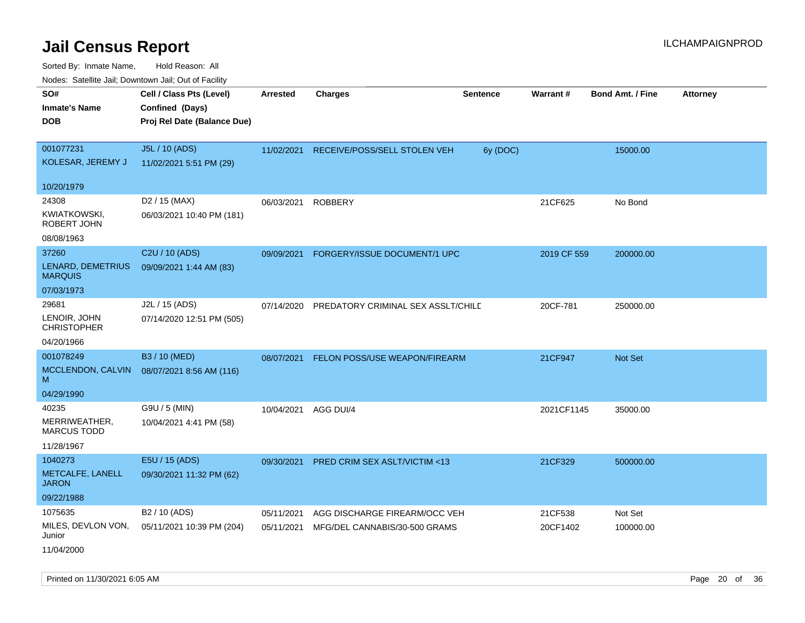| inodes: Satellite Jail, Downtown Jail, Out of Facility |                             |                 |                                    |                 |             |                         |                 |
|--------------------------------------------------------|-----------------------------|-----------------|------------------------------------|-----------------|-------------|-------------------------|-----------------|
| SO#                                                    | Cell / Class Pts (Level)    | <b>Arrested</b> | <b>Charges</b>                     | <b>Sentence</b> | Warrant#    | <b>Bond Amt. / Fine</b> | <b>Attorney</b> |
| <b>Inmate's Name</b>                                   | Confined (Days)             |                 |                                    |                 |             |                         |                 |
| <b>DOB</b>                                             | Proj Rel Date (Balance Due) |                 |                                    |                 |             |                         |                 |
|                                                        |                             |                 |                                    |                 |             |                         |                 |
| 001077231                                              | J5L / 10 (ADS)              | 11/02/2021      | RECEIVE/POSS/SELL STOLEN VEH       | 6y (DOC)        |             | 15000.00                |                 |
| KOLESAR, JEREMY J                                      | 11/02/2021 5:51 PM (29)     |                 |                                    |                 |             |                         |                 |
|                                                        |                             |                 |                                    |                 |             |                         |                 |
| 10/20/1979                                             |                             |                 |                                    |                 |             |                         |                 |
| 24308                                                  | D <sub>2</sub> / 15 (MAX)   | 06/03/2021      | <b>ROBBERY</b>                     |                 | 21CF625     | No Bond                 |                 |
| KWIATKOWSKI,<br>ROBERT JOHN                            | 06/03/2021 10:40 PM (181)   |                 |                                    |                 |             |                         |                 |
| 08/08/1963                                             |                             |                 |                                    |                 |             |                         |                 |
| 37260                                                  | C2U / 10 (ADS)              | 09/09/2021      | FORGERY/ISSUE DOCUMENT/1 UPC       |                 | 2019 CF 559 | 200000.00               |                 |
| LENARD, DEMETRIUS<br><b>MARQUIS</b>                    | 09/09/2021 1:44 AM (83)     |                 |                                    |                 |             |                         |                 |
| 07/03/1973                                             |                             |                 |                                    |                 |             |                         |                 |
| 29681                                                  | J2L / 15 (ADS)              | 07/14/2020      | PREDATORY CRIMINAL SEX ASSLT/CHILD |                 | 20CF-781    | 250000.00               |                 |
| LENOIR, JOHN<br><b>CHRISTOPHER</b>                     | 07/14/2020 12:51 PM (505)   |                 |                                    |                 |             |                         |                 |
| 04/20/1966                                             |                             |                 |                                    |                 |             |                         |                 |
| 001078249                                              | B3 / 10 (MED)               | 08/07/2021      | FELON POSS/USE WEAPON/FIREARM      |                 | 21CF947     | <b>Not Set</b>          |                 |
| MCCLENDON, CALVIN<br>M                                 | 08/07/2021 8:56 AM (116)    |                 |                                    |                 |             |                         |                 |
| 04/29/1990                                             |                             |                 |                                    |                 |             |                         |                 |
| 40235                                                  | G9U / 5 (MIN)               | 10/04/2021      | AGG DUI/4                          |                 | 2021CF1145  | 35000.00                |                 |
| MERRIWEATHER,<br><b>MARCUS TODD</b>                    | 10/04/2021 4:41 PM (58)     |                 |                                    |                 |             |                         |                 |
| 11/28/1967                                             |                             |                 |                                    |                 |             |                         |                 |
| 1040273                                                | E5U / 15 (ADS)              | 09/30/2021      | PRED CRIM SEX ASLT/VICTIM <13      |                 | 21CF329     | 500000.00               |                 |
| METCALFE, LANELL<br>JARON                              | 09/30/2021 11:32 PM (62)    |                 |                                    |                 |             |                         |                 |
| 09/22/1988                                             |                             |                 |                                    |                 |             |                         |                 |
| 1075635                                                | B <sub>2</sub> / 10 (ADS)   | 05/11/2021      | AGG DISCHARGE FIREARM/OCC VEH      |                 | 21CF538     | Not Set                 |                 |
| MILES, DEVLON VON,<br>Junior                           | 05/11/2021 10:39 PM (204)   | 05/11/2021      | MFG/DEL CANNABIS/30-500 GRAMS      |                 | 20CF1402    | 100000.00               |                 |
| 11/04/2000                                             |                             |                 |                                    |                 |             |                         |                 |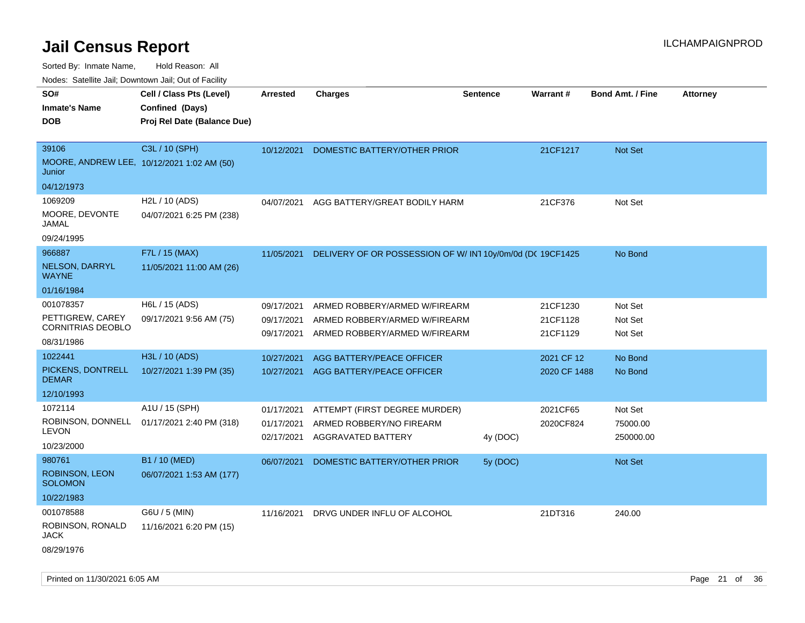Sorted By: Inmate Name, Hold Reason: All

Nodes: Satellite Jail; Downtown Jail; Out of Facility

| SO#                                     | Cell / Class Pts (Level)                       | <b>Arrested</b> | <b>Charges</b>                                           | <b>Sentence</b> | Warrant#     | <b>Bond Amt. / Fine</b> | <b>Attorney</b> |
|-----------------------------------------|------------------------------------------------|-----------------|----------------------------------------------------------|-----------------|--------------|-------------------------|-----------------|
| <b>Inmate's Name</b><br><b>DOB</b>      | Confined (Days)<br>Proj Rel Date (Balance Due) |                 |                                                          |                 |              |                         |                 |
|                                         |                                                |                 |                                                          |                 |              |                         |                 |
| 39106                                   | C3L / 10 (SPH)                                 | 10/12/2021      | DOMESTIC BATTERY/OTHER PRIOR                             |                 | 21CF1217     | Not Set                 |                 |
| Junior                                  | MOORE, ANDREW LEE, 10/12/2021 1:02 AM (50)     |                 |                                                          |                 |              |                         |                 |
| 04/12/1973                              |                                                |                 |                                                          |                 |              |                         |                 |
| 1069209                                 | H2L / 10 (ADS)                                 | 04/07/2021      | AGG BATTERY/GREAT BODILY HARM                            |                 | 21CF376      | Not Set                 |                 |
| MOORE, DEVONTE<br>JAMAL                 | 04/07/2021 6:25 PM (238)                       |                 |                                                          |                 |              |                         |                 |
| 09/24/1995                              |                                                |                 |                                                          |                 |              |                         |                 |
| 966887                                  | F7L / 15 (MAX)                                 | 11/05/2021      | DELIVERY OF OR POSSESSION OF W/IN110y/0m/0d (DC 19CF1425 |                 |              | No Bond                 |                 |
| NELSON, DARRYL<br><b>WAYNE</b>          | 11/05/2021 11:00 AM (26)                       |                 |                                                          |                 |              |                         |                 |
| 01/16/1984                              |                                                |                 |                                                          |                 |              |                         |                 |
| 001078357                               | H6L / 15 (ADS)                                 | 09/17/2021      | ARMED ROBBERY/ARMED W/FIREARM                            |                 | 21CF1230     | Not Set                 |                 |
| PETTIGREW, CAREY<br>CORNITRIAS DEOBLO   | 09/17/2021 9:56 AM (75)                        | 09/17/2021      | ARMED ROBBERY/ARMED W/FIREARM                            |                 | 21CF1128     | Not Set                 |                 |
| 08/31/1986                              |                                                | 09/17/2021      | ARMED ROBBERY/ARMED W/FIREARM                            |                 | 21CF1129     | Not Set                 |                 |
| 1022441                                 | H3L / 10 (ADS)                                 | 10/27/2021      | <b>AGG BATTERY/PEACE OFFICER</b>                         |                 | 2021 CF 12   | No Bond                 |                 |
| PICKENS, DONTRELL<br><b>DEMAR</b>       | 10/27/2021 1:39 PM (35)                        | 10/27/2021      | AGG BATTERY/PEACE OFFICER                                |                 | 2020 CF 1488 | No Bond                 |                 |
| 12/10/1993                              |                                                |                 |                                                          |                 |              |                         |                 |
| 1072114                                 | A1U / 15 (SPH)                                 | 01/17/2021      | ATTEMPT (FIRST DEGREE MURDER)                            |                 | 2021CF65     | Not Set                 |                 |
| ROBINSON, DONNELL                       | 01/17/2021 2:40 PM (318)                       | 01/17/2021      | ARMED ROBBERY/NO FIREARM                                 |                 | 2020CF824    | 75000.00                |                 |
| <b>LEVON</b>                            |                                                | 02/17/2021      | AGGRAVATED BATTERY                                       | 4y (DOC)        |              | 250000.00               |                 |
| 10/23/2000                              |                                                |                 |                                                          |                 |              |                         |                 |
| 980761                                  | B1 / 10 (MED)                                  | 06/07/2021      | DOMESTIC BATTERY/OTHER PRIOR                             | 5y (DOC)        |              | <b>Not Set</b>          |                 |
| <b>ROBINSON, LEON</b><br><b>SOLOMON</b> | 06/07/2021 1:53 AM (177)                       |                 |                                                          |                 |              |                         |                 |
| 10/22/1983                              |                                                |                 |                                                          |                 |              |                         |                 |
| 001078588                               | G6U / 5 (MIN)                                  | 11/16/2021      | DRVG UNDER INFLU OF ALCOHOL                              |                 | 21DT316      | 240.00                  |                 |
| ROBINSON, RONALD<br><b>JACK</b>         | 11/16/2021 6:20 PM (15)                        |                 |                                                          |                 |              |                         |                 |
| 08/29/1976                              |                                                |                 |                                                          |                 |              |                         |                 |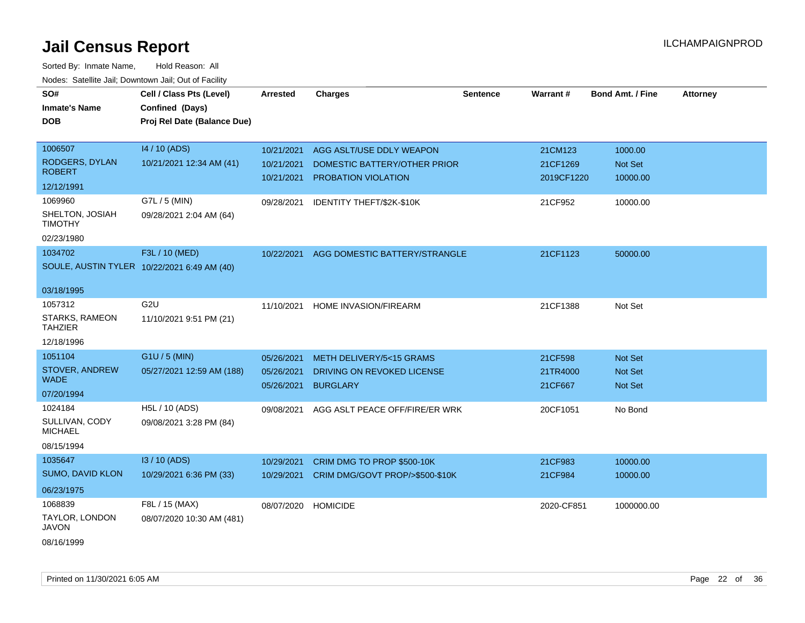| SO#                                         | Cell / Class Pts (Level)    | <b>Arrested</b> | <b>Charges</b>                  | <b>Sentence</b> | Warrant#   | <b>Bond Amt. / Fine</b> | <b>Attorney</b> |
|---------------------------------------------|-----------------------------|-----------------|---------------------------------|-----------------|------------|-------------------------|-----------------|
| <b>Inmate's Name</b>                        | Confined (Days)             |                 |                                 |                 |            |                         |                 |
| DOB                                         | Proj Rel Date (Balance Due) |                 |                                 |                 |            |                         |                 |
|                                             |                             |                 |                                 |                 |            |                         |                 |
| 1006507                                     | 14 / 10 (ADS)               | 10/21/2021      | AGG ASLT/USE DDLY WEAPON        |                 | 21CM123    | 1000.00                 |                 |
| RODGERS, DYLAN                              | 10/21/2021 12:34 AM (41)    | 10/21/2021      | DOMESTIC BATTERY/OTHER PRIOR    |                 | 21CF1269   | Not Set                 |                 |
| <b>ROBERT</b>                               |                             | 10/21/2021      | PROBATION VIOLATION             |                 | 2019CF1220 | 10000.00                |                 |
| 12/12/1991                                  |                             |                 |                                 |                 |            |                         |                 |
| 1069960                                     | G7L / 5 (MIN)               | 09/28/2021      | IDENTITY THEFT/\$2K-\$10K       |                 | 21CF952    | 10000.00                |                 |
| SHELTON, JOSIAH<br><b>TIMOTHY</b>           | 09/28/2021 2:04 AM (64)     |                 |                                 |                 |            |                         |                 |
| 02/23/1980                                  |                             |                 |                                 |                 |            |                         |                 |
| 1034702                                     | F3L / 10 (MED)              | 10/22/2021      | AGG DOMESTIC BATTERY/STRANGLE   |                 | 21CF1123   | 50000.00                |                 |
| SOULE, AUSTIN TYLER 10/22/2021 6:49 AM (40) |                             |                 |                                 |                 |            |                         |                 |
|                                             |                             |                 |                                 |                 |            |                         |                 |
| 03/18/1995                                  |                             |                 |                                 |                 |            |                         |                 |
| 1057312                                     | G <sub>2U</sub>             | 11/10/2021      | <b>HOME INVASION/FIREARM</b>    |                 | 21CF1388   | Not Set                 |                 |
| STARKS, RAMEON<br><b>TAHZIER</b>            | 11/10/2021 9:51 PM (21)     |                 |                                 |                 |            |                         |                 |
| 12/18/1996                                  |                             |                 |                                 |                 |            |                         |                 |
| 1051104                                     | G1U / 5 (MIN)               | 05/26/2021      | METH DELIVERY/5<15 GRAMS        |                 | 21CF598    | Not Set                 |                 |
| <b>STOVER, ANDREW</b>                       | 05/27/2021 12:59 AM (188)   | 05/26/2021      | DRIVING ON REVOKED LICENSE      |                 | 21TR4000   | <b>Not Set</b>          |                 |
| <b>WADE</b>                                 |                             | 05/26/2021      | <b>BURGLARY</b>                 |                 | 21CF667    | Not Set                 |                 |
| 07/20/1994                                  |                             |                 |                                 |                 |            |                         |                 |
| 1024184                                     | H5L / 10 (ADS)              | 09/08/2021      | AGG ASLT PEACE OFF/FIRE/ER WRK  |                 | 20CF1051   | No Bond                 |                 |
| SULLIVAN, CODY<br><b>MICHAEL</b>            | 09/08/2021 3:28 PM (84)     |                 |                                 |                 |            |                         |                 |
| 08/15/1994                                  |                             |                 |                                 |                 |            |                         |                 |
| 1035647                                     | I3 / 10 (ADS)               | 10/29/2021      | CRIM DMG TO PROP \$500-10K      |                 | 21CF983    | 10000.00                |                 |
| <b>SUMO, DAVID KLON</b>                     | 10/29/2021 6:36 PM (33)     | 10/29/2021      | CRIM DMG/GOVT PROP/>\$500-\$10K |                 | 21CF984    | 10000.00                |                 |
| 06/23/1975                                  |                             |                 |                                 |                 |            |                         |                 |
| 1068839                                     | F8L / 15 (MAX)              | 08/07/2020      | <b>HOMICIDE</b>                 |                 | 2020-CF851 | 1000000.00              |                 |
| TAYLOR, LONDON<br>JAVON                     | 08/07/2020 10:30 AM (481)   |                 |                                 |                 |            |                         |                 |
| 08/16/1999                                  |                             |                 |                                 |                 |            |                         |                 |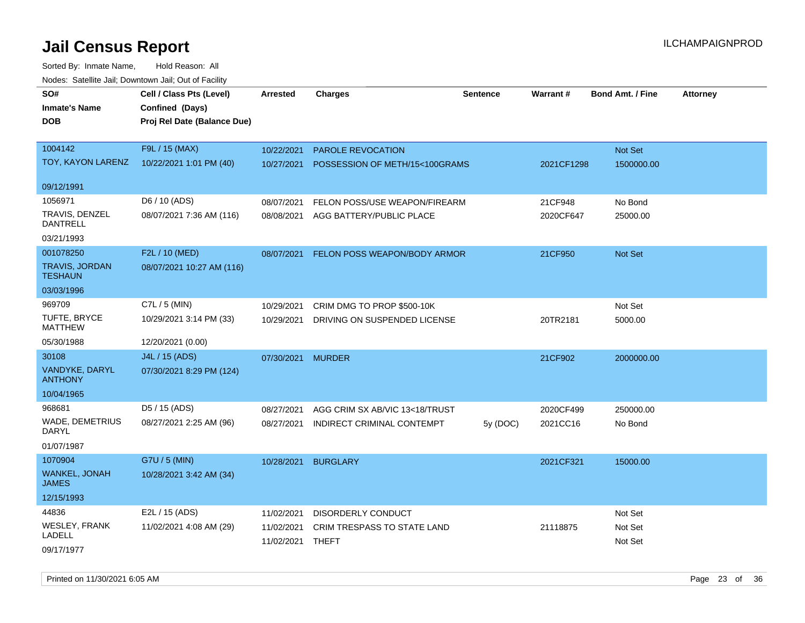| SO#                               | Cell / Class Pts (Level)    | Arrested         | <b>Charges</b>                 | Sentence | <b>Warrant#</b> | <b>Bond Amt. / Fine</b> | <b>Attorney</b> |
|-----------------------------------|-----------------------------|------------------|--------------------------------|----------|-----------------|-------------------------|-----------------|
| <b>Inmate's Name</b>              | Confined (Days)             |                  |                                |          |                 |                         |                 |
| <b>DOB</b>                        | Proj Rel Date (Balance Due) |                  |                                |          |                 |                         |                 |
|                                   |                             |                  |                                |          |                 |                         |                 |
| 1004142                           | F9L / 15 (MAX)              | 10/22/2021       | PAROLE REVOCATION              |          |                 | Not Set                 |                 |
| TOY, KAYON LARENZ                 | 10/22/2021 1:01 PM (40)     | 10/27/2021       | POSSESSION OF METH/15<100GRAMS |          | 2021CF1298      | 1500000.00              |                 |
|                                   |                             |                  |                                |          |                 |                         |                 |
| 09/12/1991                        |                             |                  |                                |          |                 |                         |                 |
| 1056971                           | D6 / 10 (ADS)               | 08/07/2021       | FELON POSS/USE WEAPON/FIREARM  |          | 21CF948         | No Bond                 |                 |
| TRAVIS, DENZEL<br><b>DANTRELL</b> | 08/07/2021 7:36 AM (116)    | 08/08/2021       | AGG BATTERY/PUBLIC PLACE       |          | 2020CF647       | 25000.00                |                 |
| 03/21/1993                        |                             |                  |                                |          |                 |                         |                 |
| 001078250                         | F2L / 10 (MED)              | 08/07/2021       | FELON POSS WEAPON/BODY ARMOR   |          | 21CF950         | <b>Not Set</b>          |                 |
| TRAVIS, JORDAN<br><b>TESHAUN</b>  | 08/07/2021 10:27 AM (116)   |                  |                                |          |                 |                         |                 |
| 03/03/1996                        |                             |                  |                                |          |                 |                         |                 |
| 969709                            | C7L / 5 (MIN)               | 10/29/2021       | CRIM DMG TO PROP \$500-10K     |          |                 | Not Set                 |                 |
| TUFTE, BRYCE<br><b>MATTHEW</b>    | 10/29/2021 3:14 PM (33)     | 10/29/2021       | DRIVING ON SUSPENDED LICENSE   |          | 20TR2181        | 5000.00                 |                 |
| 05/30/1988                        | 12/20/2021 (0.00)           |                  |                                |          |                 |                         |                 |
| 30108                             | J4L / 15 (ADS)              | 07/30/2021       | <b>MURDER</b>                  |          | 21CF902         | 2000000.00              |                 |
| VANDYKE, DARYL<br><b>ANTHONY</b>  | 07/30/2021 8:29 PM (124)    |                  |                                |          |                 |                         |                 |
| 10/04/1965                        |                             |                  |                                |          |                 |                         |                 |
| 968681                            | D5 / 15 (ADS)               | 08/27/2021       | AGG CRIM SX AB/VIC 13<18/TRUST |          | 2020CF499       | 250000.00               |                 |
| WADE, DEMETRIUS<br>DARYL          | 08/27/2021 2:25 AM (96)     | 08/27/2021       | INDIRECT CRIMINAL CONTEMPT     | 5y (DOC) | 2021CC16        | No Bond                 |                 |
| 01/07/1987                        |                             |                  |                                |          |                 |                         |                 |
| 1070904                           | G7U / 5 (MIN)               | 10/28/2021       | <b>BURGLARY</b>                |          | 2021CF321       | 15000.00                |                 |
| WANKEL, JONAH<br><b>JAMES</b>     | 10/28/2021 3:42 AM (34)     |                  |                                |          |                 |                         |                 |
| 12/15/1993                        |                             |                  |                                |          |                 |                         |                 |
| 44836                             | E2L / 15 (ADS)              | 11/02/2021       | DISORDERLY CONDUCT             |          |                 | Not Set                 |                 |
| WESLEY, FRANK                     | 11/02/2021 4:08 AM (29)     | 11/02/2021       | CRIM TRESPASS TO STATE LAND    |          | 21118875        | Not Set                 |                 |
| LADELL                            |                             | 11/02/2021 THEFT |                                |          |                 | Not Set                 |                 |
| 09/17/1977                        |                             |                  |                                |          |                 |                         |                 |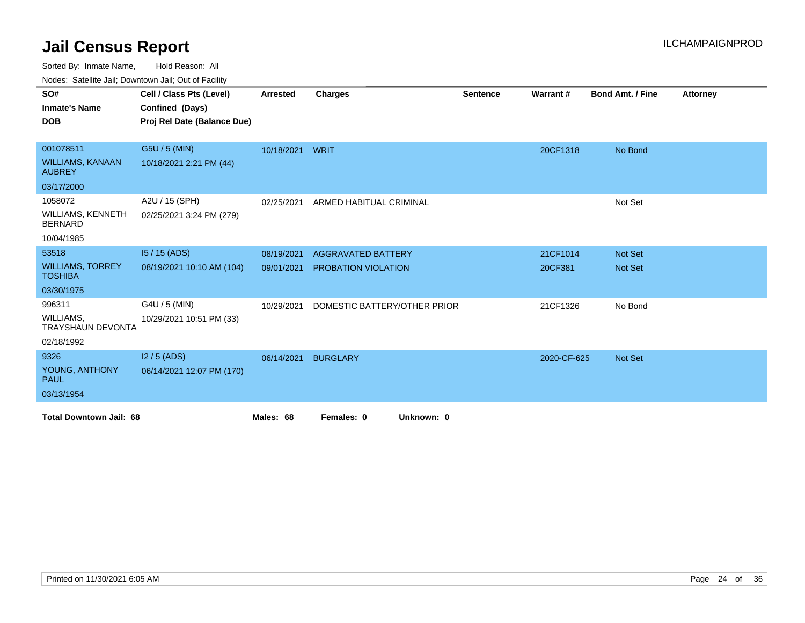Sorted By: Inmate Name, Hold Reason: All

Nodes: Satellite Jail; Downtown Jail; Out of Facility

| SO#                                        | Cell / Class Pts (Level)    | <b>Arrested</b> | <b>Charges</b>               | <b>Sentence</b> | Warrant#    | <b>Bond Amt. / Fine</b> | <b>Attorney</b> |
|--------------------------------------------|-----------------------------|-----------------|------------------------------|-----------------|-------------|-------------------------|-----------------|
| <b>Inmate's Name</b>                       | Confined (Days)             |                 |                              |                 |             |                         |                 |
| <b>DOB</b>                                 | Proj Rel Date (Balance Due) |                 |                              |                 |             |                         |                 |
|                                            |                             |                 |                              |                 |             |                         |                 |
| 001078511                                  | G5U / 5 (MIN)               | 10/18/2021      | WRIT                         |                 | 20CF1318    | No Bond                 |                 |
| <b>WILLIAMS, KANAAN</b><br><b>AUBREY</b>   | 10/18/2021 2:21 PM (44)     |                 |                              |                 |             |                         |                 |
| 03/17/2000                                 |                             |                 |                              |                 |             |                         |                 |
| 1058072                                    | A2U / 15 (SPH)              | 02/25/2021      | ARMED HABITUAL CRIMINAL      |                 |             | Not Set                 |                 |
| <b>WILLIAMS, KENNETH</b><br><b>BERNARD</b> | 02/25/2021 3:24 PM (279)    |                 |                              |                 |             |                         |                 |
| 10/04/1985                                 |                             |                 |                              |                 |             |                         |                 |
| 53518                                      | $15/15$ (ADS)               | 08/19/2021      | <b>AGGRAVATED BATTERY</b>    |                 | 21CF1014    | <b>Not Set</b>          |                 |
| <b>WILLIAMS, TORREY</b><br><b>TOSHIBA</b>  | 08/19/2021 10:10 AM (104)   | 09/01/2021      | <b>PROBATION VIOLATION</b>   |                 | 20CF381     | Not Set                 |                 |
| 03/30/1975                                 |                             |                 |                              |                 |             |                         |                 |
| 996311                                     | G4U / 5 (MIN)               | 10/29/2021      | DOMESTIC BATTERY/OTHER PRIOR |                 | 21CF1326    | No Bond                 |                 |
| WILLIAMS,<br>TRAYSHAUN DEVONTA             | 10/29/2021 10:51 PM (33)    |                 |                              |                 |             |                         |                 |
| 02/18/1992                                 |                             |                 |                              |                 |             |                         |                 |
| 9326                                       | $12/5$ (ADS)                | 06/14/2021      | <b>BURGLARY</b>              |                 | 2020-CF-625 | <b>Not Set</b>          |                 |
| YOUNG, ANTHONY<br><b>PAUL</b>              | 06/14/2021 12:07 PM (170)   |                 |                              |                 |             |                         |                 |
| 03/13/1954                                 |                             |                 |                              |                 |             |                         |                 |
| <b>Total Downtown Jail: 68</b>             |                             | Males: 68       | Females: 0<br>Unknown: 0     |                 |             |                         |                 |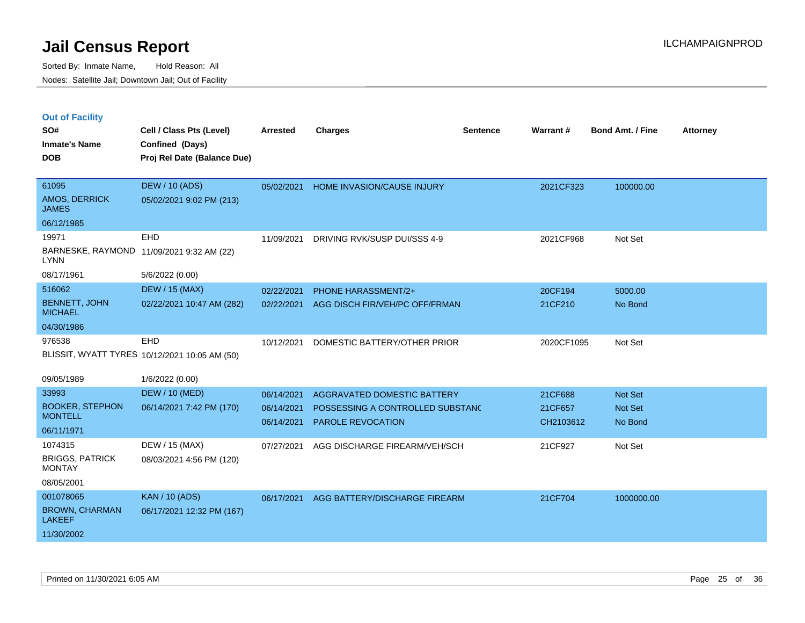|  | <b>Out of Facility</b> |  |
|--|------------------------|--|

| SO#<br><b>Inmate's Name</b><br><b>DOB</b>                         | Cell / Class Pts (Level)<br>Confined (Days)<br>Proj Rel Date (Balance Due) | <b>Arrested</b>          | <b>Charges</b>                                        | <b>Sentence</b> | Warrant#             | <b>Bond Amt. / Fine</b> | <b>Attorney</b> |
|-------------------------------------------------------------------|----------------------------------------------------------------------------|--------------------------|-------------------------------------------------------|-----------------|----------------------|-------------------------|-----------------|
| 61095<br>AMOS, DERRICK<br><b>JAMES</b>                            | <b>DEW / 10 (ADS)</b><br>05/02/2021 9:02 PM (213)                          | 05/02/2021               | HOME INVASION/CAUSE INJURY                            |                 | 2021CF323            | 100000.00               |                 |
| 06/12/1985                                                        |                                                                            |                          |                                                       |                 |                      |                         |                 |
| 19971<br><b>LYNN</b>                                              | <b>EHD</b><br>BARNESKE, RAYMOND 11/09/2021 9:32 AM (22)                    | 11/09/2021               | DRIVING RVK/SUSP DUI/SSS 4-9                          |                 | 2021CF968            | Not Set                 |                 |
| 08/17/1961                                                        | 5/6/2022 (0.00)                                                            |                          |                                                       |                 |                      |                         |                 |
| 516062                                                            | <b>DEW / 15 (MAX)</b>                                                      | 02/22/2021               | PHONE HARASSMENT/2+                                   |                 | 20CF194              | 5000.00                 |                 |
| <b>BENNETT, JOHN</b><br><b>MICHAEL</b>                            | 02/22/2021 10:47 AM (282)                                                  | 02/22/2021               | AGG DISCH FIR/VEH/PC OFF/FRMAN                        |                 | 21CF210              | No Bond                 |                 |
| 04/30/1986                                                        |                                                                            |                          |                                                       |                 |                      |                         |                 |
| 976538                                                            | EHD<br>BLISSIT, WYATT TYRES 10/12/2021 10:05 AM (50)                       | 10/12/2021               | DOMESTIC BATTERY/OTHER PRIOR                          |                 | 2020CF1095           | Not Set                 |                 |
| 09/05/1989                                                        | 1/6/2022 (0.00)                                                            |                          |                                                       |                 |                      |                         |                 |
| 33993                                                             | <b>DEW / 10 (MED)</b>                                                      | 06/14/2021               | AGGRAVATED DOMESTIC BATTERY                           |                 | 21CF688              | Not Set                 |                 |
| <b>BOOKER, STEPHON</b><br><b>MONTELL</b>                          | 06/14/2021 7:42 PM (170)                                                   | 06/14/2021<br>06/14/2021 | POSSESSING A CONTROLLED SUBSTANC<br>PAROLE REVOCATION |                 | 21CF657<br>CH2103612 | Not Set<br>No Bond      |                 |
| 06/11/1971                                                        |                                                                            |                          |                                                       |                 |                      |                         |                 |
| 1074315<br><b>BRIGGS, PATRICK</b><br><b>MONTAY</b>                | DEW / 15 (MAX)<br>08/03/2021 4:56 PM (120)                                 | 07/27/2021               | AGG DISCHARGE FIREARM/VEH/SCH                         |                 | 21CF927              | Not Set                 |                 |
| 08/05/2001                                                        |                                                                            |                          |                                                       |                 |                      |                         |                 |
| 001078065<br><b>BROWN, CHARMAN</b><br><b>LAKEEF</b><br>11/30/2002 | <b>KAN / 10 (ADS)</b><br>06/17/2021 12:32 PM (167)                         | 06/17/2021               | AGG BATTERY/DISCHARGE FIREARM                         |                 | 21CF704              | 1000000.00              |                 |
|                                                                   |                                                                            |                          |                                                       |                 |                      |                         |                 |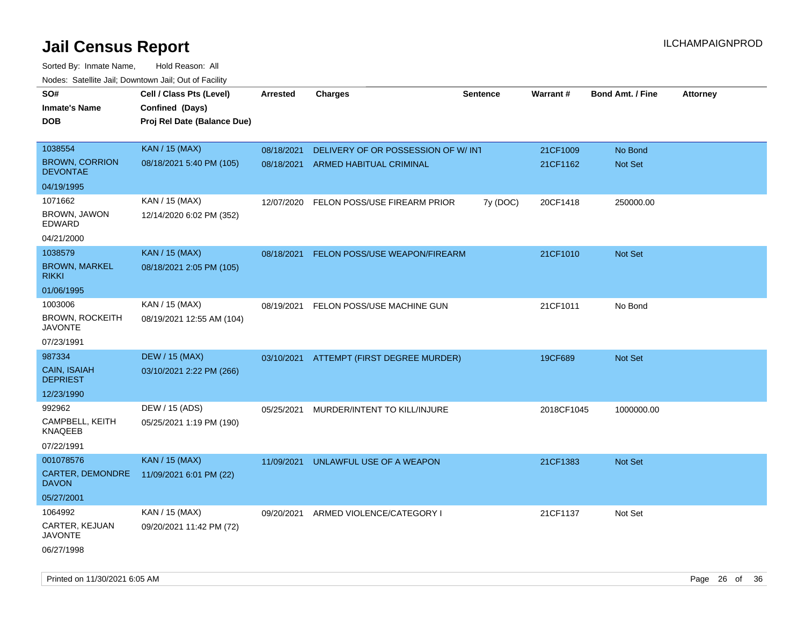| roaco. Catolino dall, Downtown dall, Out of Fability |                             |            |                                          |                 |                 |                         |                 |
|------------------------------------------------------|-----------------------------|------------|------------------------------------------|-----------------|-----------------|-------------------------|-----------------|
| SO#                                                  | Cell / Class Pts (Level)    | Arrested   | <b>Charges</b>                           | <b>Sentence</b> | <b>Warrant#</b> | <b>Bond Amt. / Fine</b> | <b>Attorney</b> |
| <b>Inmate's Name</b>                                 | Confined (Days)             |            |                                          |                 |                 |                         |                 |
| <b>DOB</b>                                           | Proj Rel Date (Balance Due) |            |                                          |                 |                 |                         |                 |
|                                                      |                             |            |                                          |                 |                 |                         |                 |
| 1038554                                              | <b>KAN / 15 (MAX)</b>       | 08/18/2021 | DELIVERY OF OR POSSESSION OF W/INT       |                 | 21CF1009        | No Bond                 |                 |
| <b>BROWN, CORRION</b><br><b>DEVONTAE</b>             | 08/18/2021 5:40 PM (105)    | 08/18/2021 | ARMED HABITUAL CRIMINAL                  |                 | 21CF1162        | Not Set                 |                 |
| 04/19/1995                                           |                             |            |                                          |                 |                 |                         |                 |
| 1071662                                              | KAN / 15 (MAX)              | 12/07/2020 | FELON POSS/USE FIREARM PRIOR             | 7y (DOC)        | 20CF1418        | 250000.00               |                 |
| BROWN, JAWON<br>EDWARD                               | 12/14/2020 6:02 PM (352)    |            |                                          |                 |                 |                         |                 |
| 04/21/2000                                           |                             |            |                                          |                 |                 |                         |                 |
| 1038579                                              | <b>KAN / 15 (MAX)</b>       | 08/18/2021 | <b>FELON POSS/USE WEAPON/FIREARM</b>     |                 | 21CF1010        | Not Set                 |                 |
| <b>BROWN, MARKEL</b><br><b>RIKKI</b>                 | 08/18/2021 2:05 PM (105)    |            |                                          |                 |                 |                         |                 |
| 01/06/1995                                           |                             |            |                                          |                 |                 |                         |                 |
| 1003006                                              | KAN / 15 (MAX)              | 08/19/2021 | FELON POSS/USE MACHINE GUN               |                 | 21CF1011        | No Bond                 |                 |
| <b>BROWN, ROCKEITH</b><br><b>JAVONTE</b>             | 08/19/2021 12:55 AM (104)   |            |                                          |                 |                 |                         |                 |
| 07/23/1991                                           |                             |            |                                          |                 |                 |                         |                 |
| 987334                                               | <b>DEW / 15 (MAX)</b>       |            | 03/10/2021 ATTEMPT (FIRST DEGREE MURDER) |                 | 19CF689         | Not Set                 |                 |
| CAIN, ISAIAH<br><b>DEPRIEST</b>                      | 03/10/2021 2:22 PM (266)    |            |                                          |                 |                 |                         |                 |
| 12/23/1990                                           |                             |            |                                          |                 |                 |                         |                 |
| 992962                                               | DEW / 15 (ADS)              | 05/25/2021 | MURDER/INTENT TO KILL/INJURE             |                 | 2018CF1045      | 1000000.00              |                 |
| CAMPBELL, KEITH<br>KNAQEEB                           | 05/25/2021 1:19 PM (190)    |            |                                          |                 |                 |                         |                 |
| 07/22/1991                                           |                             |            |                                          |                 |                 |                         |                 |
| 001078576                                            | <b>KAN / 15 (MAX)</b>       | 11/09/2021 | UNLAWFUL USE OF A WEAPON                 |                 | 21CF1383        | <b>Not Set</b>          |                 |
| <b>CARTER, DEMONDRE</b><br><b>DAVON</b>              | 11/09/2021 6:01 PM (22)     |            |                                          |                 |                 |                         |                 |
| 05/27/2001                                           |                             |            |                                          |                 |                 |                         |                 |
| 1064992                                              | KAN / 15 (MAX)              | 09/20/2021 | ARMED VIOLENCE/CATEGORY I                |                 | 21CF1137        | Not Set                 |                 |
| CARTER, KEJUAN<br>JAVONTE                            | 09/20/2021 11:42 PM (72)    |            |                                          |                 |                 |                         |                 |
| 06/27/1998                                           |                             |            |                                          |                 |                 |                         |                 |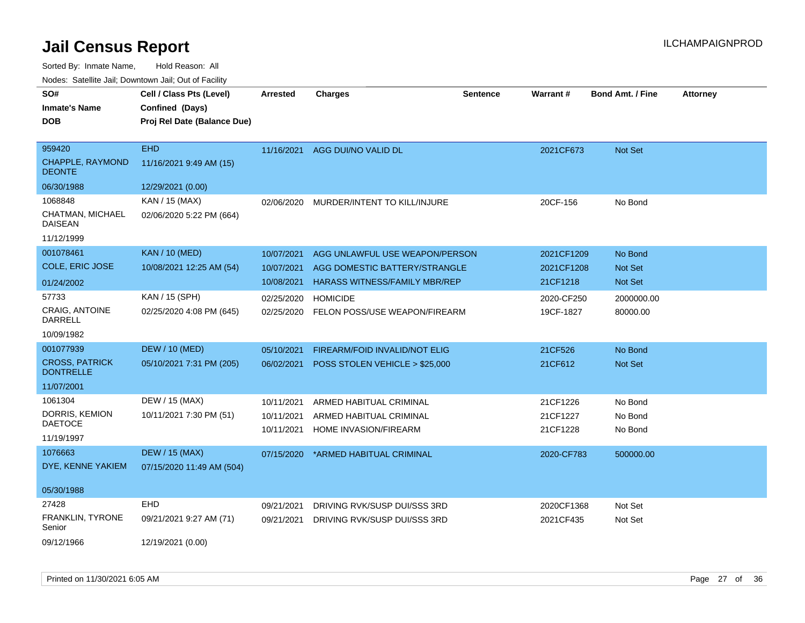| SO#                                       | Cell / Class Pts (Level)    | <b>Arrested</b> | <b>Charges</b>                       | <b>Sentence</b> | Warrant#   | <b>Bond Amt. / Fine</b> | <b>Attorney</b> |
|-------------------------------------------|-----------------------------|-----------------|--------------------------------------|-----------------|------------|-------------------------|-----------------|
| <b>Inmate's Name</b>                      | Confined (Days)             |                 |                                      |                 |            |                         |                 |
| <b>DOB</b>                                | Proj Rel Date (Balance Due) |                 |                                      |                 |            |                         |                 |
|                                           |                             |                 |                                      |                 |            |                         |                 |
| 959420                                    | <b>EHD</b>                  | 11/16/2021      | AGG DUI/NO VALID DL                  |                 | 2021CF673  | Not Set                 |                 |
| CHAPPLE, RAYMOND<br><b>DEONTE</b>         | 11/16/2021 9:49 AM (15)     |                 |                                      |                 |            |                         |                 |
| 06/30/1988                                | 12/29/2021 (0.00)           |                 |                                      |                 |            |                         |                 |
| 1068848                                   | KAN / 15 (MAX)              | 02/06/2020      | MURDER/INTENT TO KILL/INJURE         |                 | 20CF-156   | No Bond                 |                 |
| CHATMAN, MICHAEL<br><b>DAISEAN</b>        | 02/06/2020 5:22 PM (664)    |                 |                                      |                 |            |                         |                 |
| 11/12/1999                                |                             |                 |                                      |                 |            |                         |                 |
| 001078461                                 | <b>KAN / 10 (MED)</b>       | 10/07/2021      | AGG UNLAWFUL USE WEAPON/PERSON       |                 | 2021CF1209 | No Bond                 |                 |
| COLE, ERIC JOSE                           | 10/08/2021 12:25 AM (54)    | 10/07/2021      | AGG DOMESTIC BATTERY/STRANGLE        |                 | 2021CF1208 | Not Set                 |                 |
| 01/24/2002                                |                             | 10/08/2021      | <b>HARASS WITNESS/FAMILY MBR/REP</b> |                 | 21CF1218   | Not Set                 |                 |
| 57733                                     | KAN / 15 (SPH)              | 02/25/2020      | <b>HOMICIDE</b>                      |                 | 2020-CF250 | 2000000.00              |                 |
| CRAIG, ANTOINE<br><b>DARRELL</b>          | 02/25/2020 4:08 PM (645)    | 02/25/2020      | FELON POSS/USE WEAPON/FIREARM        |                 | 19CF-1827  | 80000.00                |                 |
| 10/09/1982                                |                             |                 |                                      |                 |            |                         |                 |
| 001077939                                 | <b>DEW / 10 (MED)</b>       | 05/10/2021      | FIREARM/FOID INVALID/NOT ELIG        |                 | 21CF526    | No Bond                 |                 |
| <b>CROSS, PATRICK</b><br><b>DONTRELLE</b> | 05/10/2021 7:31 PM (205)    | 06/02/2021      | POSS STOLEN VEHICLE > \$25,000       |                 | 21CF612    | Not Set                 |                 |
| 11/07/2001                                |                             |                 |                                      |                 |            |                         |                 |
| 1061304                                   | DEW / 15 (MAX)              | 10/11/2021      | ARMED HABITUAL CRIMINAL              |                 | 21CF1226   | No Bond                 |                 |
| DORRIS, KEMION                            | 10/11/2021 7:30 PM (51)     | 10/11/2021      | ARMED HABITUAL CRIMINAL              |                 | 21CF1227   | No Bond                 |                 |
| <b>DAETOCE</b>                            |                             | 10/11/2021      | HOME INVASION/FIREARM                |                 | 21CF1228   | No Bond                 |                 |
| 11/19/1997                                |                             |                 |                                      |                 |            |                         |                 |
| 1076663                                   | <b>DEW / 15 (MAX)</b>       | 07/15/2020      | *ARMED HABITUAL CRIMINAL             |                 | 2020-CF783 | 500000.00               |                 |
| DYE, KENNE YAKIEM                         | 07/15/2020 11:49 AM (504)   |                 |                                      |                 |            |                         |                 |
| 05/30/1988                                |                             |                 |                                      |                 |            |                         |                 |
| 27428                                     | EHD                         | 09/21/2021      | DRIVING RVK/SUSP DUI/SSS 3RD         |                 | 2020CF1368 | Not Set                 |                 |
| FRANKLIN, TYRONE<br>Senior                | 09/21/2021 9:27 AM (71)     | 09/21/2021      | DRIVING RVK/SUSP DUI/SSS 3RD         |                 | 2021CF435  | Not Set                 |                 |
| 09/12/1966                                | 12/19/2021 (0.00)           |                 |                                      |                 |            |                         |                 |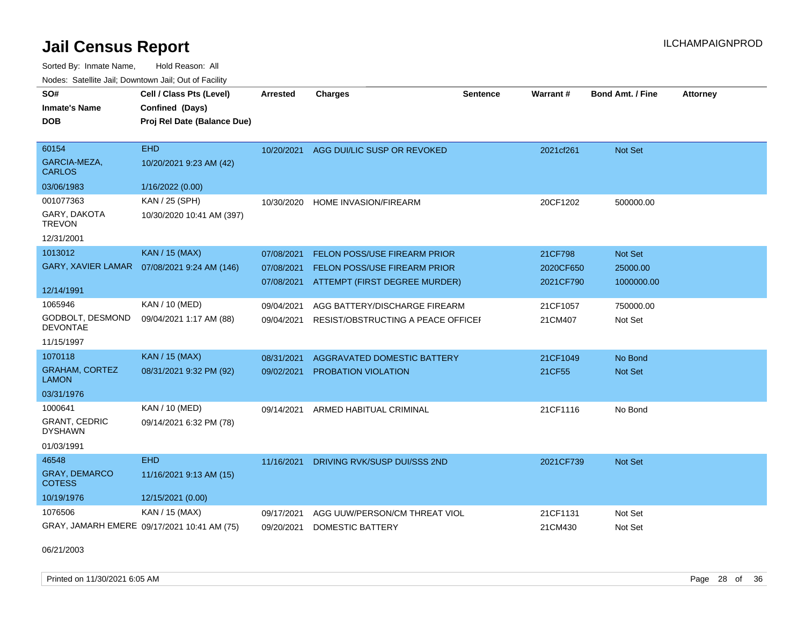Sorted By: Inmate Name, Hold Reason: All Nodes: Satellite Jail; Downtown Jail; Out of Facility

| SO#                                    | Cell / Class Pts (Level)                    | <b>Arrested</b> | <b>Charges</b>                     | <b>Sentence</b> | Warrant#  | <b>Bond Amt. / Fine</b> | <b>Attorney</b> |
|----------------------------------------|---------------------------------------------|-----------------|------------------------------------|-----------------|-----------|-------------------------|-----------------|
| <b>Inmate's Name</b>                   | Confined (Days)                             |                 |                                    |                 |           |                         |                 |
| <b>DOB</b>                             | Proj Rel Date (Balance Due)                 |                 |                                    |                 |           |                         |                 |
|                                        |                                             |                 |                                    |                 |           |                         |                 |
| 60154                                  | <b>EHD</b>                                  | 10/20/2021      | AGG DUI/LIC SUSP OR REVOKED        |                 | 2021cf261 | Not Set                 |                 |
| GARCIA-MEZA,<br><b>CARLOS</b>          | 10/20/2021 9:23 AM (42)                     |                 |                                    |                 |           |                         |                 |
| 03/06/1983                             | 1/16/2022 (0.00)                            |                 |                                    |                 |           |                         |                 |
| 001077363                              | KAN / 25 (SPH)                              | 10/30/2020      | HOME INVASION/FIREARM              |                 | 20CF1202  | 500000.00               |                 |
| GARY, DAKOTA<br><b>TREVON</b>          | 10/30/2020 10:41 AM (397)                   |                 |                                    |                 |           |                         |                 |
| 12/31/2001                             |                                             |                 |                                    |                 |           |                         |                 |
| 1013012                                | <b>KAN / 15 (MAX)</b>                       | 07/08/2021      | FELON POSS/USE FIREARM PRIOR       |                 | 21CF798   | Not Set                 |                 |
| <b>GARY, XAVIER LAMAR</b>              | 07/08/2021 9:24 AM (146)                    | 07/08/2021      | FELON POSS/USE FIREARM PRIOR       |                 | 2020CF650 | 25000.00                |                 |
|                                        |                                             | 07/08/2021      | ATTEMPT (FIRST DEGREE MURDER)      |                 | 2021CF790 | 1000000.00              |                 |
| 12/14/1991                             |                                             |                 |                                    |                 |           |                         |                 |
| 1065946                                | KAN / 10 (MED)                              | 09/04/2021      | AGG BATTERY/DISCHARGE FIREARM      |                 | 21CF1057  | 750000.00               |                 |
| GODBOLT, DESMOND<br><b>DEVONTAE</b>    | 09/04/2021 1:17 AM (88)                     | 09/04/2021      | RESIST/OBSTRUCTING A PEACE OFFICEL |                 | 21CM407   | Not Set                 |                 |
| 11/15/1997                             |                                             |                 |                                    |                 |           |                         |                 |
| 1070118                                | <b>KAN / 15 (MAX)</b>                       | 08/31/2021      | <b>AGGRAVATED DOMESTIC BATTERY</b> |                 | 21CF1049  | No Bond                 |                 |
| <b>GRAHAM, CORTEZ</b><br><b>LAMON</b>  | 08/31/2021 9:32 PM (92)                     | 09/02/2021      | PROBATION VIOLATION                |                 | 21CF55    | <b>Not Set</b>          |                 |
| 03/31/1976                             |                                             |                 |                                    |                 |           |                         |                 |
| 1000641                                | KAN / 10 (MED)                              | 09/14/2021      | ARMED HABITUAL CRIMINAL            |                 | 21CF1116  | No Bond                 |                 |
| <b>GRANT, CEDRIC</b><br><b>DYSHAWN</b> | 09/14/2021 6:32 PM (78)                     |                 |                                    |                 |           |                         |                 |
| 01/03/1991                             |                                             |                 |                                    |                 |           |                         |                 |
| 46548                                  | <b>EHD</b>                                  | 11/16/2021      | DRIVING RVK/SUSP DUI/SSS 2ND       |                 | 2021CF739 | <b>Not Set</b>          |                 |
| <b>GRAY, DEMARCO</b><br><b>COTESS</b>  | 11/16/2021 9:13 AM (15)                     |                 |                                    |                 |           |                         |                 |
| 10/19/1976                             | 12/15/2021 (0.00)                           |                 |                                    |                 |           |                         |                 |
| 1076506                                | KAN / 15 (MAX)                              | 09/17/2021      | AGG UUW/PERSON/CM THREAT VIOL      |                 | 21CF1131  | Not Set                 |                 |
|                                        | GRAY, JAMARH EMERE 09/17/2021 10:41 AM (75) | 09/20/2021      | DOMESTIC BATTERY                   |                 | 21CM430   | Not Set                 |                 |

06/21/2003

Printed on 11/30/2021 6:05 AM Page 28 of 36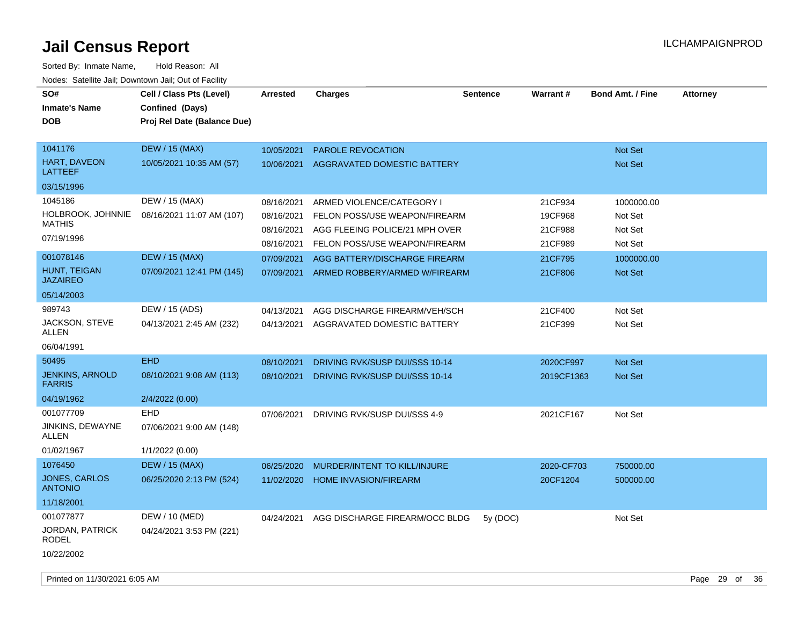| SO#<br><b>Inmate's Name</b><br><b>DOB</b> | Cell / Class Pts (Level)<br>Confined (Days)<br>Proj Rel Date (Balance Due) | <b>Arrested</b> | <b>Charges</b>                     | <b>Sentence</b> | <b>Warrant#</b> | <b>Bond Amt. / Fine</b> | <b>Attorney</b> |
|-------------------------------------------|----------------------------------------------------------------------------|-----------------|------------------------------------|-----------------|-----------------|-------------------------|-----------------|
| 1041176                                   | <b>DEW / 15 (MAX)</b>                                                      | 10/05/2021      | <b>PAROLE REVOCATION</b>           |                 |                 | <b>Not Set</b>          |                 |
| HART, DAVEON<br><b>LATTEEF</b>            | 10/05/2021 10:35 AM (57)                                                   | 10/06/2021      | <b>AGGRAVATED DOMESTIC BATTERY</b> |                 |                 | Not Set                 |                 |
| 03/15/1996                                |                                                                            |                 |                                    |                 |                 |                         |                 |
| 1045186                                   | DEW / 15 (MAX)                                                             | 08/16/2021      | ARMED VIOLENCE/CATEGORY I          |                 | 21CF934         | 1000000.00              |                 |
| HOLBROOK, JOHNNIE                         | 08/16/2021 11:07 AM (107)                                                  | 08/16/2021      | FELON POSS/USE WEAPON/FIREARM      |                 | 19CF968         | Not Set                 |                 |
| <b>MATHIS</b>                             |                                                                            | 08/16/2021      | AGG FLEEING POLICE/21 MPH OVER     |                 | 21CF988         | Not Set                 |                 |
| 07/19/1996                                |                                                                            | 08/16/2021      | FELON POSS/USE WEAPON/FIREARM      |                 | 21CF989         | Not Set                 |                 |
| 001078146                                 | <b>DEW / 15 (MAX)</b>                                                      | 07/09/2021      | AGG BATTERY/DISCHARGE FIREARM      |                 | 21CF795         | 1000000.00              |                 |
| HUNT, TEIGAN<br><b>JAZAIREO</b>           | 07/09/2021 12:41 PM (145)                                                  | 07/09/2021      | ARMED ROBBERY/ARMED W/FIREARM      |                 | 21CF806         | Not Set                 |                 |
| 05/14/2003                                |                                                                            |                 |                                    |                 |                 |                         |                 |
| 989743                                    | DEW / 15 (ADS)                                                             | 04/13/2021      | AGG DISCHARGE FIREARM/VEH/SCH      |                 | 21CF400         | Not Set                 |                 |
| JACKSON, STEVE<br><b>ALLEN</b>            | 04/13/2021 2:45 AM (232)                                                   | 04/13/2021      | AGGRAVATED DOMESTIC BATTERY        |                 | 21CF399         | Not Set                 |                 |
| 06/04/1991                                |                                                                            |                 |                                    |                 |                 |                         |                 |
| 50495                                     | <b>EHD</b>                                                                 | 08/10/2021      | DRIVING RVK/SUSP DUI/SSS 10-14     |                 | 2020CF997       | Not Set                 |                 |
| <b>JENKINS, ARNOLD</b><br><b>FARRIS</b>   | 08/10/2021 9:08 AM (113)                                                   | 08/10/2021      | DRIVING RVK/SUSP DUI/SSS 10-14     |                 | 2019CF1363      | Not Set                 |                 |
| 04/19/1962                                | 2/4/2022 (0.00)                                                            |                 |                                    |                 |                 |                         |                 |
| 001077709                                 | <b>EHD</b>                                                                 | 07/06/2021      | DRIVING RVK/SUSP DUI/SSS 4-9       |                 | 2021CF167       | Not Set                 |                 |
| JINKINS, DEWAYNE<br><b>ALLEN</b>          | 07/06/2021 9:00 AM (148)                                                   |                 |                                    |                 |                 |                         |                 |
| 01/02/1967                                | 1/1/2022 (0.00)                                                            |                 |                                    |                 |                 |                         |                 |
| 1076450                                   | <b>DEW / 15 (MAX)</b>                                                      | 06/25/2020      | MURDER/INTENT TO KILL/INJURE       |                 | 2020-CF703      | 750000.00               |                 |
| JONES, CARLOS<br><b>ANTONIO</b>           | 06/25/2020 2:13 PM (524)                                                   | 11/02/2020      | <b>HOME INVASION/FIREARM</b>       |                 | 20CF1204        | 500000.00               |                 |
| 11/18/2001                                |                                                                            |                 |                                    |                 |                 |                         |                 |
| 001077877                                 | DEW / 10 (MED)                                                             | 04/24/2021      | AGG DISCHARGE FIREARM/OCC BLDG     | 5y (DOC)        |                 | Not Set                 |                 |
| JORDAN, PATRICK<br><b>RODEL</b>           | 04/24/2021 3:53 PM (221)                                                   |                 |                                    |                 |                 |                         |                 |
| 10/22/2002                                |                                                                            |                 |                                    |                 |                 |                         |                 |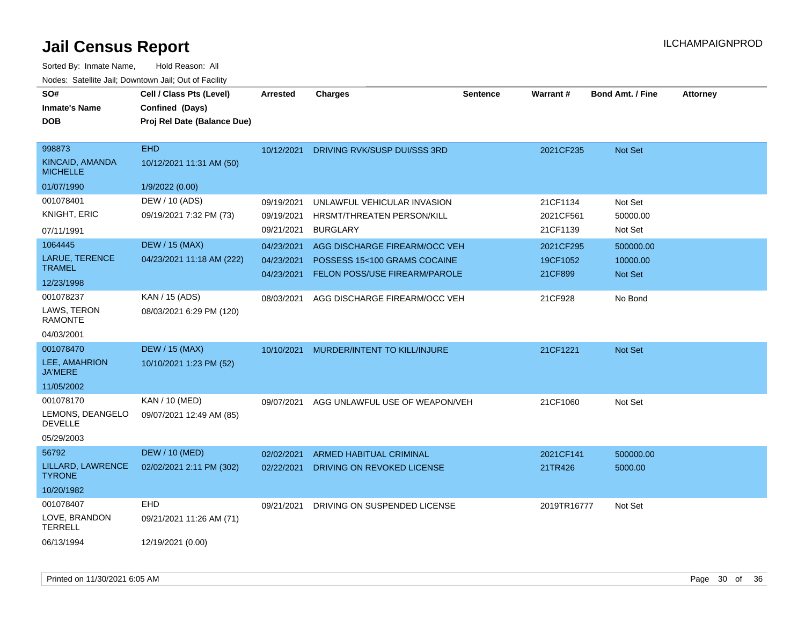| SO#<br><b>Inmate's Name</b><br><b>DOB</b>    | Cell / Class Pts (Level)<br>Confined (Days)<br>Proj Rel Date (Balance Due) | <b>Arrested</b> | <b>Charges</b>                 | <b>Sentence</b> | <b>Warrant#</b> | <b>Bond Amt. / Fine</b> | <b>Attorney</b> |
|----------------------------------------------|----------------------------------------------------------------------------|-----------------|--------------------------------|-----------------|-----------------|-------------------------|-----------------|
| 998873<br>KINCAID, AMANDA<br><b>MICHELLE</b> | <b>EHD</b><br>10/12/2021 11:31 AM (50)                                     | 10/12/2021      | DRIVING RVK/SUSP DUI/SSS 3RD   |                 | 2021CF235       | Not Set                 |                 |
| 01/07/1990                                   | 1/9/2022 (0.00)                                                            |                 |                                |                 |                 |                         |                 |
| 001078401                                    | DEW / 10 (ADS)                                                             | 09/19/2021      | UNLAWFUL VEHICULAR INVASION    |                 | 21CF1134        | Not Set                 |                 |
| KNIGHT, ERIC                                 | 09/19/2021 7:32 PM (73)                                                    | 09/19/2021      | HRSMT/THREATEN PERSON/KILL     |                 | 2021CF561       | 50000.00                |                 |
| 07/11/1991                                   |                                                                            | 09/21/2021      | <b>BURGLARY</b>                |                 | 21CF1139        | Not Set                 |                 |
| 1064445                                      | <b>DEW / 15 (MAX)</b>                                                      | 04/23/2021      | AGG DISCHARGE FIREARM/OCC VEH  |                 | 2021CF295       | 500000.00               |                 |
| LARUE, TERENCE                               | 04/23/2021 11:18 AM (222)                                                  | 04/23/2021      | POSSESS 15<100 GRAMS COCAINE   |                 | 19CF1052        | 10000.00                |                 |
| <b>TRAMEL</b>                                |                                                                            | 04/23/2021      | FELON POSS/USE FIREARM/PAROLE  |                 | 21CF899         | Not Set                 |                 |
| 12/23/1998                                   |                                                                            |                 |                                |                 |                 |                         |                 |
| 001078237                                    | KAN / 15 (ADS)                                                             | 08/03/2021      | AGG DISCHARGE FIREARM/OCC VEH  |                 | 21CF928         | No Bond                 |                 |
| LAWS, TERON<br><b>RAMONTE</b>                | 08/03/2021 6:29 PM (120)                                                   |                 |                                |                 |                 |                         |                 |
| 04/03/2001                                   |                                                                            |                 |                                |                 |                 |                         |                 |
| 001078470                                    | <b>DEW / 15 (MAX)</b>                                                      | 10/10/2021      | MURDER/INTENT TO KILL/INJURE   |                 | 21CF1221        | <b>Not Set</b>          |                 |
| LEE, AMAHRION<br><b>JA'MERE</b>              | 10/10/2021 1:23 PM (52)                                                    |                 |                                |                 |                 |                         |                 |
| 11/05/2002                                   |                                                                            |                 |                                |                 |                 |                         |                 |
| 001078170                                    | <b>KAN / 10 (MED)</b>                                                      | 09/07/2021      | AGG UNLAWFUL USE OF WEAPON/VEH |                 | 21CF1060        | Not Set                 |                 |
| LEMONS, DEANGELO<br><b>DEVELLE</b>           | 09/07/2021 12:49 AM (85)                                                   |                 |                                |                 |                 |                         |                 |
| 05/29/2003                                   |                                                                            |                 |                                |                 |                 |                         |                 |
| 56792                                        | <b>DEW / 10 (MED)</b>                                                      | 02/02/2021      | ARMED HABITUAL CRIMINAL        |                 | 2021CF141       | 500000.00               |                 |
| LILLARD, LAWRENCE<br><b>TYRONE</b>           | 02/02/2021 2:11 PM (302)                                                   | 02/22/2021      | DRIVING ON REVOKED LICENSE     |                 | 21TR426         | 5000.00                 |                 |
| 10/20/1982                                   |                                                                            |                 |                                |                 |                 |                         |                 |
| 001078407                                    | EHD                                                                        | 09/21/2021      | DRIVING ON SUSPENDED LICENSE   |                 | 2019TR16777     | Not Set                 |                 |
| LOVE, BRANDON<br><b>TERRELL</b>              | 09/21/2021 11:26 AM (71)                                                   |                 |                                |                 |                 |                         |                 |
| 06/13/1994                                   | 12/19/2021 (0.00)                                                          |                 |                                |                 |                 |                         |                 |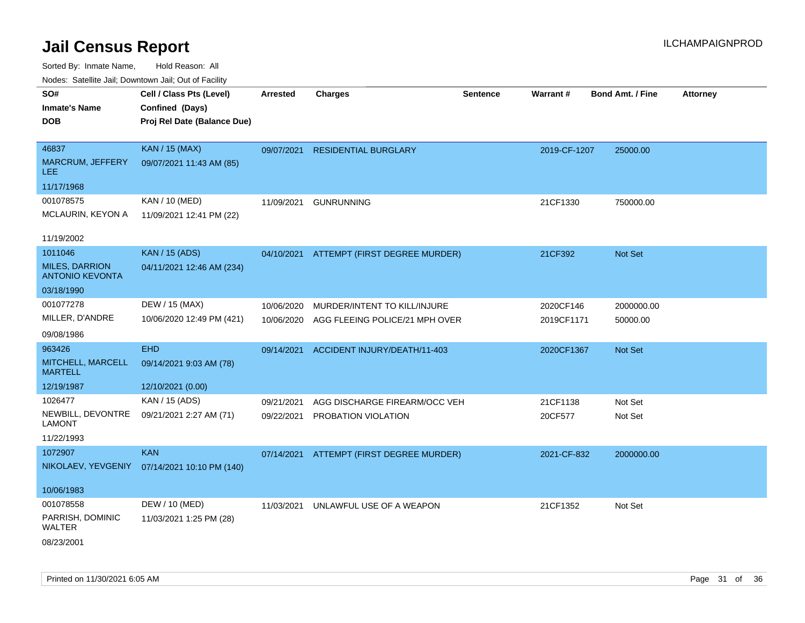| wacs. Calcillic Jali, Downtown Jali, Out of Facility |                             |                 |                                          |                 |              |                         |                 |
|------------------------------------------------------|-----------------------------|-----------------|------------------------------------------|-----------------|--------------|-------------------------|-----------------|
| SO#                                                  | Cell / Class Pts (Level)    | <b>Arrested</b> | <b>Charges</b>                           | <b>Sentence</b> | Warrant#     | <b>Bond Amt. / Fine</b> | <b>Attorney</b> |
| <b>Inmate's Name</b>                                 | Confined (Days)             |                 |                                          |                 |              |                         |                 |
| <b>DOB</b>                                           | Proj Rel Date (Balance Due) |                 |                                          |                 |              |                         |                 |
|                                                      |                             |                 |                                          |                 |              |                         |                 |
| 46837                                                | <b>KAN / 15 (MAX)</b>       | 09/07/2021      | <b>RESIDENTIAL BURGLARY</b>              |                 | 2019-CF-1207 | 25000.00                |                 |
| MARCRUM, JEFFERY<br>LEE.                             | 09/07/2021 11:43 AM (85)    |                 |                                          |                 |              |                         |                 |
| 11/17/1968                                           |                             |                 |                                          |                 |              |                         |                 |
| 001078575                                            | KAN / 10 (MED)              | 11/09/2021      | <b>GUNRUNNING</b>                        |                 | 21CF1330     | 750000.00               |                 |
| MCLAURIN, KEYON A                                    | 11/09/2021 12:41 PM (22)    |                 |                                          |                 |              |                         |                 |
|                                                      |                             |                 |                                          |                 |              |                         |                 |
| 11/19/2002                                           |                             |                 |                                          |                 |              |                         |                 |
| 1011046                                              | <b>KAN / 15 (ADS)</b>       | 04/10/2021      | ATTEMPT (FIRST DEGREE MURDER)            |                 | 21CF392      | Not Set                 |                 |
| <b>MILES, DARRION</b><br><b>ANTONIO KEVONTA</b>      | 04/11/2021 12:46 AM (234)   |                 |                                          |                 |              |                         |                 |
| 03/18/1990                                           |                             |                 |                                          |                 |              |                         |                 |
| 001077278                                            | DEW / 15 (MAX)              | 10/06/2020      | MURDER/INTENT TO KILL/INJURE             |                 | 2020CF146    | 2000000.00              |                 |
| MILLER, D'ANDRE                                      | 10/06/2020 12:49 PM (421)   | 10/06/2020      | AGG FLEEING POLICE/21 MPH OVER           |                 | 2019CF1171   | 50000.00                |                 |
| 09/08/1986                                           |                             |                 |                                          |                 |              |                         |                 |
| 963426                                               | <b>EHD</b>                  | 09/14/2021      | ACCIDENT INJURY/DEATH/11-403             |                 | 2020CF1367   | Not Set                 |                 |
| MITCHELL, MARCELL<br><b>MARTELL</b>                  | 09/14/2021 9:03 AM (78)     |                 |                                          |                 |              |                         |                 |
| 12/19/1987                                           | 12/10/2021 (0.00)           |                 |                                          |                 |              |                         |                 |
| 1026477                                              | KAN / 15 (ADS)              | 09/21/2021      | AGG DISCHARGE FIREARM/OCC VEH            |                 | 21CF1138     | Not Set                 |                 |
| NEWBILL, DEVONTRE<br><b>LAMONT</b>                   | 09/21/2021 2:27 AM (71)     | 09/22/2021      | PROBATION VIOLATION                      |                 | 20CF577      | Not Set                 |                 |
| 11/22/1993                                           |                             |                 |                                          |                 |              |                         |                 |
| 1072907                                              | <b>KAN</b>                  |                 | 07/14/2021 ATTEMPT (FIRST DEGREE MURDER) |                 | 2021-CF-832  | 2000000.00              |                 |
| NIKOLAEV, YEVGENIY                                   | 07/14/2021 10:10 PM (140)   |                 |                                          |                 |              |                         |                 |
|                                                      |                             |                 |                                          |                 |              |                         |                 |
| 10/06/1983                                           |                             |                 |                                          |                 |              |                         |                 |
| 001078558                                            | DEW / 10 (MED)              | 11/03/2021      | UNLAWFUL USE OF A WEAPON                 |                 | 21CF1352     | Not Set                 |                 |
| PARRISH, DOMINIC<br>WALTER                           | 11/03/2021 1:25 PM (28)     |                 |                                          |                 |              |                         |                 |
| 08/23/2001                                           |                             |                 |                                          |                 |              |                         |                 |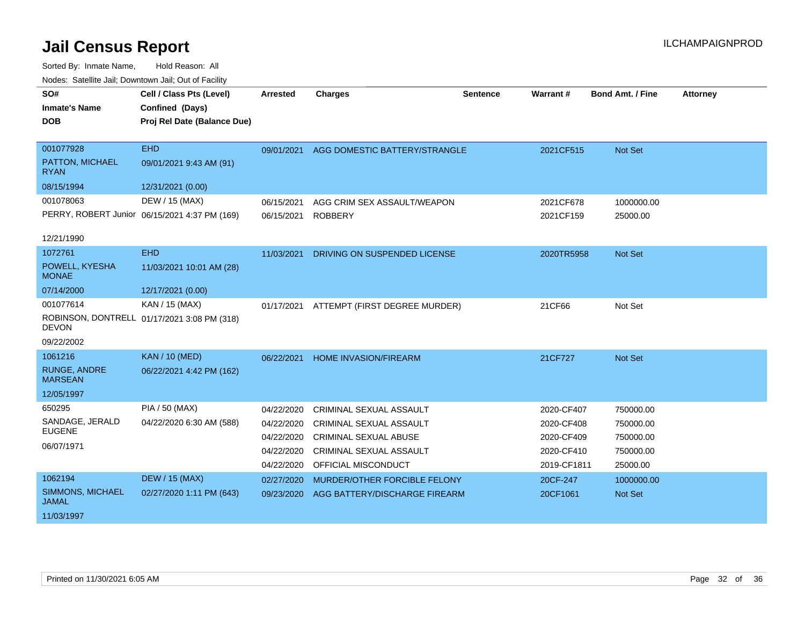| SO#                                   | Cell / Class Pts (Level)                      | <b>Arrested</b> | <b>Charges</b>                 | <b>Sentence</b> | Warrant #   | Bond Amt. / Fine | <b>Attorney</b> |
|---------------------------------------|-----------------------------------------------|-----------------|--------------------------------|-----------------|-------------|------------------|-----------------|
| <b>Inmate's Name</b>                  | Confined (Days)                               |                 |                                |                 |             |                  |                 |
| <b>DOB</b>                            | Proj Rel Date (Balance Due)                   |                 |                                |                 |             |                  |                 |
|                                       |                                               |                 |                                |                 |             |                  |                 |
| 001077928                             | <b>EHD</b>                                    | 09/01/2021      | AGG DOMESTIC BATTERY/STRANGLE  |                 | 2021CF515   | Not Set          |                 |
| PATTON, MICHAEL<br><b>RYAN</b>        | 09/01/2021 9:43 AM (91)                       |                 |                                |                 |             |                  |                 |
| 08/15/1994                            | 12/31/2021 (0.00)                             |                 |                                |                 |             |                  |                 |
| 001078063                             | DEW / 15 (MAX)                                | 06/15/2021      | AGG CRIM SEX ASSAULT/WEAPON    |                 | 2021CF678   | 1000000.00       |                 |
|                                       | PERRY, ROBERT Junior 06/15/2021 4:37 PM (169) | 06/15/2021      | <b>ROBBERY</b>                 |                 | 2021CF159   | 25000.00         |                 |
| 12/21/1990                            |                                               |                 |                                |                 |             |                  |                 |
| 1072761                               | <b>EHD</b>                                    | 11/03/2021      | DRIVING ON SUSPENDED LICENSE   |                 | 2020TR5958  | Not Set          |                 |
| POWELL, KYESHA<br><b>MONAE</b>        | 11/03/2021 10:01 AM (28)                      |                 |                                |                 |             |                  |                 |
| 07/14/2000                            | 12/17/2021 (0.00)                             |                 |                                |                 |             |                  |                 |
| 001077614                             | KAN / 15 (MAX)                                | 01/17/2021      | ATTEMPT (FIRST DEGREE MURDER)  |                 | 21CF66      | Not Set          |                 |
| <b>DEVON</b>                          | ROBINSON, DONTRELL 01/17/2021 3:08 PM (318)   |                 |                                |                 |             |                  |                 |
| 09/22/2002                            |                                               |                 |                                |                 |             |                  |                 |
| 1061216                               | <b>KAN / 10 (MED)</b>                         | 06/22/2021      | <b>HOME INVASION/FIREARM</b>   |                 | 21CF727     | <b>Not Set</b>   |                 |
| <b>RUNGE, ANDRE</b><br><b>MARSEAN</b> | 06/22/2021 4:42 PM (162)                      |                 |                                |                 |             |                  |                 |
| 12/05/1997                            |                                               |                 |                                |                 |             |                  |                 |
| 650295                                | PIA / 50 (MAX)                                | 04/22/2020      | <b>CRIMINAL SEXUAL ASSAULT</b> |                 | 2020-CF407  | 750000.00        |                 |
| SANDAGE, JERALD                       | 04/22/2020 6:30 AM (588)                      | 04/22/2020      | CRIMINAL SEXUAL ASSAULT        |                 | 2020-CF408  | 750000.00        |                 |
| <b>EUGENE</b>                         |                                               | 04/22/2020      | <b>CRIMINAL SEXUAL ABUSE</b>   |                 | 2020-CF409  | 750000.00        |                 |
| 06/07/1971                            |                                               | 04/22/2020      | <b>CRIMINAL SEXUAL ASSAULT</b> |                 | 2020-CF410  | 750000.00        |                 |
|                                       |                                               | 04/22/2020      | OFFICIAL MISCONDUCT            |                 | 2019-CF1811 | 25000.00         |                 |
| 1062194                               | <b>DEW / 15 (MAX)</b>                         | 02/27/2020      | MURDER/OTHER FORCIBLE FELONY   |                 | 20CF-247    | 1000000.00       |                 |
| SIMMONS, MICHAEL<br><b>JAMAL</b>      | 02/27/2020 1:11 PM (643)                      | 09/23/2020      | AGG BATTERY/DISCHARGE FIREARM  |                 | 20CF1061    | Not Set          |                 |
| 11/03/1997                            |                                               |                 |                                |                 |             |                  |                 |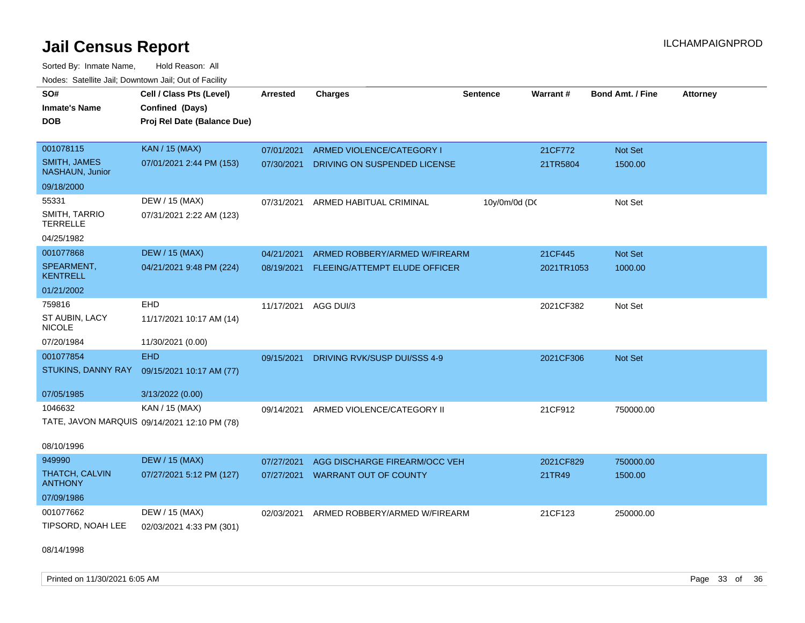Sorted By: Inmate Name, Hold Reason: All Nodes: Satellite Jail; Downtown Jail; Out of Facility

| soupois catomic can, Dominomii can, Cat or I domt<br>SO#<br><b>Inmate's Name</b><br><b>DOB</b> | Cell / Class Pts (Level)<br>Confined (Days)<br>Proj Rel Date (Balance Due) | Arrested   | <b>Charges</b>                | <b>Sentence</b> | Warrant#   | <b>Bond Amt. / Fine</b> | <b>Attorney</b> |
|------------------------------------------------------------------------------------------------|----------------------------------------------------------------------------|------------|-------------------------------|-----------------|------------|-------------------------|-----------------|
| 001078115                                                                                      | <b>KAN / 15 (MAX)</b>                                                      | 07/01/2021 | ARMED VIOLENCE/CATEGORY I     |                 | 21CF772    | <b>Not Set</b>          |                 |
| SMITH, JAMES<br><b>NASHAUN, Junior</b>                                                         | 07/01/2021 2:44 PM (153)                                                   | 07/30/2021 | DRIVING ON SUSPENDED LICENSE  |                 | 21TR5804   | 1500.00                 |                 |
| 09/18/2000                                                                                     |                                                                            |            |                               |                 |            |                         |                 |
| 55331                                                                                          | DEW / 15 (MAX)                                                             | 07/31/2021 | ARMED HABITUAL CRIMINAL       | 10y/0m/0d (DC   |            | Not Set                 |                 |
| SMITH, TARRIO<br><b>TERRELLE</b>                                                               | 07/31/2021 2:22 AM (123)                                                   |            |                               |                 |            |                         |                 |
| 04/25/1982                                                                                     |                                                                            |            |                               |                 |            |                         |                 |
| 001077868                                                                                      | <b>DEW / 15 (MAX)</b>                                                      | 04/21/2021 | ARMED ROBBERY/ARMED W/FIREARM |                 | 21CF445    | <b>Not Set</b>          |                 |
| SPEARMENT,<br><b>KENTRELL</b>                                                                  | 04/21/2021 9:48 PM (224)                                                   | 08/19/2021 | FLEEING/ATTEMPT ELUDE OFFICER |                 | 2021TR1053 | 1000.00                 |                 |
| 01/21/2002                                                                                     |                                                                            |            |                               |                 |            |                         |                 |
| 759816                                                                                         | EHD                                                                        | 11/17/2021 | AGG DUI/3                     |                 | 2021CF382  | Not Set                 |                 |
| ST AUBIN, LACY<br><b>NICOLE</b>                                                                | 11/17/2021 10:17 AM (14)                                                   |            |                               |                 |            |                         |                 |
| 07/20/1984                                                                                     | 11/30/2021 (0.00)                                                          |            |                               |                 |            |                         |                 |
| 001077854                                                                                      | <b>EHD</b>                                                                 | 09/15/2021 | DRIVING RVK/SUSP DUI/SSS 4-9  |                 | 2021CF306  | <b>Not Set</b>          |                 |
| STUKINS, DANNY RAY                                                                             | 09/15/2021 10:17 AM (77)                                                   |            |                               |                 |            |                         |                 |
| 07/05/1985                                                                                     | 3/13/2022 (0.00)                                                           |            |                               |                 |            |                         |                 |
| 1046632                                                                                        | KAN / 15 (MAX)                                                             | 09/14/2021 | ARMED VIOLENCE/CATEGORY II    |                 | 21CF912    | 750000.00               |                 |
|                                                                                                | TATE, JAVON MARQUIS 09/14/2021 12:10 PM (78)                               |            |                               |                 |            |                         |                 |
| 08/10/1996                                                                                     |                                                                            |            |                               |                 |            |                         |                 |
| 949990                                                                                         | <b>DEW / 15 (MAX)</b>                                                      | 07/27/2021 | AGG DISCHARGE FIREARM/OCC VEH |                 | 2021CF829  | 750000.00               |                 |
| THATCH, CALVIN<br><b>ANTHONY</b>                                                               | 07/27/2021 5:12 PM (127)                                                   | 07/27/2021 | <b>WARRANT OUT OF COUNTY</b>  |                 | 21TR49     | 1500.00                 |                 |
| 07/09/1986                                                                                     |                                                                            |            |                               |                 |            |                         |                 |
| 001077662                                                                                      | DEW / 15 (MAX)                                                             | 02/03/2021 | ARMED ROBBERY/ARMED W/FIREARM |                 | 21CF123    | 250000.00               |                 |
| TIPSORD, NOAH LEE                                                                              | 02/03/2021 4:33 PM (301)                                                   |            |                               |                 |            |                         |                 |

08/14/1998

Printed on 11/30/2021 6:05 AM Page 33 of 36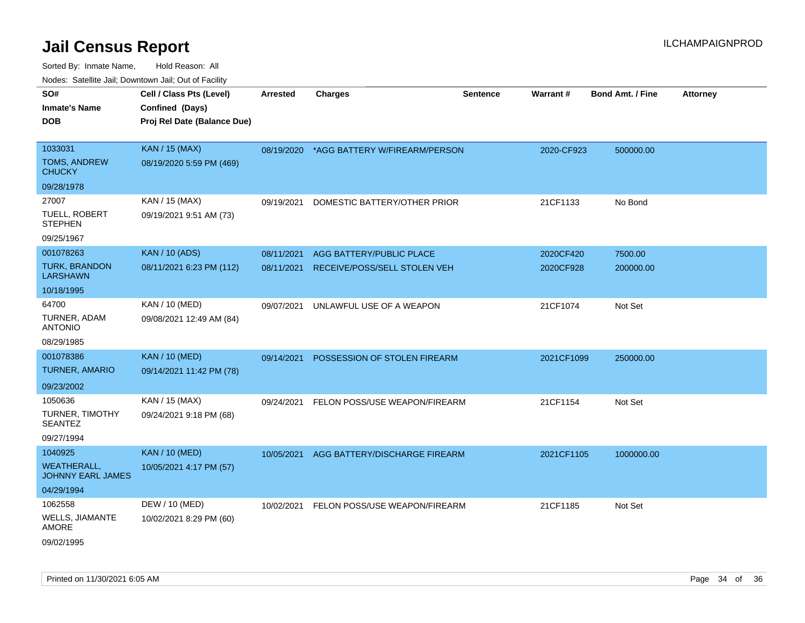| Todoo. Catolino can, Bottittottii can, Odt on Taoliit,<br>SO# | Cell / Class Pts (Level)    | <b>Arrested</b> | <b>Charges</b>                           | <b>Sentence</b> | Warrant#   | <b>Bond Amt. / Fine</b> | <b>Attorney</b> |
|---------------------------------------------------------------|-----------------------------|-----------------|------------------------------------------|-----------------|------------|-------------------------|-----------------|
| <b>Inmate's Name</b>                                          | Confined (Days)             |                 |                                          |                 |            |                         |                 |
| <b>DOB</b>                                                    | Proj Rel Date (Balance Due) |                 |                                          |                 |            |                         |                 |
|                                                               |                             |                 |                                          |                 |            |                         |                 |
| 1033031                                                       | <b>KAN / 15 (MAX)</b>       |                 | 08/19/2020 *AGG BATTERY W/FIREARM/PERSON |                 | 2020-CF923 | 500000.00               |                 |
| <b>TOMS, ANDREW</b><br><b>CHUCKY</b>                          | 08/19/2020 5:59 PM (469)    |                 |                                          |                 |            |                         |                 |
| 09/28/1978                                                    |                             |                 |                                          |                 |            |                         |                 |
| 27007                                                         | KAN / 15 (MAX)              | 09/19/2021      | DOMESTIC BATTERY/OTHER PRIOR             |                 | 21CF1133   | No Bond                 |                 |
| TUELL, ROBERT<br><b>STEPHEN</b>                               | 09/19/2021 9:51 AM (73)     |                 |                                          |                 |            |                         |                 |
| 09/25/1967                                                    |                             |                 |                                          |                 |            |                         |                 |
| 001078263                                                     | <b>KAN / 10 (ADS)</b>       | 08/11/2021      | AGG BATTERY/PUBLIC PLACE                 |                 | 2020CF420  | 7500.00                 |                 |
| <b>TURK, BRANDON</b><br><b>LARSHAWN</b>                       | 08/11/2021 6:23 PM (112)    | 08/11/2021      | RECEIVE/POSS/SELL STOLEN VEH             |                 | 2020CF928  | 200000.00               |                 |
| 10/18/1995                                                    |                             |                 |                                          |                 |            |                         |                 |
| 64700                                                         | KAN / 10 (MED)              | 09/07/2021      | UNLAWFUL USE OF A WEAPON                 |                 | 21CF1074   | Not Set                 |                 |
| TURNER, ADAM<br><b>ANTONIO</b>                                | 09/08/2021 12:49 AM (84)    |                 |                                          |                 |            |                         |                 |
| 08/29/1985                                                    |                             |                 |                                          |                 |            |                         |                 |
| 001078386                                                     | <b>KAN / 10 (MED)</b>       | 09/14/2021      | POSSESSION OF STOLEN FIREARM             |                 | 2021CF1099 | 250000.00               |                 |
| <b>TURNER, AMARIO</b>                                         | 09/14/2021 11:42 PM (78)    |                 |                                          |                 |            |                         |                 |
| 09/23/2002                                                    |                             |                 |                                          |                 |            |                         |                 |
| 1050636                                                       | KAN / 15 (MAX)              | 09/24/2021      | FELON POSS/USE WEAPON/FIREARM            |                 | 21CF1154   | Not Set                 |                 |
| TURNER, TIMOTHY<br><b>SEANTEZ</b>                             | 09/24/2021 9:18 PM (68)     |                 |                                          |                 |            |                         |                 |
| 09/27/1994                                                    |                             |                 |                                          |                 |            |                         |                 |
| 1040925                                                       | <b>KAN / 10 (MED)</b>       | 10/05/2021      | AGG BATTERY/DISCHARGE FIREARM            |                 | 2021CF1105 | 1000000.00              |                 |
| <b>WEATHERALL,</b><br>JOHNNY EARL JAMES                       | 10/05/2021 4:17 PM (57)     |                 |                                          |                 |            |                         |                 |
| 04/29/1994                                                    |                             |                 |                                          |                 |            |                         |                 |
| 1062558                                                       | DEW / 10 (MED)              |                 | 10/02/2021 FELON POSS/USE WEAPON/FIREARM |                 | 21CF1185   | Not Set                 |                 |
| <b>WELLS, JIAMANTE</b><br><b>AMORE</b>                        | 10/02/2021 8:29 PM (60)     |                 |                                          |                 |            |                         |                 |
| 09/02/1995                                                    |                             |                 |                                          |                 |            |                         |                 |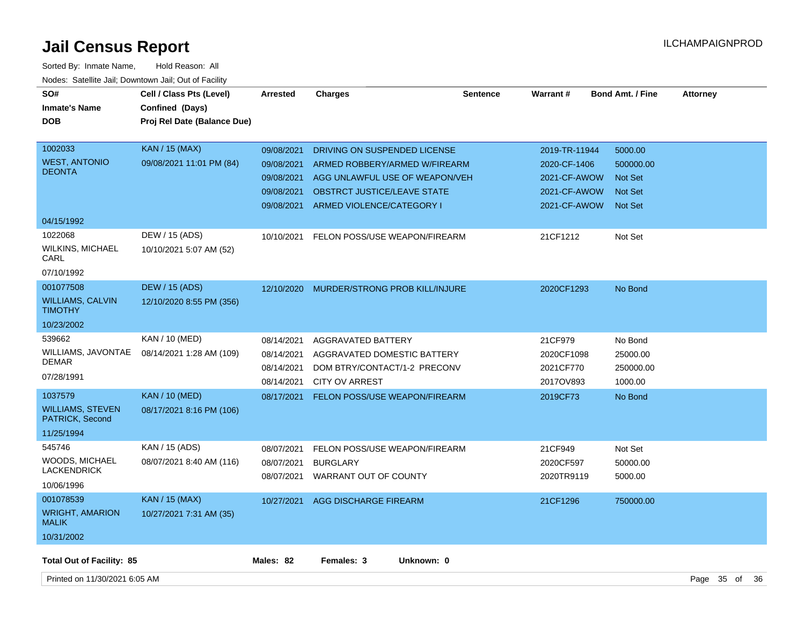| SO#<br><b>Inmate's Name</b><br><b>DOB</b>                              | Cell / Class Pts (Level)<br>Confined (Days)<br>Proj Rel Date (Balance Due) | <b>Arrested</b>                                                    | <b>Charges</b>                                                                                                                                              | <b>Sentence</b> | <b>Warrant#</b>                                                               | <b>Bond Amt. / Fine</b>                                                    | <b>Attorney</b> |  |
|------------------------------------------------------------------------|----------------------------------------------------------------------------|--------------------------------------------------------------------|-------------------------------------------------------------------------------------------------------------------------------------------------------------|-----------------|-------------------------------------------------------------------------------|----------------------------------------------------------------------------|-----------------|--|
| 1002033<br><b>WEST, ANTONIO</b><br><b>DEONTA</b>                       | <b>KAN</b> / 15 (MAX)<br>09/08/2021 11:01 PM (84)                          | 09/08/2021<br>09/08/2021<br>09/08/2021<br>09/08/2021<br>09/08/2021 | DRIVING ON SUSPENDED LICENSE<br>ARMED ROBBERY/ARMED W/FIREARM<br>AGG UNLAWFUL USE OF WEAPON/VEH<br>OBSTRCT JUSTICE/LEAVE STATE<br>ARMED VIOLENCE/CATEGORY I |                 | 2019-TR-11944<br>2020-CF-1406<br>2021-CF-AWOW<br>2021-CF-AWOW<br>2021-CF-AWOW | 5000.00<br>500000.00<br><b>Not Set</b><br><b>Not Set</b><br><b>Not Set</b> |                 |  |
| 04/15/1992<br>1022068<br><b>WILKINS, MICHAEL</b><br>CARL<br>07/10/1992 | DEW / 15 (ADS)<br>10/10/2021 5:07 AM (52)                                  | 10/10/2021                                                         | FELON POSS/USE WEAPON/FIREARM                                                                                                                               |                 | 21CF1212                                                                      | Not Set                                                                    |                 |  |
| 001077508<br><b>WILLIAMS, CALVIN</b><br><b>TIMOTHY</b><br>10/23/2002   | <b>DEW / 15 (ADS)</b><br>12/10/2020 8:55 PM (356)                          | 12/10/2020                                                         | MURDER/STRONG PROB KILL/INJURE                                                                                                                              |                 | 2020CF1293                                                                    | No Bond                                                                    |                 |  |
| 539662<br>WILLIAMS, JAVONTAE<br><b>DEMAR</b><br>07/28/1991             | KAN / 10 (MED)<br>08/14/2021 1:28 AM (109)                                 | 08/14/2021<br>08/14/2021<br>08/14/2021<br>08/14/2021               | <b>AGGRAVATED BATTERY</b><br>AGGRAVATED DOMESTIC BATTERY<br>DOM BTRY/CONTACT/1-2 PRECONV<br><b>CITY OV ARREST</b>                                           |                 | 21CF979<br>2020CF1098<br>2021CF770<br>2017OV893                               | No Bond<br>25000.00<br>250000.00<br>1000.00                                |                 |  |
| 1037579<br><b>WILLIAMS, STEVEN</b><br>PATRICK, Second<br>11/25/1994    | <b>KAN / 10 (MED)</b><br>08/17/2021 8:16 PM (106)                          | 08/17/2021                                                         | <b>FELON POSS/USE WEAPON/FIREARM</b>                                                                                                                        |                 | 2019CF73                                                                      | No Bond                                                                    |                 |  |
| 545746<br><b>WOODS, MICHAEL</b><br><b>LACKENDRICK</b><br>10/06/1996    | KAN / 15 (ADS)<br>08/07/2021 8:40 AM (116)                                 | 08/07/2021<br>08/07/2021                                           | FELON POSS/USE WEAPON/FIREARM<br><b>BURGLARY</b><br>08/07/2021 WARRANT OUT OF COUNTY                                                                        |                 | 21CF949<br>2020CF597<br>2020TR9119                                            | Not Set<br>50000.00<br>5000.00                                             |                 |  |
| 001078539<br><b>WRIGHT, AMARION</b><br><b>MALIK</b><br>10/31/2002      | <b>KAN / 15 (MAX)</b><br>10/27/2021 7:31 AM (35)                           | 10/27/2021                                                         | AGG DISCHARGE FIREARM                                                                                                                                       |                 | 21CF1296                                                                      | 750000.00                                                                  |                 |  |
| <b>Total Out of Facility: 85</b>                                       |                                                                            | Males: 82                                                          | Females: 3<br>Unknown: 0                                                                                                                                    |                 |                                                                               |                                                                            |                 |  |
| Printed on 11/30/2021 6:05 AM                                          |                                                                            |                                                                    |                                                                                                                                                             |                 |                                                                               |                                                                            | Page 35 of 36   |  |